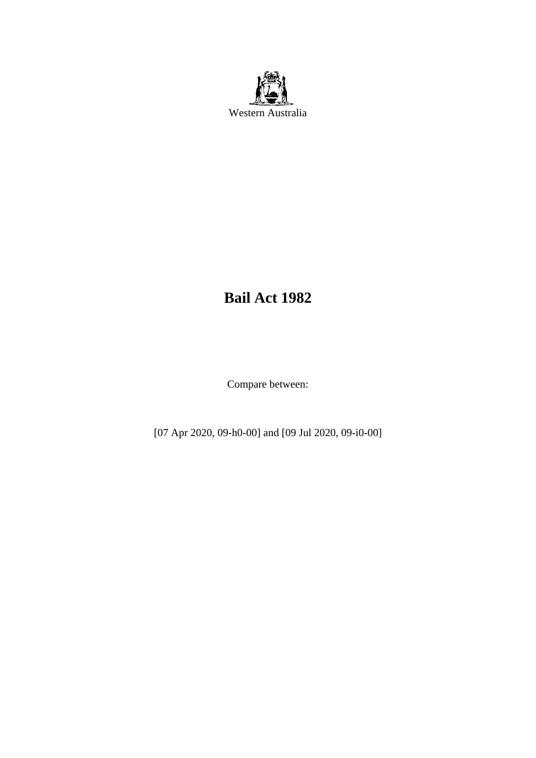

# **Bail Act 1982**

Compare between:

[07 Apr 2020, 09-h0-00] and [09 Jul 2020, 09-i0-00]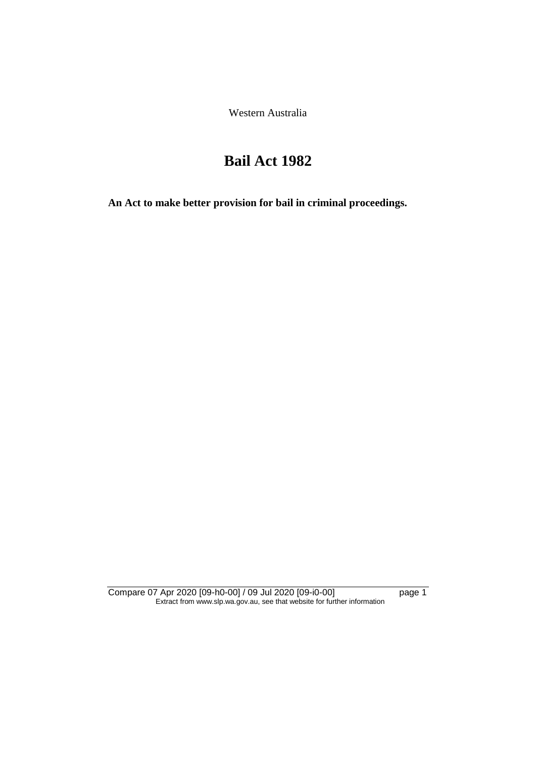Western Australia

# **Bail Act 1982**

**An Act to make better provision for bail in criminal proceedings.** 

Compare 07 Apr 2020 [09-h0-00] / 09 Jul 2020 [09-i0-00] page 1 Extract from www.slp.wa.gov.au, see that website for further information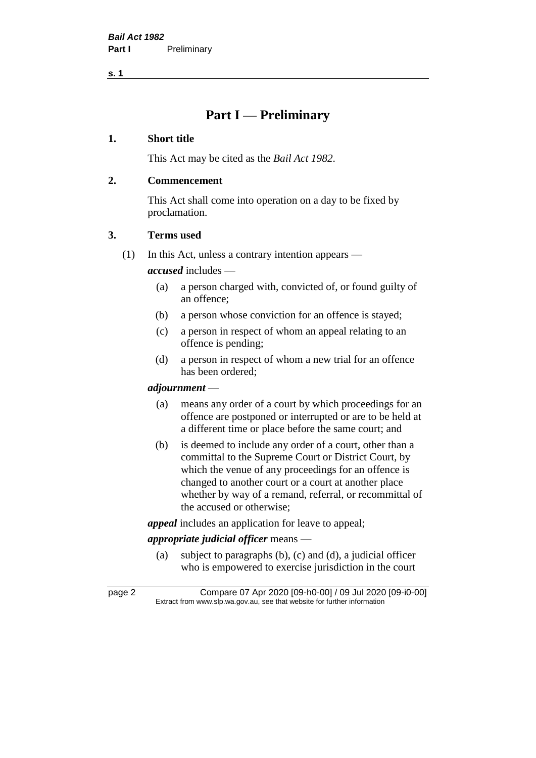# **Part I — Preliminary**

#### **1. Short title**

This Act may be cited as the *Bail Act 1982*.

# **2. Commencement**

This Act shall come into operation on a day to be fixed by proclamation.

# **3. Terms used**

(1) In this Act, unless a contrary intention appears —

*accused* includes —

- (a) a person charged with, convicted of, or found guilty of an offence;
- (b) a person whose conviction for an offence is stayed;
- (c) a person in respect of whom an appeal relating to an offence is pending;
- (d) a person in respect of whom a new trial for an offence has been ordered;

#### *adjournment* —

- (a) means any order of a court by which proceedings for an offence are postponed or interrupted or are to be held at a different time or place before the same court; and
- (b) is deemed to include any order of a court, other than a committal to the Supreme Court or District Court, by which the venue of any proceedings for an offence is changed to another court or a court at another place whether by way of a remand, referral, or recommittal of the accused or otherwise;

*appeal* includes an application for leave to appeal;

# *appropriate judicial officer* means —

(a) subject to paragraphs (b), (c) and (d), a judicial officer who is empowered to exercise jurisdiction in the court

page 2 Compare 07 Apr 2020 [09-h0-00] / 09 Jul 2020 [09-i0-00] Extract from www.slp.wa.gov.au, see that website for further information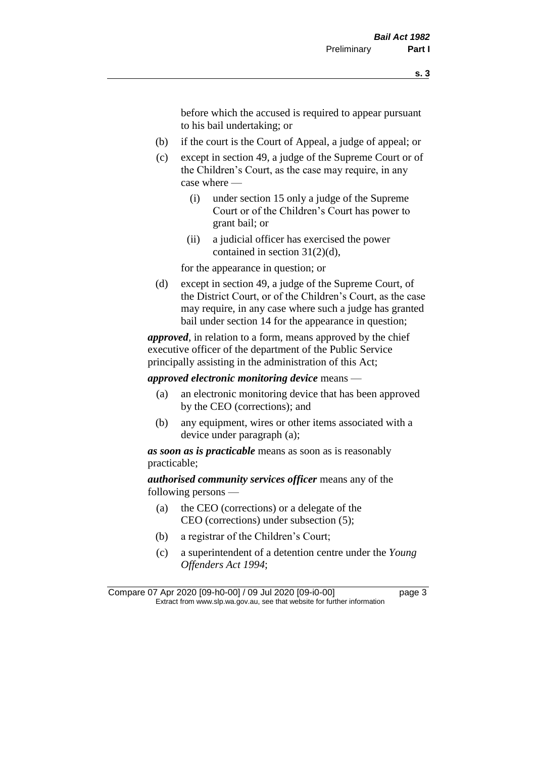before which the accused is required to appear pursuant to his bail undertaking; or

- (b) if the court is the Court of Appeal, a judge of appeal; or
- (c) except in section 49, a judge of the Supreme Court or of the Children's Court, as the case may require, in any case where —
	- (i) under section 15 only a judge of the Supreme Court or of the Children's Court has power to grant bail; or
	- (ii) a judicial officer has exercised the power contained in section 31(2)(d),

for the appearance in question; or

(d) except in section 49, a judge of the Supreme Court, of the District Court, or of the Children's Court, as the case may require, in any case where such a judge has granted bail under section 14 for the appearance in question;

*approved*, in relation to a form, means approved by the chief executive officer of the department of the Public Service principally assisting in the administration of this Act;

*approved electronic monitoring device* means —

- (a) an electronic monitoring device that has been approved by the CEO (corrections); and
- (b) any equipment, wires or other items associated with a device under paragraph (a);

*as soon as is practicable* means as soon as is reasonably practicable;

*authorised community services officer* means any of the following persons —

- (a) the CEO (corrections) or a delegate of the CEO (corrections) under subsection (5);
- (b) a registrar of the Children's Court;
- (c) a superintendent of a detention centre under the *Young Offenders Act 1994*;

Compare 07 Apr 2020 [09-h0-00] / 09 Jul 2020 [09-i0-00] page 3 Extract from www.slp.wa.gov.au, see that website for further information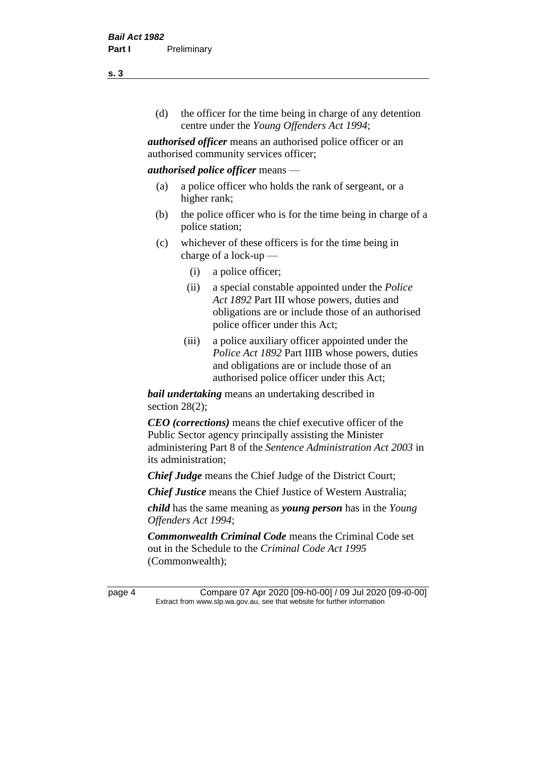(d) the officer for the time being in charge of any detention centre under the *Young Offenders Act 1994*;

*authorised officer* means an authorised police officer or an authorised community services officer;

#### *authorised police officer* means —

- (a) a police officer who holds the rank of sergeant, or a higher rank;
- (b) the police officer who is for the time being in charge of a police station;
- (c) whichever of these officers is for the time being in charge of a lock-up —
	- (i) a police officer;
	- (ii) a special constable appointed under the *Police Act 1892* Part III whose powers, duties and obligations are or include those of an authorised police officer under this Act;
	- (iii) a police auxiliary officer appointed under the *Police Act 1892* Part IIIB whose powers, duties and obligations are or include those of an authorised police officer under this Act;

*bail undertaking* means an undertaking described in section 28(2);

*CEO (corrections)* means the chief executive officer of the Public Sector agency principally assisting the Minister administering Part 8 of the *Sentence Administration Act 2003* in its administration;

*Chief Judge* means the Chief Judge of the District Court;

*Chief Justice* means the Chief Justice of Western Australia;

*child* has the same meaning as *young person* has in the *Young Offenders Act 1994*;

*Commonwealth Criminal Code* means the Criminal Code set out in the Schedule to the *Criminal Code Act 1995* (Commonwealth);

page 4 Compare 07 Apr 2020 [09-h0-00] / 09 Jul 2020 [09-i0-00] Extract from www.slp.wa.gov.au, see that website for further information

**s. 3**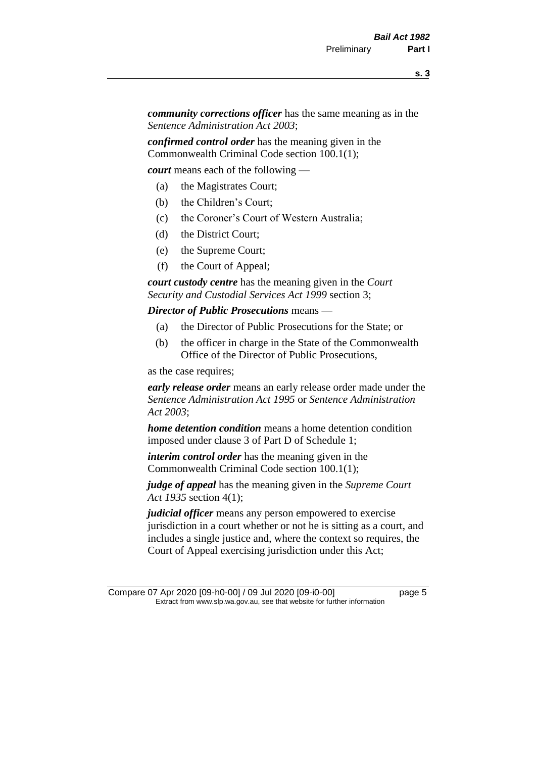*community corrections officer* has the same meaning as in the *Sentence Administration Act 2003*;

*confirmed control order* has the meaning given in the Commonwealth Criminal Code section 100.1(1);

*court* means each of the following —

- (a) the Magistrates Court;
- (b) the Children's Court;
- (c) the Coroner's Court of Western Australia;
- (d) the District Court;
- (e) the Supreme Court;
- (f) the Court of Appeal;

*court custody centre* has the meaning given in the *Court Security and Custodial Services Act 1999* section 3;

*Director of Public Prosecutions* means —

- (a) the Director of Public Prosecutions for the State; or
- (b) the officer in charge in the State of the Commonwealth Office of the Director of Public Prosecutions,

as the case requires;

*early release order* means an early release order made under the *Sentence Administration Act 1995* or *Sentence Administration Act 2003*;

*home detention condition* means a home detention condition imposed under clause 3 of Part D of Schedule 1;

*interim control order* has the meaning given in the Commonwealth Criminal Code section 100.1(1);

*judge of appeal* has the meaning given in the *Supreme Court Act 1935* section 4(1);

*judicial officer* means any person empowered to exercise jurisdiction in a court whether or not he is sitting as a court, and includes a single justice and, where the context so requires, the Court of Appeal exercising jurisdiction under this Act;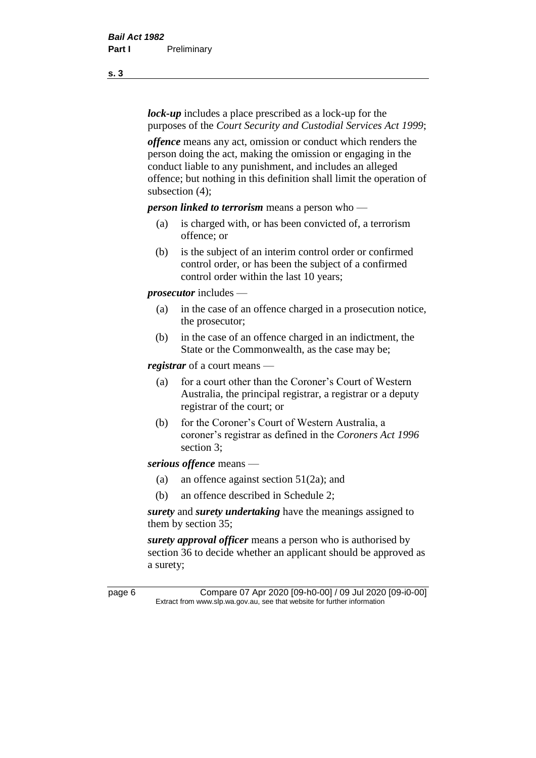*lock-up* includes a place prescribed as a lock-up for the purposes of the *Court Security and Custodial Services Act 1999*;

*offence* means any act, omission or conduct which renders the person doing the act, making the omission or engaging in the conduct liable to any punishment, and includes an alleged offence; but nothing in this definition shall limit the operation of subsection (4);

*person linked to terrorism* means a person who —

- (a) is charged with, or has been convicted of, a terrorism offence; or
- (b) is the subject of an interim control order or confirmed control order, or has been the subject of a confirmed control order within the last 10 years;

*prosecutor* includes —

- (a) in the case of an offence charged in a prosecution notice, the prosecutor;
- (b) in the case of an offence charged in an indictment, the State or the Commonwealth, as the case may be;

*registrar* of a court means —

- (a) for a court other than the Coroner's Court of Western Australia, the principal registrar, a registrar or a deputy registrar of the court; or
- (b) for the Coroner's Court of Western Australia, a coroner's registrar as defined in the *Coroners Act 1996* section 3;

*serious offence* means —

- (a) an offence against section 51(2a); and
- (b) an offence described in Schedule 2;

*surety* and *surety undertaking* have the meanings assigned to them by section 35;

*surety approval officer* means a person who is authorised by section 36 to decide whether an applicant should be approved as a surety;

page 6 Compare 07 Apr 2020 [09-h0-00] / 09 Jul 2020 [09-i0-00] Extract from www.slp.wa.gov.au, see that website for further information

**s. 3**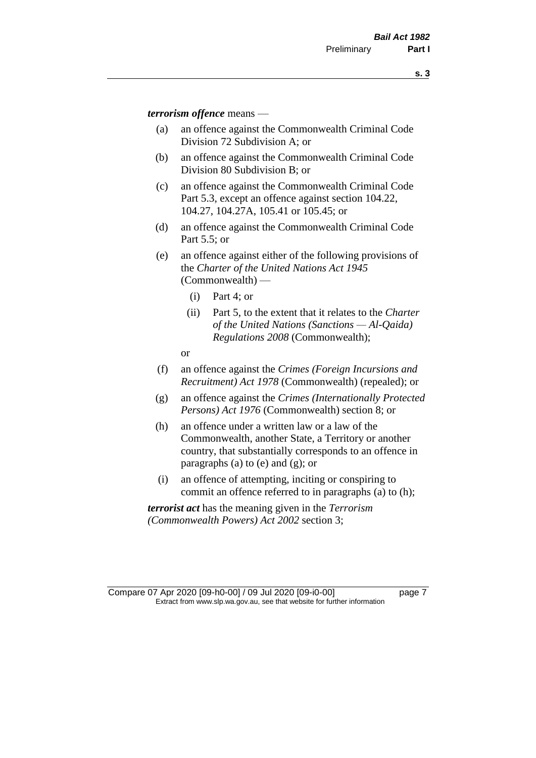*terrorism offence* means —

- (a) an offence against the Commonwealth Criminal Code Division 72 Subdivision A; or
- (b) an offence against the Commonwealth Criminal Code Division 80 Subdivision B; or
- (c) an offence against the Commonwealth Criminal Code Part 5.3, except an offence against section 104.22, 104.27, 104.27A, 105.41 or 105.45; or
- (d) an offence against the Commonwealth Criminal Code Part 5.5; or
- (e) an offence against either of the following provisions of the *Charter of the United Nations Act 1945*  (Commonwealth) —
	- (i) Part 4; or
	- (ii) Part 5, to the extent that it relates to the *Charter of the United Nations (Sanctions — Al-Qaida) Regulations 2008* (Commonwealth);
	- or
- (f) an offence against the *Crimes (Foreign Incursions and Recruitment) Act 1978* (Commonwealth) (repealed); or
- (g) an offence against the *Crimes (Internationally Protected Persons) Act 1976* (Commonwealth) section 8; or
- (h) an offence under a written law or a law of the Commonwealth, another State, a Territory or another country, that substantially corresponds to an offence in paragraphs (a) to (e) and (g); or
- (i) an offence of attempting, inciting or conspiring to commit an offence referred to in paragraphs (a) to (h);

*terrorist act* has the meaning given in the *Terrorism (Commonwealth Powers) Act 2002* section 3;

Compare 07 Apr 2020 [09-h0-00] / 09 Jul 2020 [09-i0-00] page 7 Extract from www.slp.wa.gov.au, see that website for further information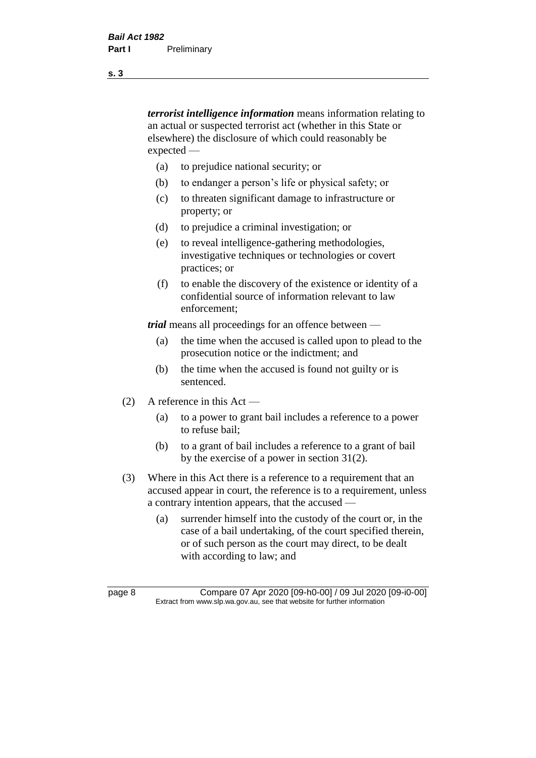*terrorist intelligence information* means information relating to an actual or suspected terrorist act (whether in this State or elsewhere) the disclosure of which could reasonably be expected —

- (a) to prejudice national security; or
- (b) to endanger a person's life or physical safety; or
- (c) to threaten significant damage to infrastructure or property; or
- (d) to prejudice a criminal investigation; or
- (e) to reveal intelligence-gathering methodologies, investigative techniques or technologies or covert practices; or
- (f) to enable the discovery of the existence or identity of a confidential source of information relevant to law enforcement;

*trial* means all proceedings for an offence between —

- (a) the time when the accused is called upon to plead to the prosecution notice or the indictment; and
- (b) the time when the accused is found not guilty or is sentenced.
- (2) A reference in this Act
	- (a) to a power to grant bail includes a reference to a power to refuse bail;
	- (b) to a grant of bail includes a reference to a grant of bail by the exercise of a power in section 31(2).
- (3) Where in this Act there is a reference to a requirement that an accused appear in court, the reference is to a requirement, unless a contrary intention appears, that the accused —
	- (a) surrender himself into the custody of the court or, in the case of a bail undertaking, of the court specified therein, or of such person as the court may direct, to be dealt with according to law; and

page 8 Compare 07 Apr 2020 [09-h0-00] / 09 Jul 2020 [09-i0-00] Extract from www.slp.wa.gov.au, see that website for further information

**s. 3**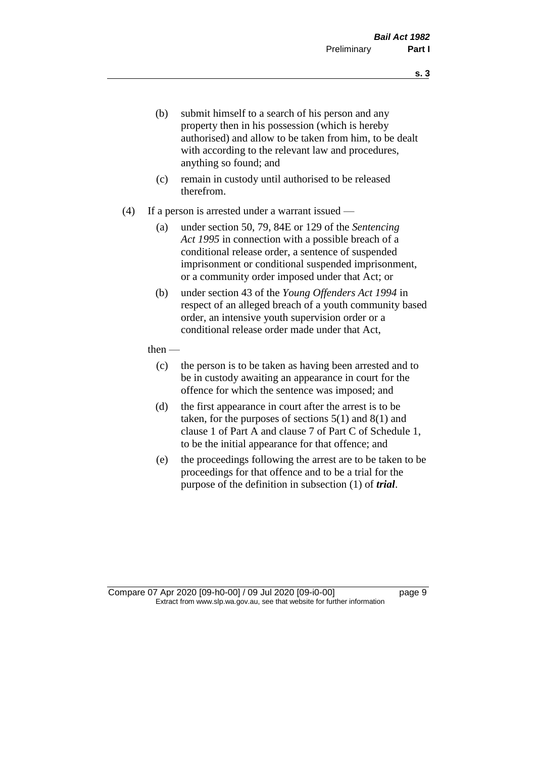- (b) submit himself to a search of his person and any property then in his possession (which is hereby authorised) and allow to be taken from him, to be dealt with according to the relevant law and procedures, anything so found; and
- (c) remain in custody until authorised to be released therefrom.
- (4) If a person is arrested under a warrant issued
	- (a) under section 50, 79, 84E or 129 of the *Sentencing Act 1995* in connection with a possible breach of a conditional release order, a sentence of suspended imprisonment or conditional suspended imprisonment, or a community order imposed under that Act; or
	- (b) under section 43 of the *Young Offenders Act 1994* in respect of an alleged breach of a youth community based order, an intensive youth supervision order or a conditional release order made under that Act,
	- then
		- (c) the person is to be taken as having been arrested and to be in custody awaiting an appearance in court for the offence for which the sentence was imposed; and
		- (d) the first appearance in court after the arrest is to be taken, for the purposes of sections  $5(1)$  and  $8(1)$  and clause 1 of Part A and clause 7 of Part C of Schedule 1, to be the initial appearance for that offence; and
		- (e) the proceedings following the arrest are to be taken to be proceedings for that offence and to be a trial for the purpose of the definition in subsection (1) of *trial*.

Compare 07 Apr 2020 [09-h0-00] / 09 Jul 2020 [09-i0-00] page 9 Extract from www.slp.wa.gov.au, see that website for further information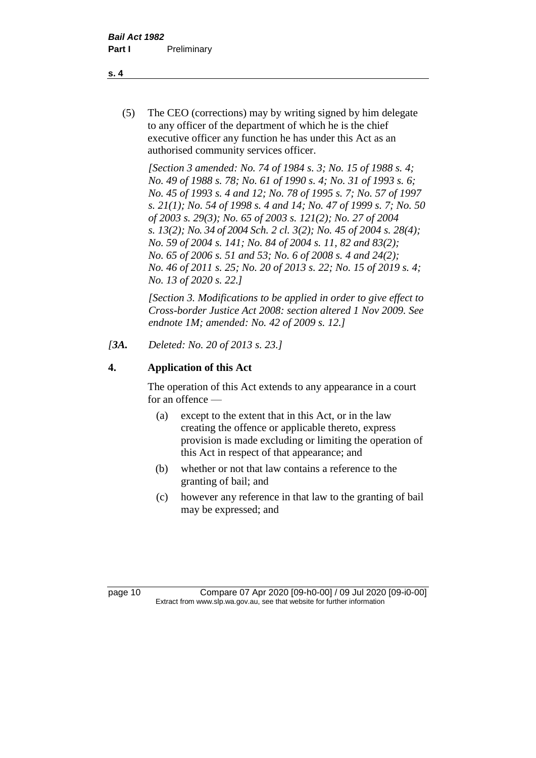(5) The CEO (corrections) may by writing signed by him delegate to any officer of the department of which he is the chief executive officer any function he has under this Act as an authorised community services officer.

*[Section 3 amended: No. 74 of 1984 s. 3; No. 15 of 1988 s. 4; No. 49 of 1988 s. 78; No. 61 of 1990 s. 4; No. 31 of 1993 s. 6; No. 45 of 1993 s. 4 and 12; No. 78 of 1995 s. 7; No. 57 of 1997 s. 21(1); No. 54 of 1998 s. 4 and 14; No. 47 of 1999 s. 7; No. 50 of 2003 s. 29(3); No. 65 of 2003 s. 121(2); No. 27 of 2004 s. 13(2); No. 34 of 2004 Sch. 2 cl. 3(2); No. 45 of 2004 s. 28(4); No. 59 of 2004 s. 141; No. 84 of 2004 s. 11, 82 and 83(2); No. 65 of 2006 s. 51 and 53; No. 6 of 2008 s. 4 and 24(2); No. 46 of 2011 s. 25; No. 20 of 2013 s. 22; No. 15 of 2019 s. 4; No. 13 of 2020 s. 22.]* 

*[Section 3. Modifications to be applied in order to give effect to Cross-border Justice Act 2008: section altered 1 Nov 2009. See endnote 1M; amended: No. 42 of 2009 s. 12.]*

*[3A. Deleted: No. 20 of 2013 s. 23.]*

# **4. Application of this Act**

The operation of this Act extends to any appearance in a court for an offence —

- (a) except to the extent that in this Act, or in the law creating the offence or applicable thereto, express provision is made excluding or limiting the operation of this Act in respect of that appearance; and
- (b) whether or not that law contains a reference to the granting of bail; and
- (c) however any reference in that law to the granting of bail may be expressed; and

page 10 Compare 07 Apr 2020 [09-h0-00] / 09 Jul 2020 [09-i0-00] Extract from www.slp.wa.gov.au, see that website for further information

**s. 4**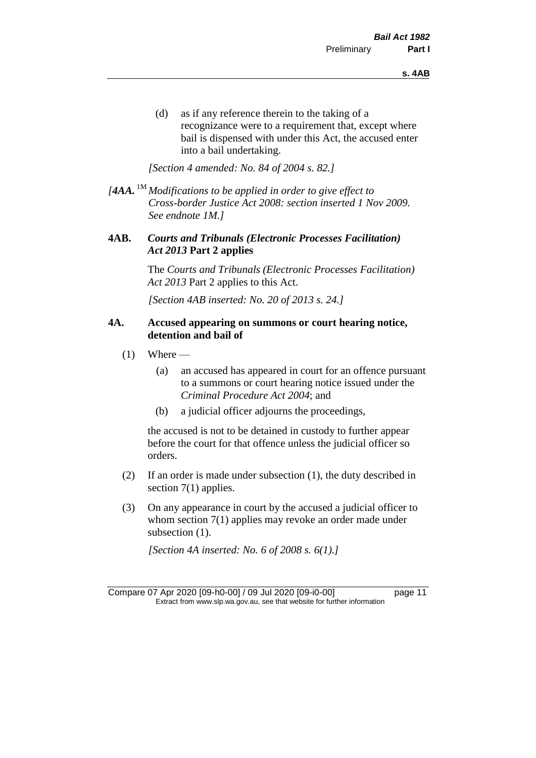(d) as if any reference therein to the taking of a recognizance were to a requirement that, except where bail is dispensed with under this Act, the accused enter into a bail undertaking.

*[Section 4 amended: No. 84 of 2004 s. 82.]*

*[4AA.* 1M *Modifications to be applied in order to give effect to Cross-border Justice Act 2008: section inserted 1 Nov 2009. See endnote 1M.]*

#### **4AB.** *Courts and Tribunals (Electronic Processes Facilitation) Act 2013* **Part 2 applies**

The *Courts and Tribunals (Electronic Processes Facilitation) Act 2013* Part 2 applies to this Act.

*[Section 4AB inserted: No. 20 of 2013 s. 24.]*

#### **4A. Accused appearing on summons or court hearing notice, detention and bail of**

- $(1)$  Where
	- (a) an accused has appeared in court for an offence pursuant to a summons or court hearing notice issued under the *Criminal Procedure Act 2004*; and
	- (b) a judicial officer adjourns the proceedings,

the accused is not to be detained in custody to further appear before the court for that offence unless the judicial officer so orders.

- (2) If an order is made under subsection (1), the duty described in section 7(1) applies.
- (3) On any appearance in court by the accused a judicial officer to whom section 7(1) applies may revoke an order made under subsection  $(1)$ .

*[Section 4A inserted: No. 6 of 2008 s. 6(1).]*

Compare 07 Apr 2020 [09-h0-00] / 09 Jul 2020 [09-i0-00] page 11 Extract from www.slp.wa.gov.au, see that website for further information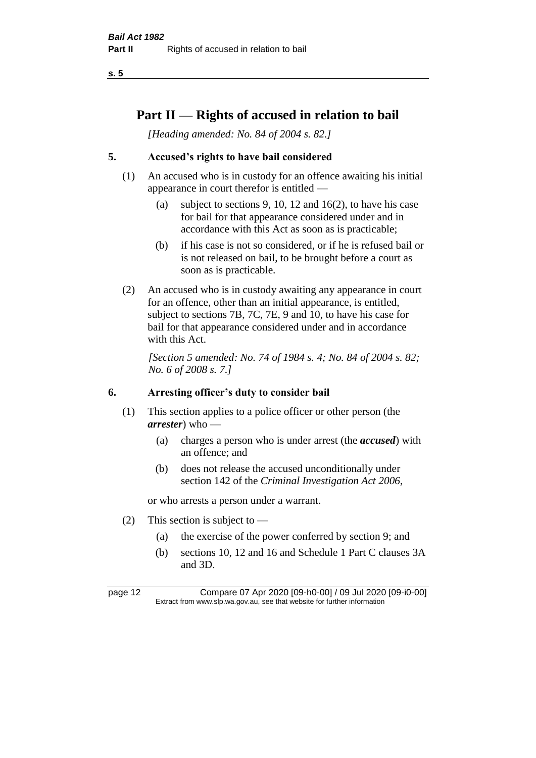# **Part II — Rights of accused in relation to bail**

*[Heading amended: No. 84 of 2004 s. 82.]* 

# **5. Accused's rights to have bail considered**

- (1) An accused who is in custody for an offence awaiting his initial appearance in court therefor is entitled —
	- (a) subject to sections 9, 10, 12 and 16(2), to have his case for bail for that appearance considered under and in accordance with this Act as soon as is practicable;
	- (b) if his case is not so considered, or if he is refused bail or is not released on bail, to be brought before a court as soon as is practicable.
- (2) An accused who is in custody awaiting any appearance in court for an offence, other than an initial appearance, is entitled, subject to sections 7B, 7C, 7E, 9 and 10, to have his case for bail for that appearance considered under and in accordance with this Act.

*[Section 5 amended: No. 74 of 1984 s. 4; No. 84 of 2004 s. 82; No. 6 of 2008 s. 7.]* 

#### **6. Arresting officer's duty to consider bail**

- (1) This section applies to a police officer or other person (the *arrester*) who —
	- (a) charges a person who is under arrest (the *accused*) with an offence; and
	- (b) does not release the accused unconditionally under section 142 of the *Criminal Investigation Act 2006*,

or who arrests a person under a warrant.

- (2) This section is subject to  $-$ 
	- (a) the exercise of the power conferred by section 9; and
	- (b) sections 10, 12 and 16 and Schedule 1 Part C clauses 3A and 3D.

page 12 Compare 07 Apr 2020 [09-h0-00] / 09 Jul 2020 [09-i0-00] Extract from www.slp.wa.gov.au, see that website for further information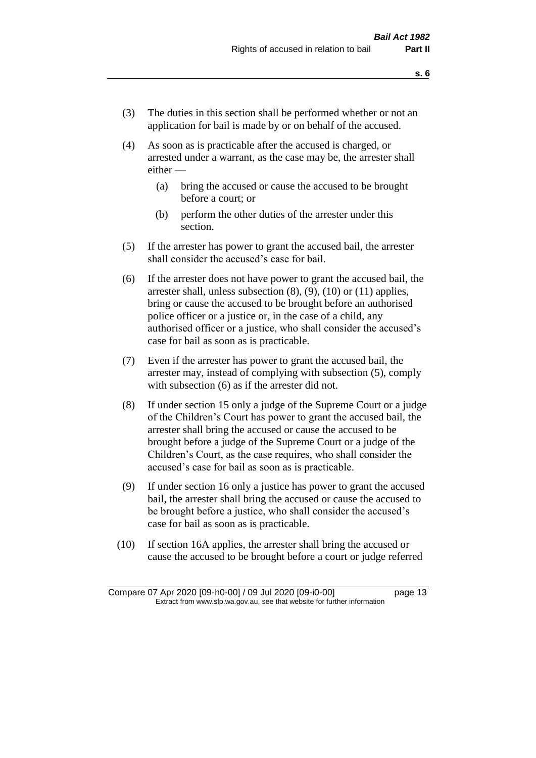- (3) The duties in this section shall be performed whether or not an application for bail is made by or on behalf of the accused.
- (4) As soon as is practicable after the accused is charged, or arrested under a warrant, as the case may be, the arrester shall either —
	- (a) bring the accused or cause the accused to be brought before a court; or
	- (b) perform the other duties of the arrester under this section.
- (5) If the arrester has power to grant the accused bail, the arrester shall consider the accused's case for bail.
- (6) If the arrester does not have power to grant the accused bail, the arrester shall, unless subsection (8), (9), (10) or (11) applies, bring or cause the accused to be brought before an authorised police officer or a justice or, in the case of a child, any authorised officer or a justice, who shall consider the accused's case for bail as soon as is practicable.
- (7) Even if the arrester has power to grant the accused bail, the arrester may, instead of complying with subsection (5), comply with subsection  $(6)$  as if the arrester did not.
- (8) If under section 15 only a judge of the Supreme Court or a judge of the Children's Court has power to grant the accused bail, the arrester shall bring the accused or cause the accused to be brought before a judge of the Supreme Court or a judge of the Children's Court, as the case requires, who shall consider the accused's case for bail as soon as is practicable.
- (9) If under section 16 only a justice has power to grant the accused bail, the arrester shall bring the accused or cause the accused to be brought before a justice, who shall consider the accused's case for bail as soon as is practicable.
- (10) If section 16A applies, the arrester shall bring the accused or cause the accused to be brought before a court or judge referred

Compare 07 Apr 2020 [09-h0-00] / 09 Jul 2020 [09-i0-00] page 13 Extract from www.slp.wa.gov.au, see that website for further information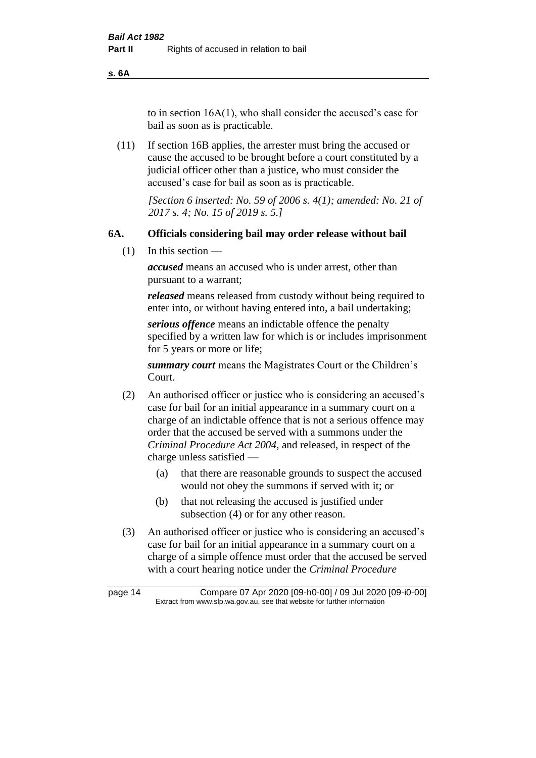**s. 6A**

to in section 16A(1), who shall consider the accused's case for bail as soon as is practicable.

(11) If section 16B applies, the arrester must bring the accused or cause the accused to be brought before a court constituted by a judicial officer other than a justice, who must consider the accused's case for bail as soon as is practicable.

> *[Section 6 inserted: No. 59 of 2006 s. 4(1); amended: No. 21 of 2017 s. 4; No. 15 of 2019 s. 5.]*

#### **6A. Officials considering bail may order release without bail**

(1) In this section —

*accused* means an accused who is under arrest, other than pursuant to a warrant;

*released* means released from custody without being required to enter into, or without having entered into, a bail undertaking;

*serious offence* means an indictable offence the penalty specified by a written law for which is or includes imprisonment for 5 years or more or life;

*summary court* means the Magistrates Court or the Children's Court.

- (2) An authorised officer or justice who is considering an accused's case for bail for an initial appearance in a summary court on a charge of an indictable offence that is not a serious offence may order that the accused be served with a summons under the *Criminal Procedure Act 2004*, and released, in respect of the charge unless satisfied —
	- (a) that there are reasonable grounds to suspect the accused would not obey the summons if served with it; or
	- (b) that not releasing the accused is justified under subsection (4) or for any other reason.
- (3) An authorised officer or justice who is considering an accused's case for bail for an initial appearance in a summary court on a charge of a simple offence must order that the accused be served with a court hearing notice under the *Criminal Procedure*

page 14 Compare 07 Apr 2020 [09-h0-00] / 09 Jul 2020 [09-i0-00] Extract from www.slp.wa.gov.au, see that website for further information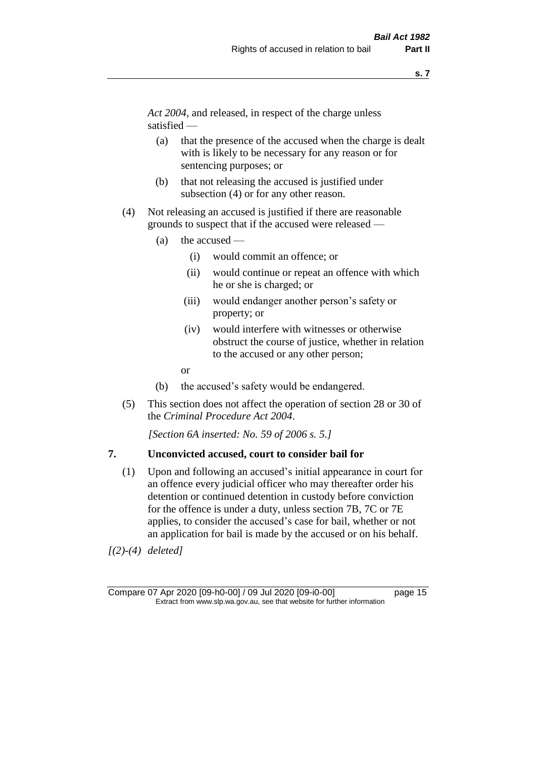*Act 2004*, and released, in respect of the charge unless satisfied —

- (a) that the presence of the accused when the charge is dealt with is likely to be necessary for any reason or for sentencing purposes; or
- (b) that not releasing the accused is justified under subsection (4) or for any other reason.
- (4) Not releasing an accused is justified if there are reasonable grounds to suspect that if the accused were released —
	- (a) the accused
		- (i) would commit an offence; or
		- (ii) would continue or repeat an offence with which he or she is charged; or
		- (iii) would endanger another person's safety or property; or
		- (iv) would interfere with witnesses or otherwise obstruct the course of justice, whether in relation to the accused or any other person;
		- or
	- (b) the accused's safety would be endangered.
- (5) This section does not affect the operation of section 28 or 30 of the *Criminal Procedure Act 2004*.

*[Section 6A inserted: No. 59 of 2006 s. 5.]* 

#### **7. Unconvicted accused, court to consider bail for**

(1) Upon and following an accused's initial appearance in court for an offence every judicial officer who may thereafter order his detention or continued detention in custody before conviction for the offence is under a duty, unless section 7B, 7C or 7E applies, to consider the accused's case for bail, whether or not an application for bail is made by the accused or on his behalf.

*[(2)-(4) deleted]*

Compare 07 Apr 2020 [09-h0-00] / 09 Jul 2020 [09-i0-00] page 15 Extract from www.slp.wa.gov.au, see that website for further information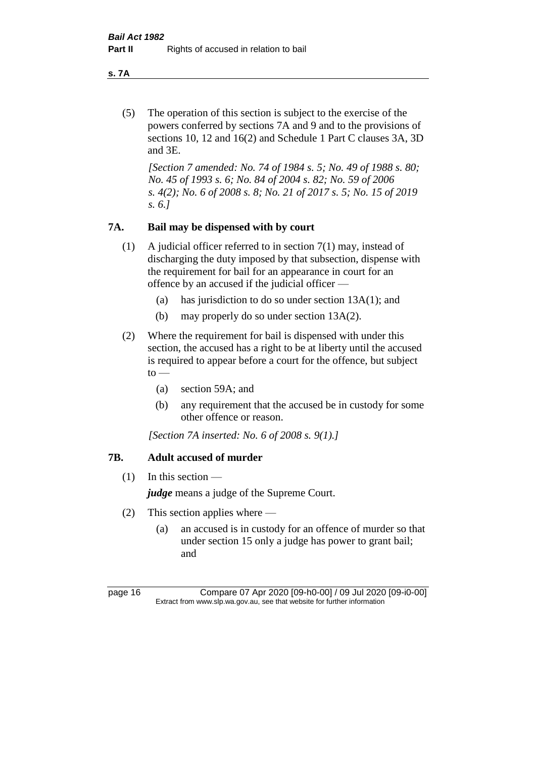**s. 7A**

(5) The operation of this section is subject to the exercise of the powers conferred by sections 7A and 9 and to the provisions of sections 10, 12 and 16(2) and Schedule 1 Part C clauses 3A, 3D and 3E.

*[Section 7 amended: No. 74 of 1984 s. 5; No. 49 of 1988 s. 80; No. 45 of 1993 s. 6; No. 84 of 2004 s. 82; No. 59 of 2006 s. 4(2); No. 6 of 2008 s. 8; No. 21 of 2017 s. 5; No. 15 of 2019 s. 6.]* 

# **7A. Bail may be dispensed with by court**

- (1) A judicial officer referred to in section 7(1) may, instead of discharging the duty imposed by that subsection, dispense with the requirement for bail for an appearance in court for an offence by an accused if the judicial officer —
	- (a) has jurisdiction to do so under section 13A(1); and
	- (b) may properly do so under section 13A(2).
- (2) Where the requirement for bail is dispensed with under this section, the accused has a right to be at liberty until the accused is required to appear before a court for the offence, but subject  $to -$ 
	- (a) section 59A; and
	- (b) any requirement that the accused be in custody for some other offence or reason.

*[Section 7A inserted: No. 6 of 2008 s. 9(1).]*

# **7B. Adult accused of murder**

 $(1)$  In this section —

*judge* means a judge of the Supreme Court.

- (2) This section applies where
	- (a) an accused is in custody for an offence of murder so that under section 15 only a judge has power to grant bail; and

page 16 Compare 07 Apr 2020 [09-h0-00] / 09 Jul 2020 [09-i0-00] Extract from www.slp.wa.gov.au, see that website for further information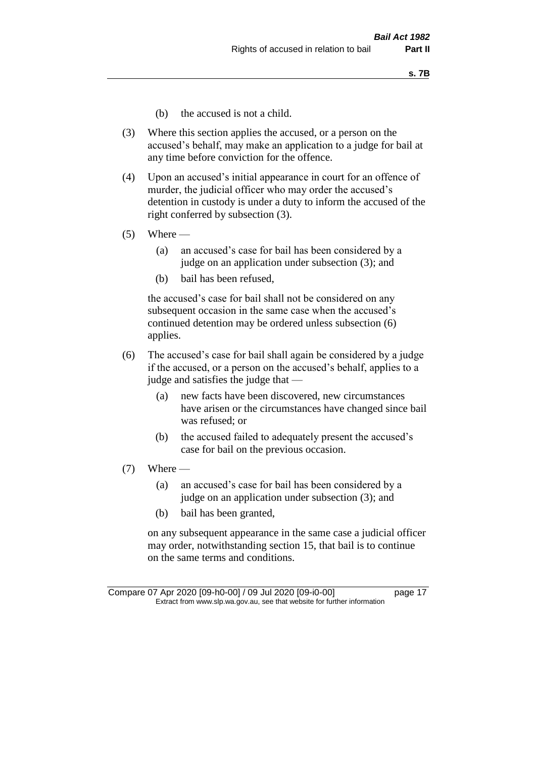- (b) the accused is not a child.
- (3) Where this section applies the accused, or a person on the accused's behalf, may make an application to a judge for bail at any time before conviction for the offence.
- (4) Upon an accused's initial appearance in court for an offence of murder, the judicial officer who may order the accused's detention in custody is under a duty to inform the accused of the right conferred by subsection (3).
- $(5)$  Where
	- (a) an accused's case for bail has been considered by a judge on an application under subsection (3); and
	- (b) bail has been refused,

the accused's case for bail shall not be considered on any subsequent occasion in the same case when the accused's continued detention may be ordered unless subsection (6) applies.

- (6) The accused's case for bail shall again be considered by a judge if the accused, or a person on the accused's behalf, applies to a judge and satisfies the judge that —
	- (a) new facts have been discovered, new circumstances have arisen or the circumstances have changed since bail was refused; or
	- (b) the accused failed to adequately present the accused's case for bail on the previous occasion.
- $(7)$  Where
	- (a) an accused's case for bail has been considered by a judge on an application under subsection (3); and
	- (b) bail has been granted,

on any subsequent appearance in the same case a judicial officer may order, notwithstanding section 15, that bail is to continue on the same terms and conditions.

Compare 07 Apr 2020 [09-h0-00] / 09 Jul 2020 [09-i0-00] page 17 Extract from www.slp.wa.gov.au, see that website for further information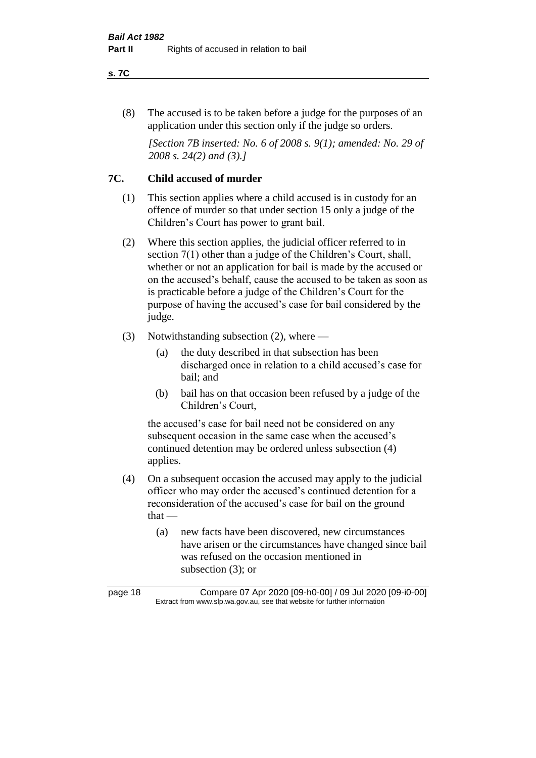#### **s. 7C**

(8) The accused is to be taken before a judge for the purposes of an application under this section only if the judge so orders.

*[Section 7B inserted: No. 6 of 2008 s. 9(1); amended: No. 29 of 2008 s. 24(2) and (3).]*

# **7C. Child accused of murder**

- (1) This section applies where a child accused is in custody for an offence of murder so that under section 15 only a judge of the Children's Court has power to grant bail.
- (2) Where this section applies, the judicial officer referred to in section 7(1) other than a judge of the Children's Court, shall, whether or not an application for bail is made by the accused or on the accused's behalf, cause the accused to be taken as soon as is practicable before a judge of the Children's Court for the purpose of having the accused's case for bail considered by the judge.
- (3) Notwithstanding subsection (2), where
	- (a) the duty described in that subsection has been discharged once in relation to a child accused's case for bail; and
	- (b) bail has on that occasion been refused by a judge of the Children's Court,

the accused's case for bail need not be considered on any subsequent occasion in the same case when the accused's continued detention may be ordered unless subsection (4) applies.

- (4) On a subsequent occasion the accused may apply to the judicial officer who may order the accused's continued detention for a reconsideration of the accused's case for bail on the ground that —
	- (a) new facts have been discovered, new circumstances have arisen or the circumstances have changed since bail was refused on the occasion mentioned in subsection (3); or

page 18 Compare 07 Apr 2020 [09-h0-00] / 09 Jul 2020 [09-i0-00] Extract from www.slp.wa.gov.au, see that website for further information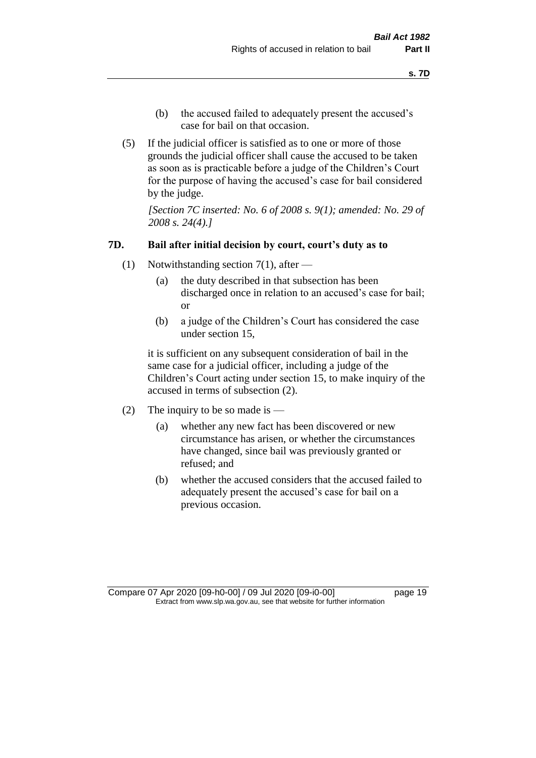- (b) the accused failed to adequately present the accused's case for bail on that occasion.
- (5) If the judicial officer is satisfied as to one or more of those grounds the judicial officer shall cause the accused to be taken as soon as is practicable before a judge of the Children's Court for the purpose of having the accused's case for bail considered by the judge.

*[Section 7C inserted: No. 6 of 2008 s. 9(1); amended: No. 29 of 2008 s. 24(4).]*

#### **7D. Bail after initial decision by court, court's duty as to**

- (1) Notwithstanding section 7(1), after
	- (a) the duty described in that subsection has been discharged once in relation to an accused's case for bail; or
	- (b) a judge of the Children's Court has considered the case under section 15,

it is sufficient on any subsequent consideration of bail in the same case for a judicial officer, including a judge of the Children's Court acting under section 15, to make inquiry of the accused in terms of subsection (2).

- (2) The inquiry to be so made is  $-$ 
	- (a) whether any new fact has been discovered or new circumstance has arisen, or whether the circumstances have changed, since bail was previously granted or refused; and
	- (b) whether the accused considers that the accused failed to adequately present the accused's case for bail on a previous occasion.

Compare 07 Apr 2020 [09-h0-00] / 09 Jul 2020 [09-i0-00] page 19 Extract from www.slp.wa.gov.au, see that website for further information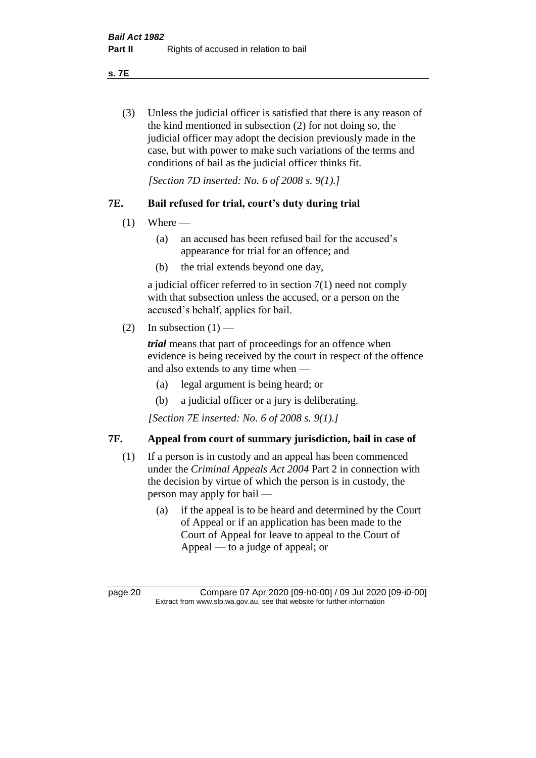**s. 7E**

(3) Unless the judicial officer is satisfied that there is any reason of the kind mentioned in subsection (2) for not doing so, the judicial officer may adopt the decision previously made in the case, but with power to make such variations of the terms and conditions of bail as the judicial officer thinks fit.

*[Section 7D inserted: No. 6 of 2008 s. 9(1).]*

# **7E. Bail refused for trial, court's duty during trial**

- $(1)$  Where
	- (a) an accused has been refused bail for the accused's appearance for trial for an offence; and
	- (b) the trial extends beyond one day,

a judicial officer referred to in section 7(1) need not comply with that subsection unless the accused, or a person on the accused's behalf, applies for bail.

(2) In subsection  $(1)$  —

*trial* means that part of proceedings for an offence when evidence is being received by the court in respect of the offence and also extends to any time when —

- (a) legal argument is being heard; or
- (b) a judicial officer or a jury is deliberating.

*[Section 7E inserted: No. 6 of 2008 s. 9(1).]*

# **7F. Appeal from court of summary jurisdiction, bail in case of**

- (1) If a person is in custody and an appeal has been commenced under the *Criminal Appeals Act 2004* Part 2 in connection with the decision by virtue of which the person is in custody, the person may apply for bail —
	- (a) if the appeal is to be heard and determined by the Court of Appeal or if an application has been made to the Court of Appeal for leave to appeal to the Court of Appeal — to a judge of appeal; or

page 20 Compare 07 Apr 2020 [09-h0-00] / 09 Jul 2020 [09-i0-00] Extract from www.slp.wa.gov.au, see that website for further information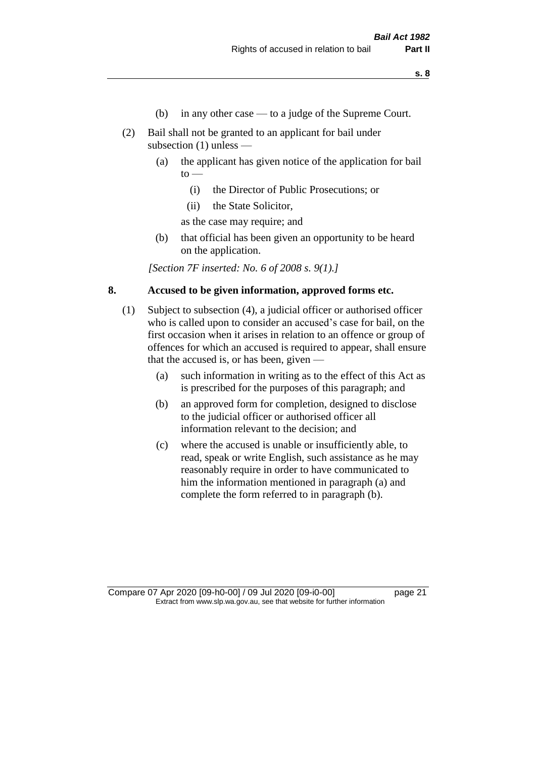- (b) in any other case to a judge of the Supreme Court.
- (2) Bail shall not be granted to an applicant for bail under subsection (1) unless —
	- (a) the applicant has given notice of the application for bail  $to -$ 
		- (i) the Director of Public Prosecutions; or
		- (ii) the State Solicitor,

as the case may require; and

(b) that official has been given an opportunity to be heard on the application.

*[Section 7F inserted: No. 6 of 2008 s. 9(1).]*

#### **8. Accused to be given information, approved forms etc.**

- (1) Subject to subsection (4), a judicial officer or authorised officer who is called upon to consider an accused's case for bail, on the first occasion when it arises in relation to an offence or group of offences for which an accused is required to appear, shall ensure that the accused is, or has been, given —
	- (a) such information in writing as to the effect of this Act as is prescribed for the purposes of this paragraph; and
	- (b) an approved form for completion, designed to disclose to the judicial officer or authorised officer all information relevant to the decision; and
	- (c) where the accused is unable or insufficiently able, to read, speak or write English, such assistance as he may reasonably require in order to have communicated to him the information mentioned in paragraph (a) and complete the form referred to in paragraph (b).

Compare 07 Apr 2020 [09-h0-00] / 09 Jul 2020 [09-i0-00] page 21 Extract from www.slp.wa.gov.au, see that website for further information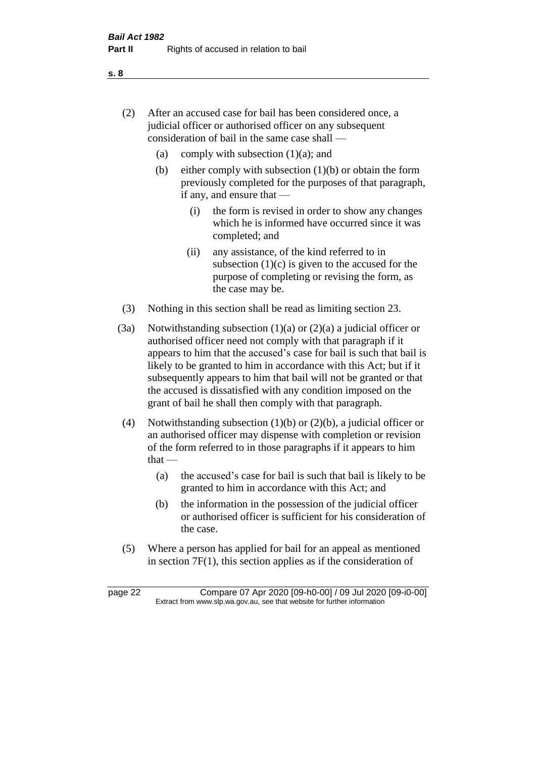- (2) After an accused case for bail has been considered once, a judicial officer or authorised officer on any subsequent consideration of bail in the same case shall —
	- (a) comply with subsection  $(1)(a)$ ; and
	- (b) either comply with subsection  $(1)(b)$  or obtain the form previously completed for the purposes of that paragraph, if any, and ensure that —
		- (i) the form is revised in order to show any changes which he is informed have occurred since it was completed; and
		- (ii) any assistance, of the kind referred to in subsection  $(1)(c)$  is given to the accused for the purpose of completing or revising the form, as the case may be.
- (3) Nothing in this section shall be read as limiting section 23.
- (3a) Notwithstanding subsection  $(1)(a)$  or  $(2)(a)$  a judicial officer or authorised officer need not comply with that paragraph if it appears to him that the accused's case for bail is such that bail is likely to be granted to him in accordance with this Act; but if it subsequently appears to him that bail will not be granted or that the accused is dissatisfied with any condition imposed on the grant of bail he shall then comply with that paragraph.
- (4) Notwithstanding subsection (1)(b) or (2)(b), a judicial officer or an authorised officer may dispense with completion or revision of the form referred to in those paragraphs if it appears to him  $that -$ 
	- (a) the accused's case for bail is such that bail is likely to be granted to him in accordance with this Act; and
	- (b) the information in the possession of the judicial officer or authorised officer is sufficient for his consideration of the case.
- (5) Where a person has applied for bail for an appeal as mentioned in section 7F(1), this section applies as if the consideration of

page 22 Compare 07 Apr 2020 [09-h0-00] / 09 Jul 2020 [09-i0-00] Extract from www.slp.wa.gov.au, see that website for further information

**s. 8**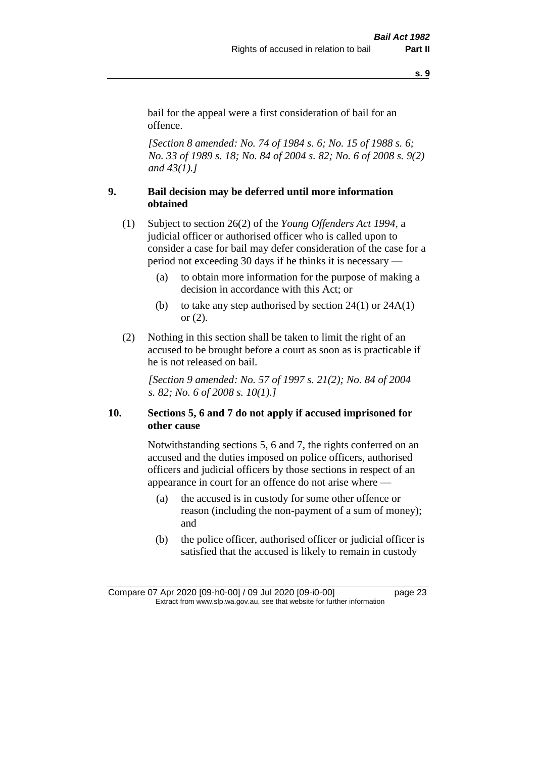bail for the appeal were a first consideration of bail for an offence.

*[Section 8 amended: No. 74 of 1984 s. 6; No. 15 of 1988 s. 6; No. 33 of 1989 s. 18; No. 84 of 2004 s. 82; No. 6 of 2008 s. 9(2) and 43(1).]* 

# **9. Bail decision may be deferred until more information obtained**

- (1) Subject to section 26(2) of the *Young Offenders Act 1994*, a judicial officer or authorised officer who is called upon to consider a case for bail may defer consideration of the case for a period not exceeding 30 days if he thinks it is necessary —
	- (a) to obtain more information for the purpose of making a decision in accordance with this Act; or
	- (b) to take any step authorised by section  $24(1)$  or  $24A(1)$ or (2).
- (2) Nothing in this section shall be taken to limit the right of an accused to be brought before a court as soon as is practicable if he is not released on bail.

*[Section 9 amended: No. 57 of 1997 s. 21(2); No. 84 of 2004 s. 82; No. 6 of 2008 s. 10(1).]*

# **10. Sections 5, 6 and 7 do not apply if accused imprisoned for other cause**

Notwithstanding sections 5, 6 and 7, the rights conferred on an accused and the duties imposed on police officers, authorised officers and judicial officers by those sections in respect of an appearance in court for an offence do not arise where —

- (a) the accused is in custody for some other offence or reason (including the non-payment of a sum of money); and
- (b) the police officer, authorised officer or judicial officer is satisfied that the accused is likely to remain in custody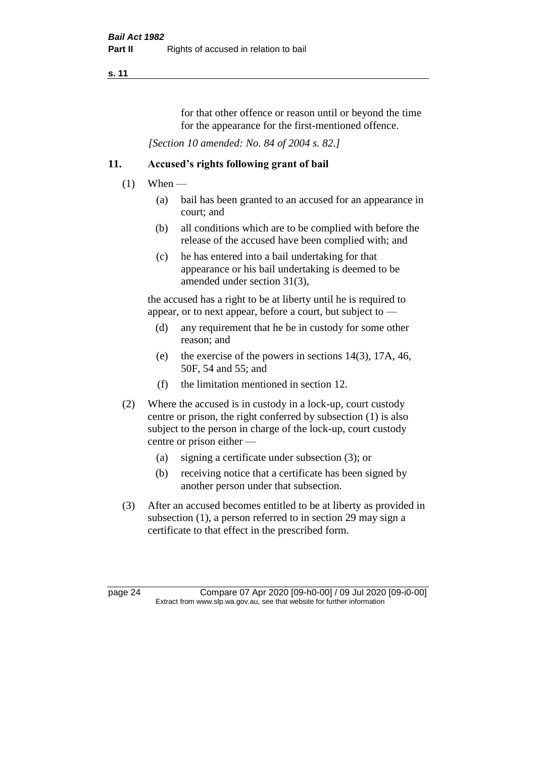for that other offence or reason until or beyond the time for the appearance for the first-mentioned offence.

*[Section 10 amended: No. 84 of 2004 s. 82.]*

# **11. Accused's rights following grant of bail**

- $(1)$  When
	- (a) bail has been granted to an accused for an appearance in court; and
	- (b) all conditions which are to be complied with before the release of the accused have been complied with; and
	- (c) he has entered into a bail undertaking for that appearance or his bail undertaking is deemed to be amended under section 31(3),

the accused has a right to be at liberty until he is required to appear, or to next appear, before a court, but subject to —

- (d) any requirement that he be in custody for some other reason; and
- (e) the exercise of the powers in sections 14(3), 17A, 46, 50F, 54 and 55; and
- (f) the limitation mentioned in section 12.
- (2) Where the accused is in custody in a lock-up, court custody centre or prison, the right conferred by subsection (1) is also subject to the person in charge of the lock-up, court custody centre or prison either —
	- (a) signing a certificate under subsection (3); or
	- (b) receiving notice that a certificate has been signed by another person under that subsection.
- (3) After an accused becomes entitled to be at liberty as provided in subsection (1), a person referred to in section 29 may sign a certificate to that effect in the prescribed form.

page 24 Compare 07 Apr 2020 [09-h0-00] / 09 Jul 2020 [09-i0-00] Extract from www.slp.wa.gov.au, see that website for further information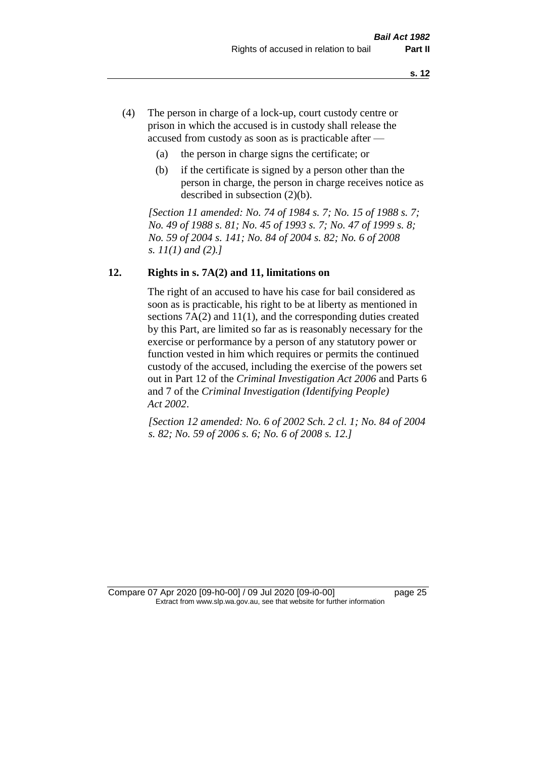- (4) The person in charge of a lock-up, court custody centre or prison in which the accused is in custody shall release the accused from custody as soon as is practicable after —
	- (a) the person in charge signs the certificate; or
	- (b) if the certificate is signed by a person other than the person in charge, the person in charge receives notice as described in subsection (2)(b).

*[Section 11 amended: No. 74 of 1984 s. 7; No. 15 of 1988 s. 7; No. 49 of 1988 s. 81; No. 45 of 1993 s. 7; No. 47 of 1999 s. 8; No. 59 of 2004 s. 141; No. 84 of 2004 s. 82; No. 6 of 2008 s. 11(1) and (2).]* 

#### **12. Rights in s. 7A(2) and 11, limitations on**

The right of an accused to have his case for bail considered as soon as is practicable, his right to be at liberty as mentioned in sections 7A(2) and 11(1), and the corresponding duties created by this Part, are limited so far as is reasonably necessary for the exercise or performance by a person of any statutory power or function vested in him which requires or permits the continued custody of the accused, including the exercise of the powers set out in Part 12 of the *Criminal Investigation Act 2006* and Parts 6 and 7 of the *Criminal Investigation (Identifying People) Act 2002*.

*[Section 12 amended: No. 6 of 2002 Sch. 2 cl. 1; No. 84 of 2004 s. 82; No. 59 of 2006 s. 6; No. 6 of 2008 s. 12.]*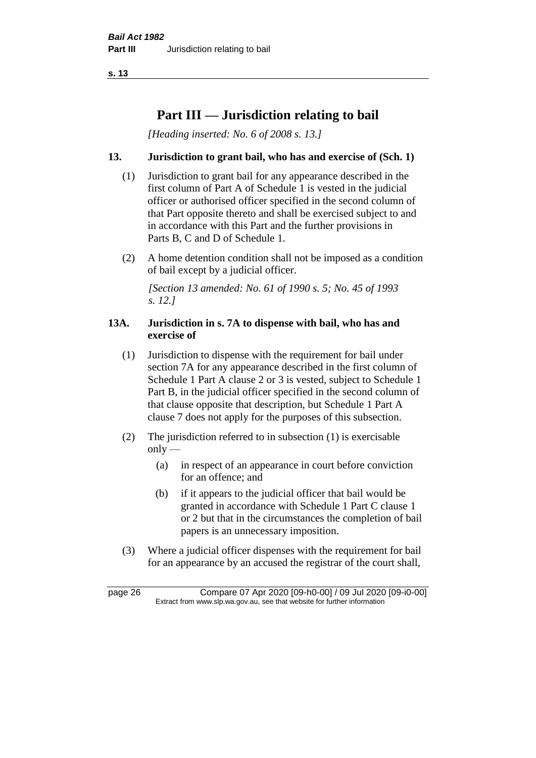# **Part III — Jurisdiction relating to bail**

*[Heading inserted: No. 6 of 2008 s. 13.]*

# **13. Jurisdiction to grant bail, who has and exercise of (Sch. 1)**

- (1) Jurisdiction to grant bail for any appearance described in the first column of Part A of Schedule 1 is vested in the judicial officer or authorised officer specified in the second column of that Part opposite thereto and shall be exercised subject to and in accordance with this Part and the further provisions in Parts B, C and D of Schedule 1.
- (2) A home detention condition shall not be imposed as a condition of bail except by a judicial officer.

*[Section 13 amended: No. 61 of 1990 s. 5; No. 45 of 1993 s. 12.]* 

#### **13A. Jurisdiction in s. 7A to dispense with bail, who has and exercise of**

- (1) Jurisdiction to dispense with the requirement for bail under section 7A for any appearance described in the first column of Schedule 1 Part A clause 2 or 3 is vested, subject to Schedule 1 Part B, in the judicial officer specified in the second column of that clause opposite that description, but Schedule 1 Part A clause 7 does not apply for the purposes of this subsection.
- (2) The jurisdiction referred to in subsection (1) is exercisable  $only$ —
	- (a) in respect of an appearance in court before conviction for an offence; and
	- (b) if it appears to the judicial officer that bail would be granted in accordance with Schedule 1 Part C clause 1 or 2 but that in the circumstances the completion of bail papers is an unnecessary imposition.
- (3) Where a judicial officer dispenses with the requirement for bail for an appearance by an accused the registrar of the court shall,

page 26 Compare 07 Apr 2020 [09-h0-00] / 09 Jul 2020 [09-i0-00] Extract from www.slp.wa.gov.au, see that website for further information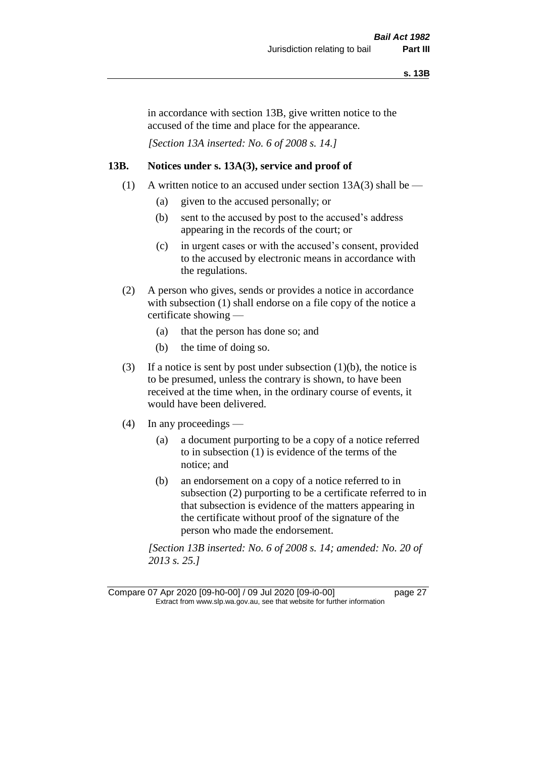in accordance with section 13B, give written notice to the accused of the time and place for the appearance.

*[Section 13A inserted: No. 6 of 2008 s. 14.]*

#### **13B. Notices under s. 13A(3), service and proof of**

- (1) A written notice to an accused under section  $13A(3)$  shall be
	- (a) given to the accused personally; or
	- (b) sent to the accused by post to the accused's address appearing in the records of the court; or
	- (c) in urgent cases or with the accused's consent, provided to the accused by electronic means in accordance with the regulations.
- (2) A person who gives, sends or provides a notice in accordance with subsection (1) shall endorse on a file copy of the notice a certificate showing —
	- (a) that the person has done so; and
	- (b) the time of doing so.
- (3) If a notice is sent by post under subsection  $(1)(b)$ , the notice is to be presumed, unless the contrary is shown, to have been received at the time when, in the ordinary course of events, it would have been delivered.
- (4) In any proceedings
	- (a) a document purporting to be a copy of a notice referred to in subsection (1) is evidence of the terms of the notice; and
	- (b) an endorsement on a copy of a notice referred to in subsection (2) purporting to be a certificate referred to in that subsection is evidence of the matters appearing in the certificate without proof of the signature of the person who made the endorsement.

*[Section 13B inserted: No. 6 of 2008 s. 14; amended: No. 20 of 2013 s. 25.]*

Compare 07 Apr 2020 [09-h0-00] / 09 Jul 2020 [09-i0-00] page 27 Extract from www.slp.wa.gov.au, see that website for further information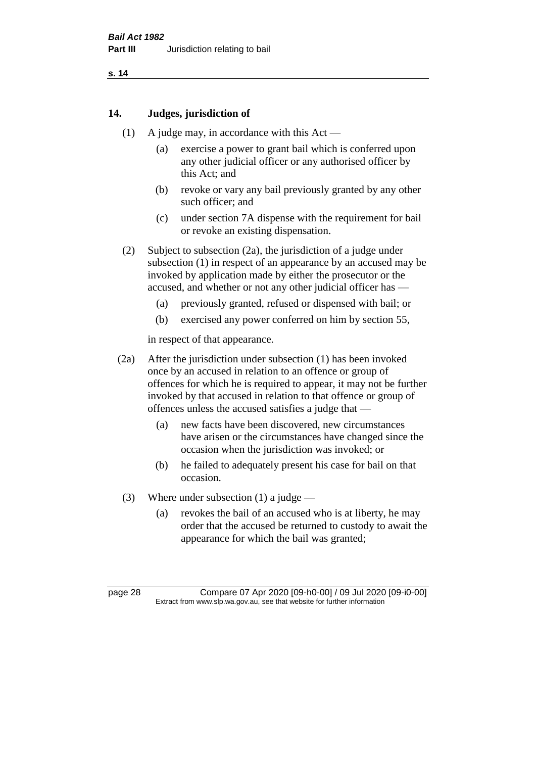#### **14. Judges, jurisdiction of**

- (1) A judge may, in accordance with this Act
	- (a) exercise a power to grant bail which is conferred upon any other judicial officer or any authorised officer by this Act; and
	- (b) revoke or vary any bail previously granted by any other such officer; and
	- (c) under section 7A dispense with the requirement for bail or revoke an existing dispensation.
- (2) Subject to subsection (2a), the jurisdiction of a judge under subsection (1) in respect of an appearance by an accused may be invoked by application made by either the prosecutor or the accused, and whether or not any other judicial officer has —
	- (a) previously granted, refused or dispensed with bail; or
	- (b) exercised any power conferred on him by section 55,

in respect of that appearance.

- (2a) After the jurisdiction under subsection (1) has been invoked once by an accused in relation to an offence or group of offences for which he is required to appear, it may not be further invoked by that accused in relation to that offence or group of offences unless the accused satisfies a judge that —
	- (a) new facts have been discovered, new circumstances have arisen or the circumstances have changed since the occasion when the jurisdiction was invoked; or
	- (b) he failed to adequately present his case for bail on that occasion.
- (3) Where under subsection (1) a judge
	- (a) revokes the bail of an accused who is at liberty, he may order that the accused be returned to custody to await the appearance for which the bail was granted;

page 28 Compare 07 Apr 2020 [09-h0-00] / 09 Jul 2020 [09-i0-00] Extract from www.slp.wa.gov.au, see that website for further information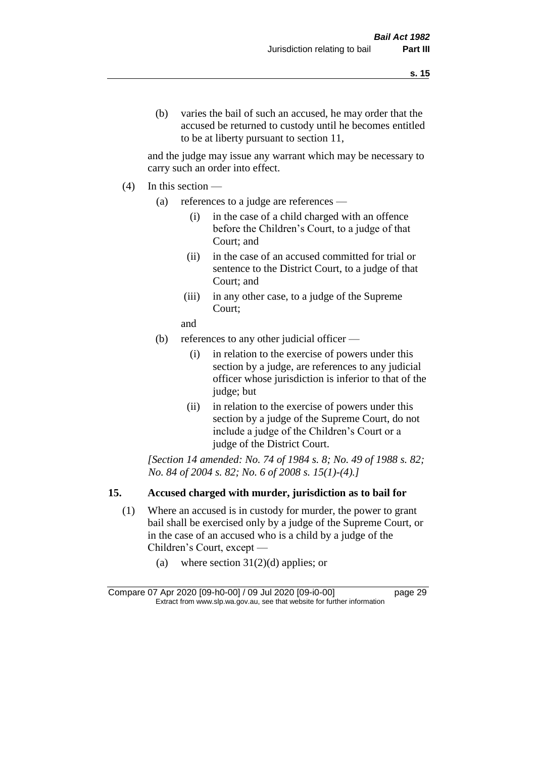and the judge may issue any warrant which may be necessary to carry such an order into effect.

- (4) In this section
	- (a) references to a judge are references
		- (i) in the case of a child charged with an offence before the Children's Court, to a judge of that Court; and
		- (ii) in the case of an accused committed for trial or sentence to the District Court, to a judge of that Court; and
		- (iii) in any other case, to a judge of the Supreme Court;
		- and
	- (b) references to any other judicial officer
		- (i) in relation to the exercise of powers under this section by a judge, are references to any judicial officer whose jurisdiction is inferior to that of the judge; but
		- (ii) in relation to the exercise of powers under this section by a judge of the Supreme Court, do not include a judge of the Children's Court or a judge of the District Court.

*[Section 14 amended: No. 74 of 1984 s. 8; No. 49 of 1988 s. 82; No. 84 of 2004 s. 82; No. 6 of 2008 s. 15(1)-(4).]* 

# **15. Accused charged with murder, jurisdiction as to bail for**

- (1) Where an accused is in custody for murder, the power to grant bail shall be exercised only by a judge of the Supreme Court, or in the case of an accused who is a child by a judge of the Children's Court, except —
	- (a) where section  $31(2)(d)$  applies; or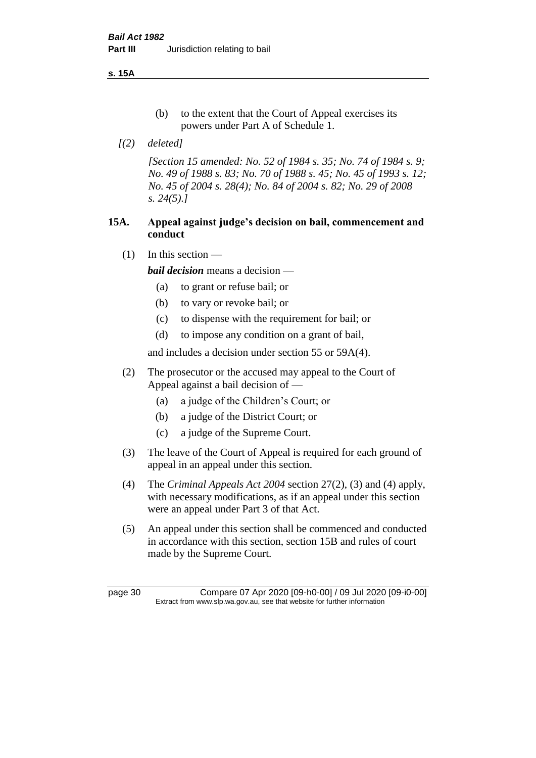**s. 15A**

- (b) to the extent that the Court of Appeal exercises its powers under Part A of Schedule 1.
- *[(2) deleted]*

*[Section 15 amended: No. 52 of 1984 s. 35; No. 74 of 1984 s. 9; No. 49 of 1988 s. 83; No. 70 of 1988 s. 45; No. 45 of 1993 s. 12; No. 45 of 2004 s. 28(4); No. 84 of 2004 s. 82; No. 29 of 2008 s. 24(5).]* 

# **15A. Appeal against judge's decision on bail, commencement and conduct**

 $(1)$  In this section —

*bail decision* means a decision —

- (a) to grant or refuse bail; or
- (b) to vary or revoke bail; or
- (c) to dispense with the requirement for bail; or
- (d) to impose any condition on a grant of bail,

and includes a decision under section 55 or 59A(4).

- (2) The prosecutor or the accused may appeal to the Court of Appeal against a bail decision of —
	- (a) a judge of the Children's Court; or
	- (b) a judge of the District Court; or
	- (c) a judge of the Supreme Court.
- (3) The leave of the Court of Appeal is required for each ground of appeal in an appeal under this section.
- (4) The *Criminal Appeals Act 2004* section 27(2), (3) and (4) apply, with necessary modifications, as if an appeal under this section were an appeal under Part 3 of that Act.
- (5) An appeal under this section shall be commenced and conducted in accordance with this section, section 15B and rules of court made by the Supreme Court.

page 30 Compare 07 Apr 2020 [09-h0-00] / 09 Jul 2020 [09-i0-00] Extract from www.slp.wa.gov.au, see that website for further information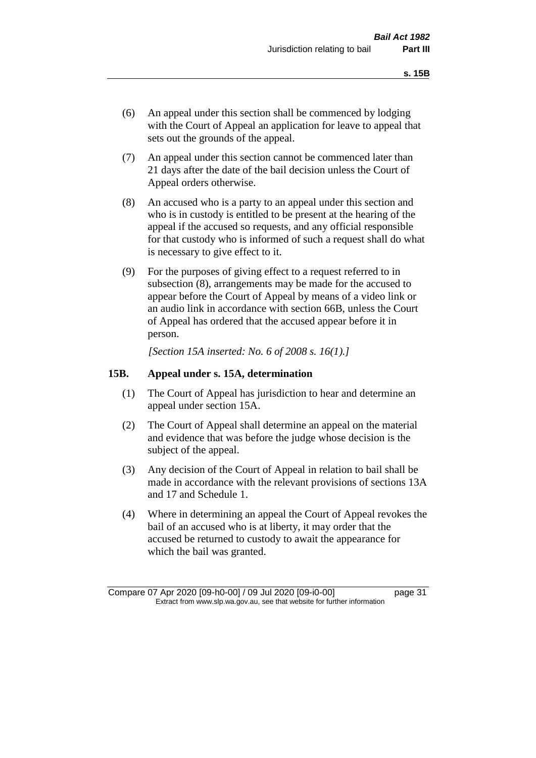- (6) An appeal under this section shall be commenced by lodging with the Court of Appeal an application for leave to appeal that sets out the grounds of the appeal.
- (7) An appeal under this section cannot be commenced later than 21 days after the date of the bail decision unless the Court of Appeal orders otherwise.
- (8) An accused who is a party to an appeal under this section and who is in custody is entitled to be present at the hearing of the appeal if the accused so requests, and any official responsible for that custody who is informed of such a request shall do what is necessary to give effect to it.
- (9) For the purposes of giving effect to a request referred to in subsection (8), arrangements may be made for the accused to appear before the Court of Appeal by means of a video link or an audio link in accordance with section 66B, unless the Court of Appeal has ordered that the accused appear before it in person.

*[Section 15A inserted: No. 6 of 2008 s. 16(1).]*

#### **15B. Appeal under s. 15A, determination**

- (1) The Court of Appeal has jurisdiction to hear and determine an appeal under section 15A.
- (2) The Court of Appeal shall determine an appeal on the material and evidence that was before the judge whose decision is the subject of the appeal.
- (3) Any decision of the Court of Appeal in relation to bail shall be made in accordance with the relevant provisions of sections 13A and 17 and Schedule 1.
- (4) Where in determining an appeal the Court of Appeal revokes the bail of an accused who is at liberty, it may order that the accused be returned to custody to await the appearance for which the bail was granted.

Compare 07 Apr 2020 [09-h0-00] / 09 Jul 2020 [09-i0-00] page 31 Extract from www.slp.wa.gov.au, see that website for further information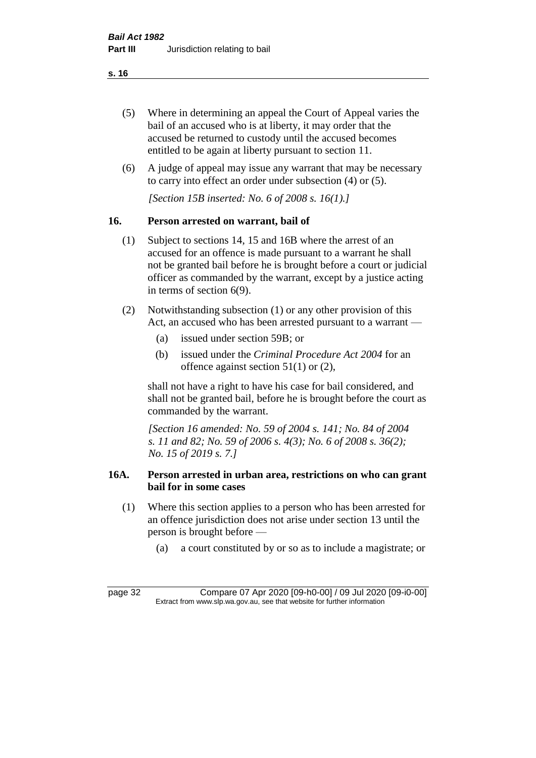- (5) Where in determining an appeal the Court of Appeal varies the bail of an accused who is at liberty, it may order that the accused be returned to custody until the accused becomes entitled to be again at liberty pursuant to section 11.
- (6) A judge of appeal may issue any warrant that may be necessary to carry into effect an order under subsection (4) or (5).

*[Section 15B inserted: No. 6 of 2008 s. 16(1).]*

# **16. Person arrested on warrant, bail of**

- (1) Subject to sections 14, 15 and 16B where the arrest of an accused for an offence is made pursuant to a warrant he shall not be granted bail before he is brought before a court or judicial officer as commanded by the warrant, except by a justice acting in terms of section 6(9).
- (2) Notwithstanding subsection (1) or any other provision of this Act, an accused who has been arrested pursuant to a warrant —
	- (a) issued under section 59B; or
	- (b) issued under the *Criminal Procedure Act 2004* for an offence against section 51(1) or (2),

shall not have a right to have his case for bail considered, and shall not be granted bail, before he is brought before the court as commanded by the warrant.

*[Section 16 amended: No. 59 of 2004 s. 141; No. 84 of 2004 s. 11 and 82; No. 59 of 2006 s. 4(3); No. 6 of 2008 s. 36(2); No. 15 of 2019 s. 7.]*

# **16A. Person arrested in urban area, restrictions on who can grant bail for in some cases**

- (1) Where this section applies to a person who has been arrested for an offence jurisdiction does not arise under section 13 until the person is brought before —
	- (a) a court constituted by or so as to include a magistrate; or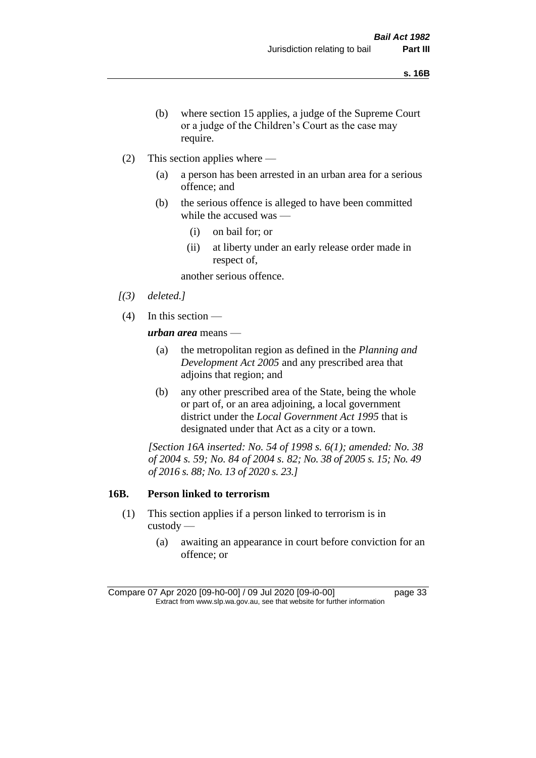- (b) where section 15 applies, a judge of the Supreme Court or a judge of the Children's Court as the case may require.
- (2) This section applies where
	- (a) a person has been arrested in an urban area for a serious offence; and
	- (b) the serious offence is alleged to have been committed while the accused was —
		- (i) on bail for; or
		- (ii) at liberty under an early release order made in respect of,

another serious offence.

- *[(3) deleted.]*
- (4) In this section —

*urban area* means —

- (a) the metropolitan region as defined in the *Planning and Development Act 2005* and any prescribed area that adjoins that region; and
- (b) any other prescribed area of the State, being the whole or part of, or an area adjoining, a local government district under the *Local Government Act 1995* that is designated under that Act as a city or a town.

*[Section 16A inserted: No. 54 of 1998 s. 6(1); amended: No. 38 of 2004 s. 59; No. 84 of 2004 s. 82; No. 38 of 2005 s. 15; No. 49 of 2016 s. 88; No. 13 of 2020 s. 23.]*

#### **16B. Person linked to terrorism**

- (1) This section applies if a person linked to terrorism is in custody —
	- (a) awaiting an appearance in court before conviction for an offence; or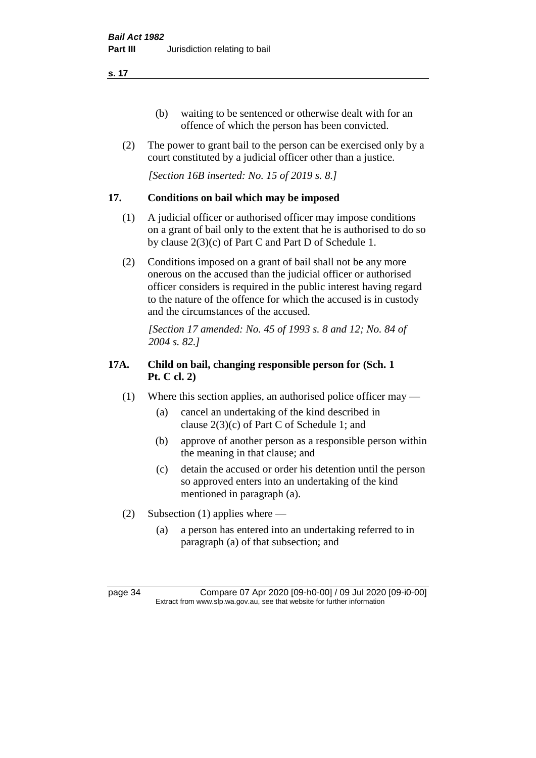- (b) waiting to be sentenced or otherwise dealt with for an offence of which the person has been convicted.
- (2) The power to grant bail to the person can be exercised only by a court constituted by a judicial officer other than a justice.

*[Section 16B inserted: No. 15 of 2019 s. 8.]*

# **17. Conditions on bail which may be imposed**

- (1) A judicial officer or authorised officer may impose conditions on a grant of bail only to the extent that he is authorised to do so by clause 2(3)(c) of Part C and Part D of Schedule 1.
- (2) Conditions imposed on a grant of bail shall not be any more onerous on the accused than the judicial officer or authorised officer considers is required in the public interest having regard to the nature of the offence for which the accused is in custody and the circumstances of the accused.

*[Section 17 amended: No. 45 of 1993 s. 8 and 12; No. 84 of 2004 s. 82.]* 

# **17A. Child on bail, changing responsible person for (Sch. 1 Pt. C cl. 2)**

- (1) Where this section applies, an authorised police officer may
	- (a) cancel an undertaking of the kind described in clause 2(3)(c) of Part C of Schedule 1; and
	- (b) approve of another person as a responsible person within the meaning in that clause; and
	- (c) detain the accused or order his detention until the person so approved enters into an undertaking of the kind mentioned in paragraph (a).
- (2) Subsection (1) applies where
	- (a) a person has entered into an undertaking referred to in paragraph (a) of that subsection; and

page 34 Compare 07 Apr 2020 [09-h0-00] / 09 Jul 2020 [09-i0-00] Extract from www.slp.wa.gov.au, see that website for further information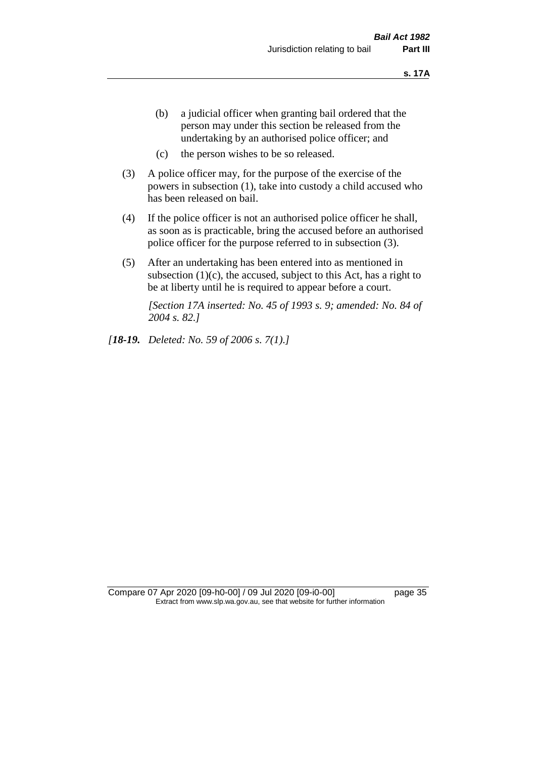- (b) a judicial officer when granting bail ordered that the person may under this section be released from the undertaking by an authorised police officer; and
- (c) the person wishes to be so released.
- (3) A police officer may, for the purpose of the exercise of the powers in subsection (1), take into custody a child accused who has been released on bail.
- (4) If the police officer is not an authorised police officer he shall, as soon as is practicable, bring the accused before an authorised police officer for the purpose referred to in subsection (3).
- (5) After an undertaking has been entered into as mentioned in subsection  $(1)(c)$ , the accused, subject to this Act, has a right to be at liberty until he is required to appear before a court.

*[Section 17A inserted: No. 45 of 1993 s. 9; amended: No. 84 of 2004 s. 82.]* 

*[18-19. Deleted: No. 59 of 2006 s. 7(1).]*

Compare 07 Apr 2020 [09-h0-00] / 09 Jul 2020 [09-i0-00] page 35 Extract from www.slp.wa.gov.au, see that website for further information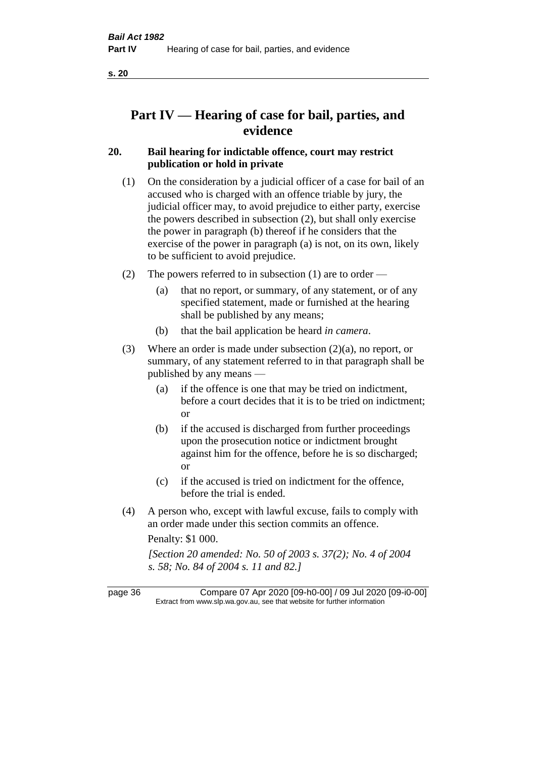# **Part IV — Hearing of case for bail, parties, and evidence**

## **20. Bail hearing for indictable offence, court may restrict publication or hold in private**

- (1) On the consideration by a judicial officer of a case for bail of an accused who is charged with an offence triable by jury, the judicial officer may, to avoid prejudice to either party, exercise the powers described in subsection (2), but shall only exercise the power in paragraph (b) thereof if he considers that the exercise of the power in paragraph (a) is not, on its own, likely to be sufficient to avoid prejudice.
- (2) The powers referred to in subsection (1) are to order
	- (a) that no report, or summary, of any statement, or of any specified statement, made or furnished at the hearing shall be published by any means;
	- (b) that the bail application be heard *in camera*.
- (3) Where an order is made under subsection (2)(a), no report, or summary, of any statement referred to in that paragraph shall be published by any means —
	- (a) if the offence is one that may be tried on indictment, before a court decides that it is to be tried on indictment; or
	- (b) if the accused is discharged from further proceedings upon the prosecution notice or indictment brought against him for the offence, before he is so discharged; or
	- (c) if the accused is tried on indictment for the offence, before the trial is ended.
- (4) A person who, except with lawful excuse, fails to comply with an order made under this section commits an offence.

Penalty: \$1 000.

*[Section 20 amended: No. 50 of 2003 s. 37(2); No. 4 of 2004 s. 58; No. 84 of 2004 s. 11 and 82.]*

page 36 Compare 07 Apr 2020 [09-h0-00] / 09 Jul 2020 [09-i0-00] Extract from www.slp.wa.gov.au, see that website for further information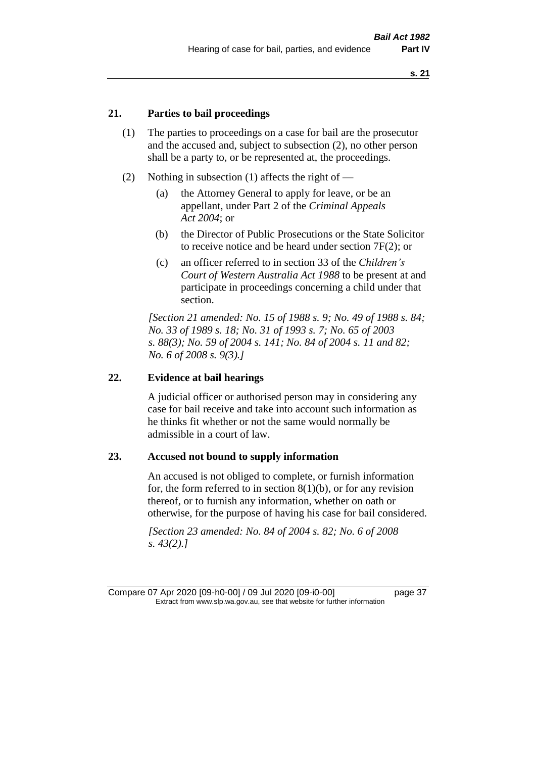## **21. Parties to bail proceedings**

- (1) The parties to proceedings on a case for bail are the prosecutor and the accused and, subject to subsection (2), no other person shall be a party to, or be represented at, the proceedings.
- (2) Nothing in subsection (1) affects the right of
	- (a) the Attorney General to apply for leave, or be an appellant, under Part 2 of the *Criminal Appeals Act 2004*; or
	- (b) the Director of Public Prosecutions or the State Solicitor to receive notice and be heard under section 7F(2); or
	- (c) an officer referred to in section 33 of the *Children's Court of Western Australia Act 1988* to be present at and participate in proceedings concerning a child under that section.

*[Section 21 amended: No. 15 of 1988 s. 9; No. 49 of 1988 s. 84; No. 33 of 1989 s. 18; No. 31 of 1993 s. 7; No. 65 of 2003 s. 88(3); No. 59 of 2004 s. 141; No. 84 of 2004 s. 11 and 82; No. 6 of 2008 s. 9(3).]* 

#### **22. Evidence at bail hearings**

A judicial officer or authorised person may in considering any case for bail receive and take into account such information as he thinks fit whether or not the same would normally be admissible in a court of law.

#### **23. Accused not bound to supply information**

An accused is not obliged to complete, or furnish information for, the form referred to in section  $8(1)(b)$ , or for any revision thereof, or to furnish any information, whether on oath or otherwise, for the purpose of having his case for bail considered.

*[Section 23 amended: No. 84 of 2004 s. 82; No. 6 of 2008 s. 43(2).]* 

Compare 07 Apr 2020 [09-h0-00] / 09 Jul 2020 [09-i0-00] page 37 Extract from www.slp.wa.gov.au, see that website for further information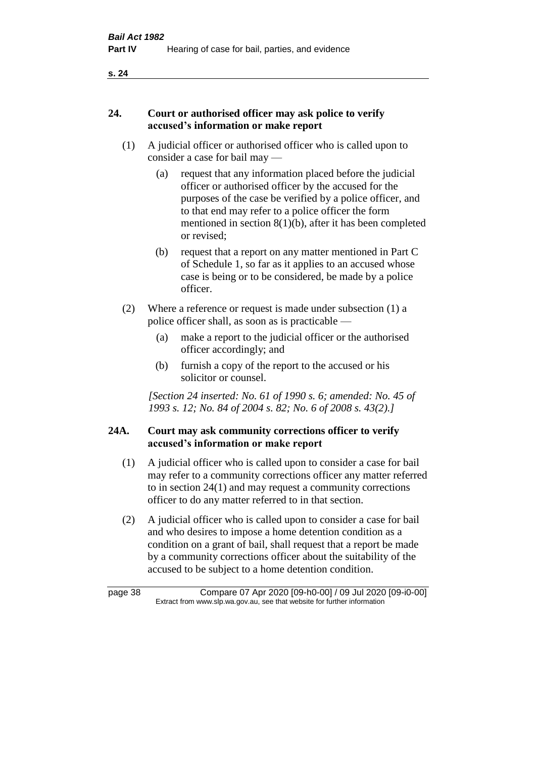## **24. Court or authorised officer may ask police to verify accused's information or make report**

- (1) A judicial officer or authorised officer who is called upon to consider a case for bail may —
	- (a) request that any information placed before the judicial officer or authorised officer by the accused for the purposes of the case be verified by a police officer, and to that end may refer to a police officer the form mentioned in section 8(1)(b), after it has been completed or revised;
	- (b) request that a report on any matter mentioned in Part C of Schedule 1, so far as it applies to an accused whose case is being or to be considered, be made by a police officer.
- (2) Where a reference or request is made under subsection (1) a police officer shall, as soon as is practicable —
	- (a) make a report to the judicial officer or the authorised officer accordingly; and
	- (b) furnish a copy of the report to the accused or his solicitor or counsel.

*[Section 24 inserted: No. 61 of 1990 s. 6; amended: No. 45 of 1993 s. 12; No. 84 of 2004 s. 82; No. 6 of 2008 s. 43(2).]* 

## **24A. Court may ask community corrections officer to verify accused's information or make report**

- (1) A judicial officer who is called upon to consider a case for bail may refer to a community corrections officer any matter referred to in section 24(1) and may request a community corrections officer to do any matter referred to in that section.
- (2) A judicial officer who is called upon to consider a case for bail and who desires to impose a home detention condition as a condition on a grant of bail, shall request that a report be made by a community corrections officer about the suitability of the accused to be subject to a home detention condition.

| page 38 | Compare 07 Apr 2020 [09-h0-00] / 09 Jul 2020 [09-i0-00]                  |  |
|---------|--------------------------------------------------------------------------|--|
|         | Extract from www.slp.wa.gov.au, see that website for further information |  |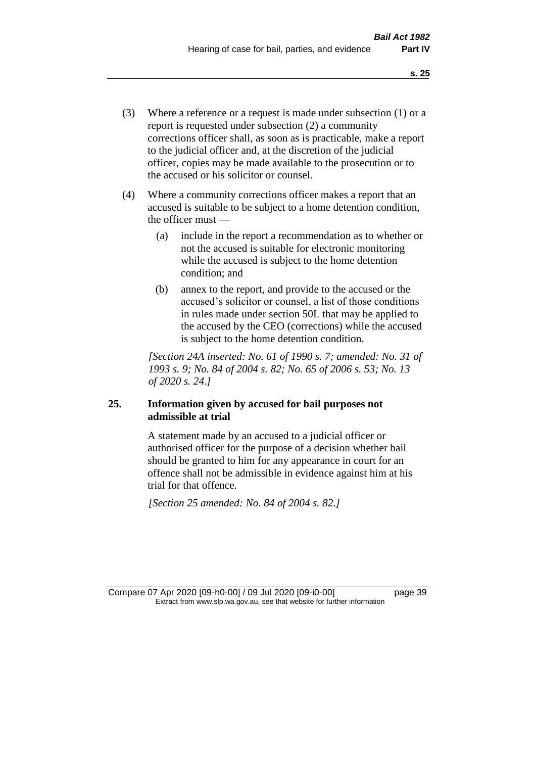- (3) Where a reference or a request is made under subsection (1) or a report is requested under subsection (2) a community corrections officer shall, as soon as is practicable, make a report to the judicial officer and, at the discretion of the judicial officer, copies may be made available to the prosecution or to the accused or his solicitor or counsel.
- (4) Where a community corrections officer makes a report that an accused is suitable to be subject to a home detention condition, the officer must —
	- (a) include in the report a recommendation as to whether or not the accused is suitable for electronic monitoring while the accused is subject to the home detention condition; and
	- (b) annex to the report, and provide to the accused or the accused's solicitor or counsel, a list of those conditions in rules made under section 50L that may be applied to the accused by the CEO (corrections) while the accused is subject to the home detention condition.

*[Section 24A inserted: No. 61 of 1990 s. 7; amended: No. 31 of 1993 s. 9; No. 84 of 2004 s. 82; No. 65 of 2006 s. 53; No. 13 of 2020 s. 24.]* 

## **25. Information given by accused for bail purposes not admissible at trial**

A statement made by an accused to a judicial officer or authorised officer for the purpose of a decision whether bail should be granted to him for any appearance in court for an offence shall not be admissible in evidence against him at his trial for that offence.

*[Section 25 amended: No. 84 of 2004 s. 82.]* 

Compare 07 Apr 2020 [09-h0-00] / 09 Jul 2020 [09-i0-00] page 39 Extract from www.slp.wa.gov.au, see that website for further information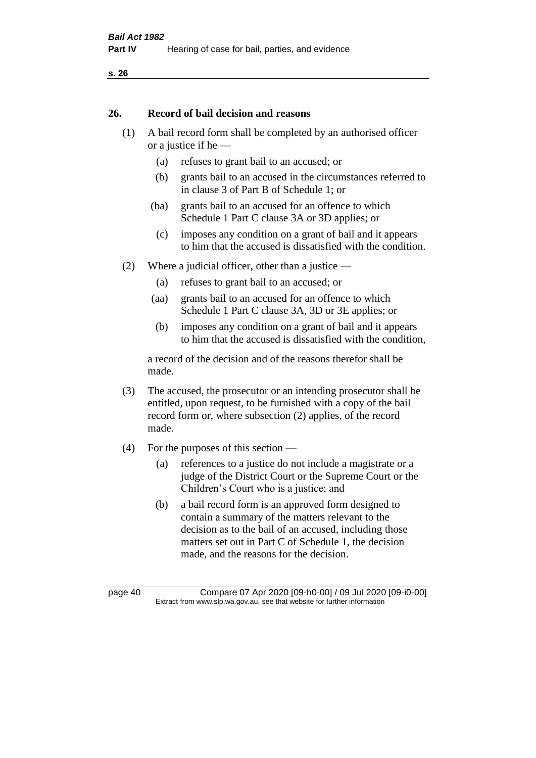#### **26. Record of bail decision and reasons**

- (1) A bail record form shall be completed by an authorised officer or a justice if he —
	- (a) refuses to grant bail to an accused; or
	- (b) grants bail to an accused in the circumstances referred to in clause 3 of Part B of Schedule 1; or
	- (ba) grants bail to an accused for an offence to which Schedule 1 Part C clause 3A or 3D applies; or
	- (c) imposes any condition on a grant of bail and it appears to him that the accused is dissatisfied with the condition.
- (2) Where a judicial officer, other than a justice
	- (a) refuses to grant bail to an accused; or
	- (aa) grants bail to an accused for an offence to which Schedule 1 Part C clause 3A, 3D or 3E applies; or
	- (b) imposes any condition on a grant of bail and it appears to him that the accused is dissatisfied with the condition,

a record of the decision and of the reasons therefor shall be made.

- (3) The accused, the prosecutor or an intending prosecutor shall be entitled, upon request, to be furnished with a copy of the bail record form or, where subsection (2) applies, of the record made.
- (4) For the purposes of this section
	- (a) references to a justice do not include a magistrate or a judge of the District Court or the Supreme Court or the Children's Court who is a justice; and
	- (b) a bail record form is an approved form designed to contain a summary of the matters relevant to the decision as to the bail of an accused, including those matters set out in Part C of Schedule 1, the decision made, and the reasons for the decision.

page 40 Compare 07 Apr 2020 [09-h0-00] / 09 Jul 2020 [09-i0-00] Extract from www.slp.wa.gov.au, see that website for further information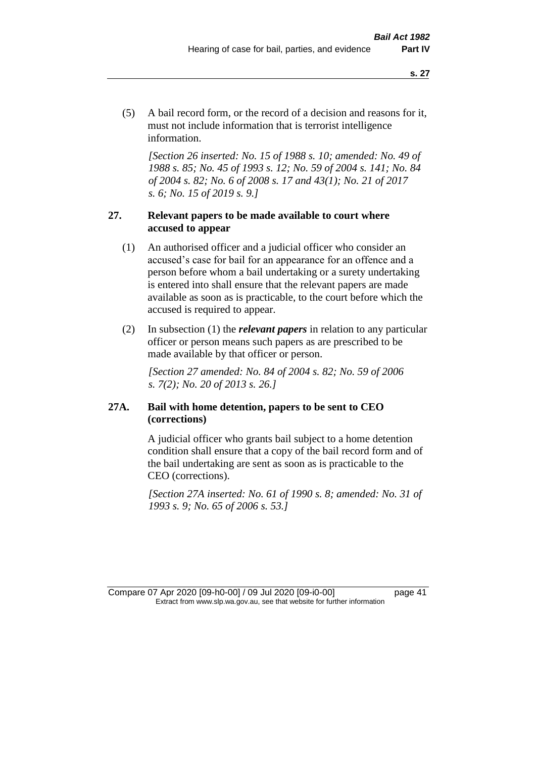(5) A bail record form, or the record of a decision and reasons for it, must not include information that is terrorist intelligence information.

*[Section 26 inserted: No. 15 of 1988 s. 10; amended: No. 49 of 1988 s. 85; No. 45 of 1993 s. 12; No. 59 of 2004 s. 141; No. 84 of 2004 s. 82; No. 6 of 2008 s. 17 and 43(1); No. 21 of 2017 s. 6; No. 15 of 2019 s. 9.]* 

## **27. Relevant papers to be made available to court where accused to appear**

- (1) An authorised officer and a judicial officer who consider an accused's case for bail for an appearance for an offence and a person before whom a bail undertaking or a surety undertaking is entered into shall ensure that the relevant papers are made available as soon as is practicable, to the court before which the accused is required to appear.
- (2) In subsection (1) the *relevant papers* in relation to any particular officer or person means such papers as are prescribed to be made available by that officer or person.

*[Section 27 amended: No. 84 of 2004 s. 82; No. 59 of 2006 s. 7(2); No. 20 of 2013 s. 26.]* 

## **27A. Bail with home detention, papers to be sent to CEO (corrections)**

A judicial officer who grants bail subject to a home detention condition shall ensure that a copy of the bail record form and of the bail undertaking are sent as soon as is practicable to the CEO (corrections).

*[Section 27A inserted: No. 61 of 1990 s. 8; amended: No. 31 of 1993 s. 9; No. 65 of 2006 s. 53.]* 

Compare 07 Apr 2020 [09-h0-00] / 09 Jul 2020 [09-i0-00] page 41 Extract from www.slp.wa.gov.au, see that website for further information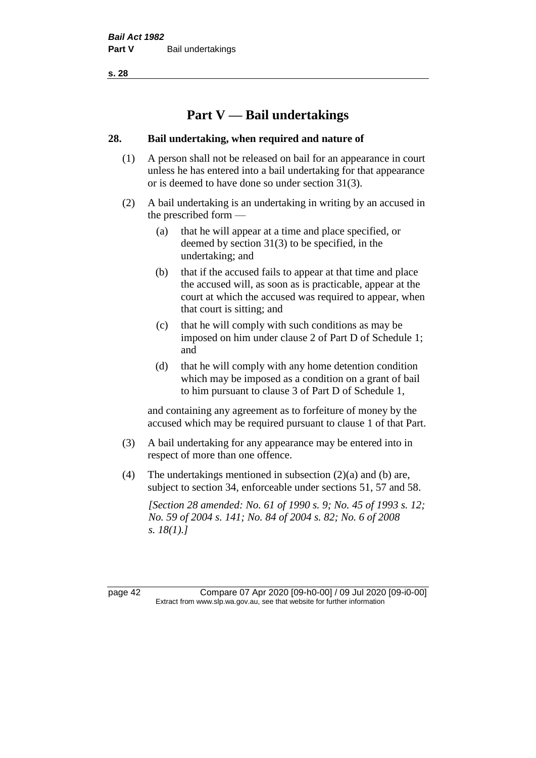# **Part V — Bail undertakings**

## **28. Bail undertaking, when required and nature of**

- (1) A person shall not be released on bail for an appearance in court unless he has entered into a bail undertaking for that appearance or is deemed to have done so under section 31(3).
- (2) A bail undertaking is an undertaking in writing by an accused in the prescribed form —
	- (a) that he will appear at a time and place specified, or deemed by section 31(3) to be specified, in the undertaking; and
	- (b) that if the accused fails to appear at that time and place the accused will, as soon as is practicable, appear at the court at which the accused was required to appear, when that court is sitting; and
	- (c) that he will comply with such conditions as may be imposed on him under clause 2 of Part D of Schedule 1; and
	- (d) that he will comply with any home detention condition which may be imposed as a condition on a grant of bail to him pursuant to clause 3 of Part D of Schedule 1,

and containing any agreement as to forfeiture of money by the accused which may be required pursuant to clause 1 of that Part.

- (3) A bail undertaking for any appearance may be entered into in respect of more than one offence.
- (4) The undertakings mentioned in subsection (2)(a) and (b) are, subject to section 34, enforceable under sections 51, 57 and 58.

*[Section 28 amended: No. 61 of 1990 s. 9; No. 45 of 1993 s. 12; No. 59 of 2004 s. 141; No. 84 of 2004 s. 82; No. 6 of 2008 s. 18(1).]* 

page 42 Compare 07 Apr 2020 [09-h0-00] / 09 Jul 2020 [09-i0-00] Extract from www.slp.wa.gov.au, see that website for further information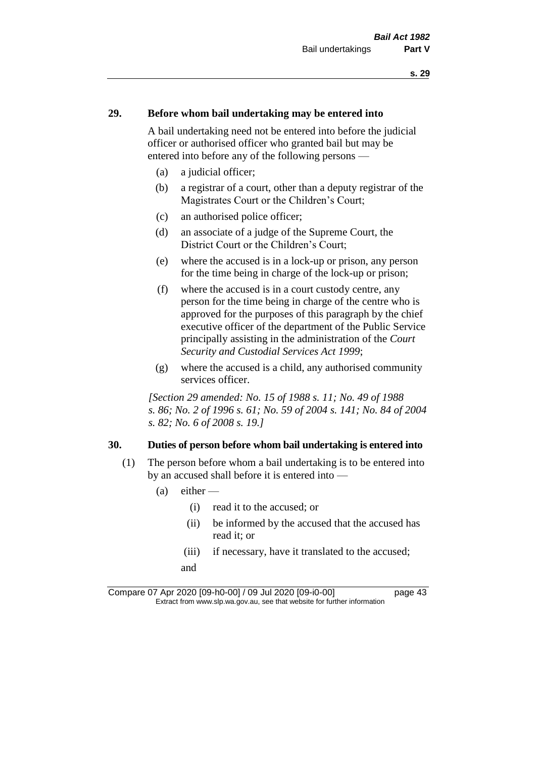## **29. Before whom bail undertaking may be entered into**

A bail undertaking need not be entered into before the judicial officer or authorised officer who granted bail but may be entered into before any of the following persons —

- (a) a judicial officer;
- (b) a registrar of a court, other than a deputy registrar of the Magistrates Court or the Children's Court;
- (c) an authorised police officer;
- (d) an associate of a judge of the Supreme Court, the District Court or the Children's Court;
- (e) where the accused is in a lock-up or prison, any person for the time being in charge of the lock-up or prison;
- (f) where the accused is in a court custody centre, any person for the time being in charge of the centre who is approved for the purposes of this paragraph by the chief executive officer of the department of the Public Service principally assisting in the administration of the *Court Security and Custodial Services Act 1999*;
- (g) where the accused is a child, any authorised community services officer.

*[Section 29 amended: No. 15 of 1988 s. 11; No. 49 of 1988 s. 86; No. 2 of 1996 s. 61; No. 59 of 2004 s. 141; No. 84 of 2004 s. 82; No. 6 of 2008 s. 19.]* 

#### **30. Duties of person before whom bail undertaking is entered into**

- (1) The person before whom a bail undertaking is to be entered into by an accused shall before it is entered into —
	- $(a)$  either
		- (i) read it to the accused; or
		- (ii) be informed by the accused that the accused has read it; or
		- (iii) if necessary, have it translated to the accused; and

Compare 07 Apr 2020 [09-h0-00] / 09 Jul 2020 [09-i0-00] page 43 Extract from www.slp.wa.gov.au, see that website for further information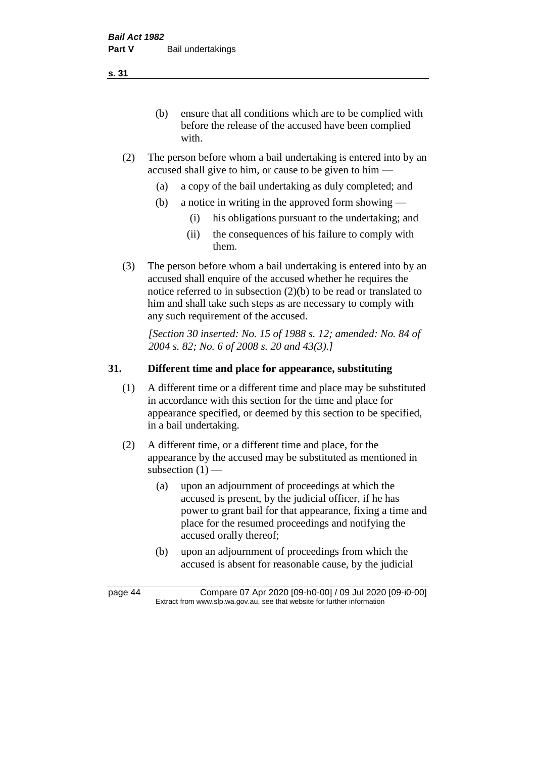(b) ensure that all conditions which are to be complied with before the release of the accused have been complied with.

- (2) The person before whom a bail undertaking is entered into by an accused shall give to him, or cause to be given to him —
	- (a) a copy of the bail undertaking as duly completed; and
	- (b) a notice in writing in the approved form showing
		- (i) his obligations pursuant to the undertaking; and
		- (ii) the consequences of his failure to comply with them.
- (3) The person before whom a bail undertaking is entered into by an accused shall enquire of the accused whether he requires the notice referred to in subsection (2)(b) to be read or translated to him and shall take such steps as are necessary to comply with any such requirement of the accused.

*[Section 30 inserted: No. 15 of 1988 s. 12; amended: No. 84 of 2004 s. 82; No. 6 of 2008 s. 20 and 43(3).]* 

## **31. Different time and place for appearance, substituting**

- (1) A different time or a different time and place may be substituted in accordance with this section for the time and place for appearance specified, or deemed by this section to be specified, in a bail undertaking.
- (2) A different time, or a different time and place, for the appearance by the accused may be substituted as mentioned in subsection  $(1)$  —
	- (a) upon an adjournment of proceedings at which the accused is present, by the judicial officer, if he has power to grant bail for that appearance, fixing a time and place for the resumed proceedings and notifying the accused orally thereof;
	- (b) upon an adjournment of proceedings from which the accused is absent for reasonable cause, by the judicial

page 44 Compare 07 Apr 2020 [09-h0-00] / 09 Jul 2020 [09-i0-00] Extract from www.slp.wa.gov.au, see that website for further information

**s. 31**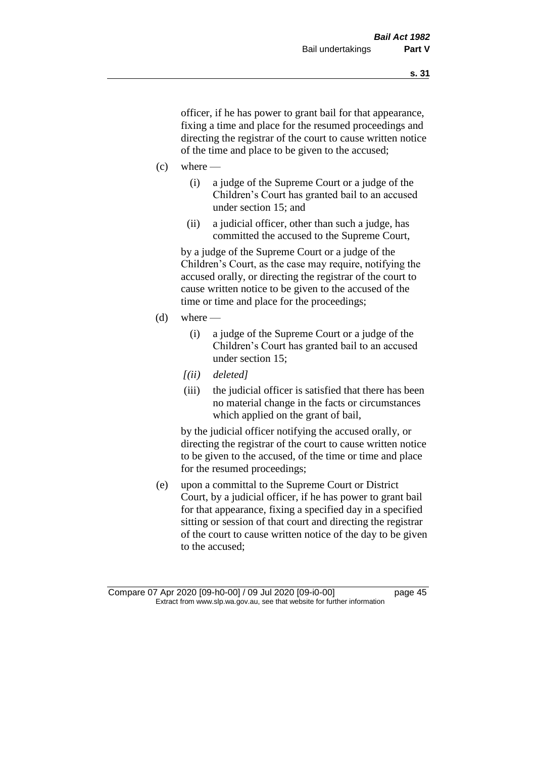officer, if he has power to grant bail for that appearance, fixing a time and place for the resumed proceedings and directing the registrar of the court to cause written notice of the time and place to be given to the accused;

- $(c)$  where
	- (i) a judge of the Supreme Court or a judge of the Children's Court has granted bail to an accused under section 15; and
	- (ii) a judicial officer, other than such a judge, has committed the accused to the Supreme Court,

by a judge of the Supreme Court or a judge of the Children's Court, as the case may require, notifying the accused orally, or directing the registrar of the court to cause written notice to be given to the accused of the time or time and place for the proceedings;

- $(d)$  where
	- (i) a judge of the Supreme Court or a judge of the Children's Court has granted bail to an accused under section 15;
	- *[(ii) deleted]*
	- (iii) the judicial officer is satisfied that there has been no material change in the facts or circumstances which applied on the grant of bail,

by the judicial officer notifying the accused orally, or directing the registrar of the court to cause written notice to be given to the accused, of the time or time and place for the resumed proceedings;

(e) upon a committal to the Supreme Court or District Court, by a judicial officer, if he has power to grant bail for that appearance, fixing a specified day in a specified sitting or session of that court and directing the registrar of the court to cause written notice of the day to be given to the accused;

Compare 07 Apr 2020 [09-h0-00] / 09 Jul 2020 [09-i0-00] page 45 Extract from www.slp.wa.gov.au, see that website for further information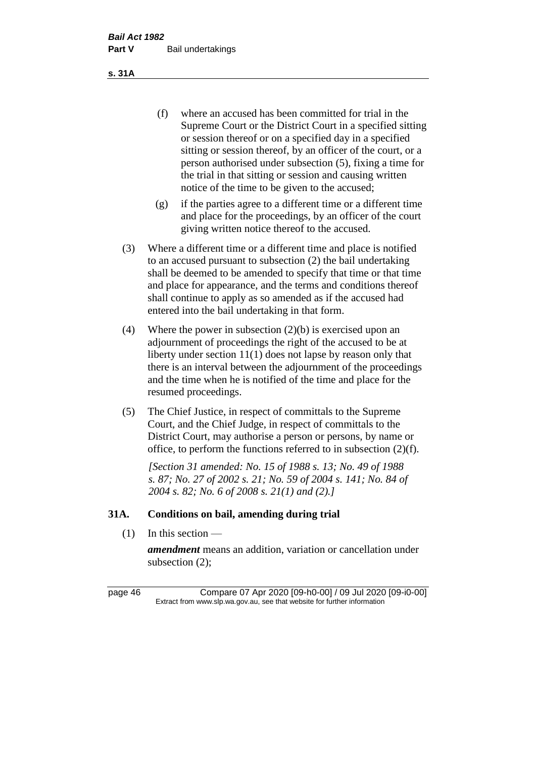(f) where an accused has been committed for trial in the Supreme Court or the District Court in a specified sitting or session thereof or on a specified day in a specified sitting or session thereof, by an officer of the court, or a person authorised under subsection (5), fixing a time for the trial in that sitting or session and causing written notice of the time to be given to the accused;

- (g) if the parties agree to a different time or a different time and place for the proceedings, by an officer of the court giving written notice thereof to the accused.
- (3) Where a different time or a different time and place is notified to an accused pursuant to subsection (2) the bail undertaking shall be deemed to be amended to specify that time or that time and place for appearance, and the terms and conditions thereof shall continue to apply as so amended as if the accused had entered into the bail undertaking in that form.
- (4) Where the power in subsection (2)(b) is exercised upon an adjournment of proceedings the right of the accused to be at liberty under section 11(1) does not lapse by reason only that there is an interval between the adjournment of the proceedings and the time when he is notified of the time and place for the resumed proceedings.
- (5) The Chief Justice, in respect of committals to the Supreme Court, and the Chief Judge, in respect of committals to the District Court, may authorise a person or persons, by name or office, to perform the functions referred to in subsection (2)(f).

*[Section 31 amended: No. 15 of 1988 s. 13; No. 49 of 1988 s. 87; No. 27 of 2002 s. 21; No. 59 of 2004 s. 141; No. 84 of 2004 s. 82; No. 6 of 2008 s. 21(1) and (2).]* 

## **31A. Conditions on bail, amending during trial**

 $(1)$  In this section —

*amendment* means an addition, variation or cancellation under subsection (2);

page 46 Compare 07 Apr 2020 [09-h0-00] / 09 Jul 2020 [09-i0-00] Extract from www.slp.wa.gov.au, see that website for further information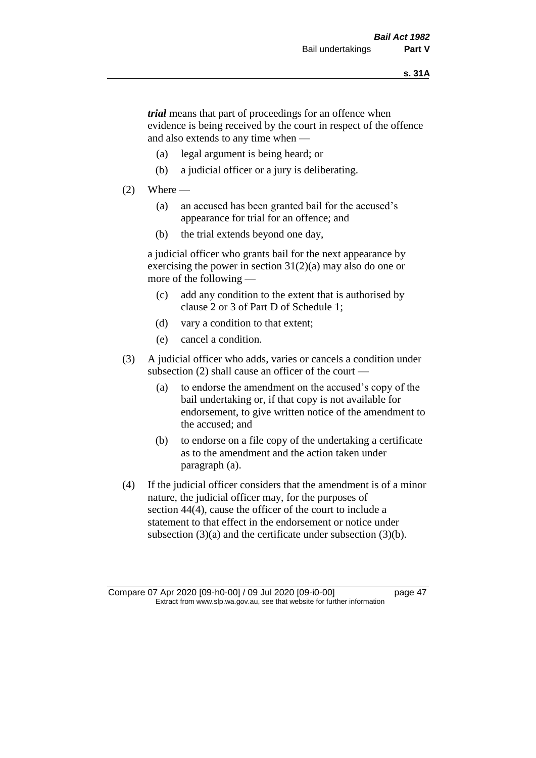*trial* means that part of proceedings for an offence when evidence is being received by the court in respect of the offence and also extends to any time when —

- (a) legal argument is being heard; or
- (b) a judicial officer or a jury is deliberating.

#### $(2)$  Where —

- (a) an accused has been granted bail for the accused's appearance for trial for an offence; and
- (b) the trial extends beyond one day,

a judicial officer who grants bail for the next appearance by exercising the power in section  $31(2)(a)$  may also do one or more of the following —

- (c) add any condition to the extent that is authorised by clause 2 or 3 of Part D of Schedule 1;
- (d) vary a condition to that extent;
- (e) cancel a condition.
- (3) A judicial officer who adds, varies or cancels a condition under subsection (2) shall cause an officer of the court —
	- (a) to endorse the amendment on the accused's copy of the bail undertaking or, if that copy is not available for endorsement, to give written notice of the amendment to the accused; and
	- (b) to endorse on a file copy of the undertaking a certificate as to the amendment and the action taken under paragraph (a).
- (4) If the judicial officer considers that the amendment is of a minor nature, the judicial officer may, for the purposes of section 44(4), cause the officer of the court to include a statement to that effect in the endorsement or notice under subsection (3)(a) and the certificate under subsection (3)(b).

Compare 07 Apr 2020 [09-h0-00] / 09 Jul 2020 [09-i0-00] page 47 Extract from www.slp.wa.gov.au, see that website for further information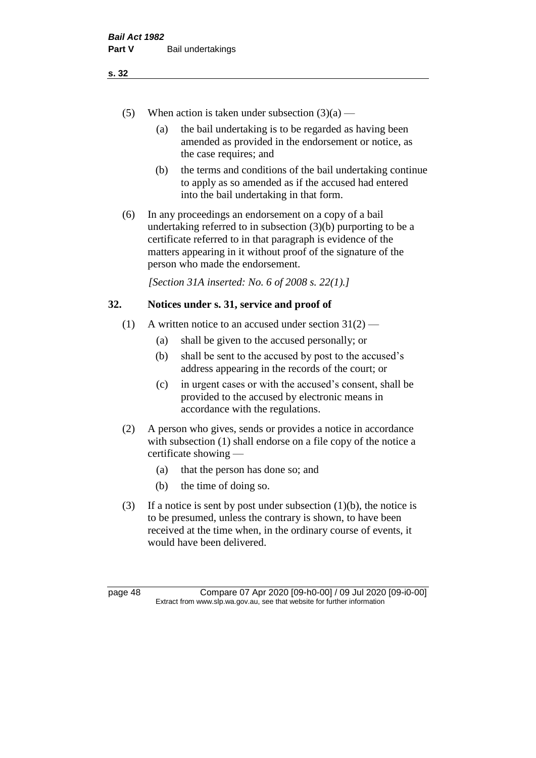- (5) When action is taken under subsection  $(3)(a)$ 
	- (a) the bail undertaking is to be regarded as having been amended as provided in the endorsement or notice, as the case requires; and
	- (b) the terms and conditions of the bail undertaking continue to apply as so amended as if the accused had entered into the bail undertaking in that form.
- (6) In any proceedings an endorsement on a copy of a bail undertaking referred to in subsection (3)(b) purporting to be a certificate referred to in that paragraph is evidence of the matters appearing in it without proof of the signature of the person who made the endorsement.

*[Section 31A inserted: No. 6 of 2008 s. 22(1).]*

## **32. Notices under s. 31, service and proof of**

- (1) A written notice to an accused under section  $31(2)$ 
	- (a) shall be given to the accused personally; or
	- (b) shall be sent to the accused by post to the accused's address appearing in the records of the court; or
	- (c) in urgent cases or with the accused's consent, shall be provided to the accused by electronic means in accordance with the regulations.
- (2) A person who gives, sends or provides a notice in accordance with subsection (1) shall endorse on a file copy of the notice a certificate showing —
	- (a) that the person has done so; and
	- (b) the time of doing so.
- (3) If a notice is sent by post under subsection  $(1)(b)$ , the notice is to be presumed, unless the contrary is shown, to have been received at the time when, in the ordinary course of events, it would have been delivered.

page 48 Compare 07 Apr 2020 [09-h0-00] / 09 Jul 2020 [09-i0-00] Extract from www.slp.wa.gov.au, see that website for further information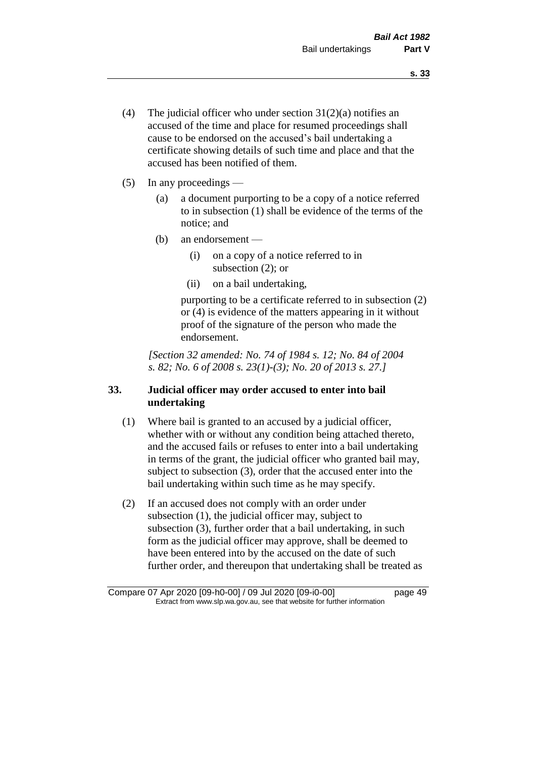- (4) The judicial officer who under section  $31(2)(a)$  notifies an accused of the time and place for resumed proceedings shall cause to be endorsed on the accused's bail undertaking a certificate showing details of such time and place and that the accused has been notified of them.
- (5) In any proceedings
	- (a) a document purporting to be a copy of a notice referred to in subsection (1) shall be evidence of the terms of the notice; and
	- (b) an endorsement
		- (i) on a copy of a notice referred to in subsection (2); or
		- (ii) on a bail undertaking,

purporting to be a certificate referred to in subsection (2) or (4) is evidence of the matters appearing in it without proof of the signature of the person who made the endorsement.

*[Section 32 amended: No. 74 of 1984 s. 12; No. 84 of 2004 s. 82; No. 6 of 2008 s. 23(1)-(3); No. 20 of 2013 s. 27.]* 

# **33. Judicial officer may order accused to enter into bail undertaking**

- (1) Where bail is granted to an accused by a judicial officer, whether with or without any condition being attached thereto, and the accused fails or refuses to enter into a bail undertaking in terms of the grant, the judicial officer who granted bail may, subject to subsection (3), order that the accused enter into the bail undertaking within such time as he may specify.
- (2) If an accused does not comply with an order under subsection (1), the judicial officer may, subject to subsection (3), further order that a bail undertaking, in such form as the judicial officer may approve, shall be deemed to have been entered into by the accused on the date of such further order, and thereupon that undertaking shall be treated as

Compare 07 Apr 2020 [09-h0-00] / 09 Jul 2020 [09-i0-00] page 49 Extract from www.slp.wa.gov.au, see that website for further information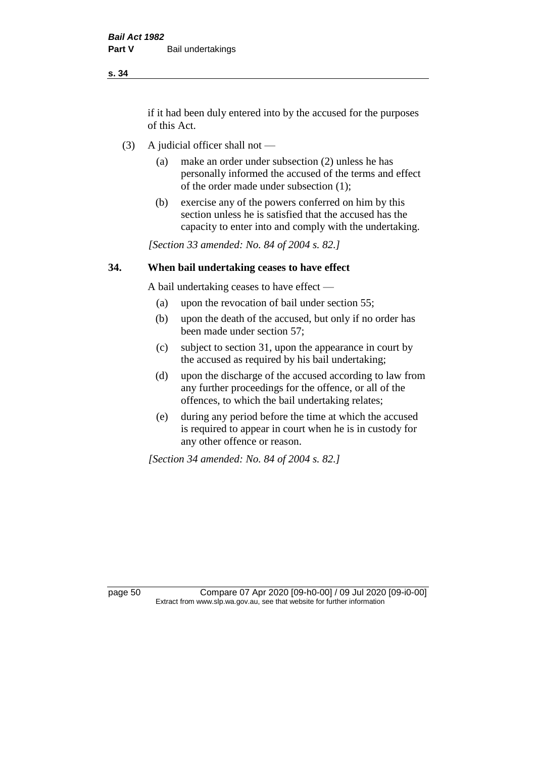if it had been duly entered into by the accused for the purposes of this Act.

- (3) A judicial officer shall not
	- (a) make an order under subsection (2) unless he has personally informed the accused of the terms and effect of the order made under subsection (1);
	- (b) exercise any of the powers conferred on him by this section unless he is satisfied that the accused has the capacity to enter into and comply with the undertaking.

*[Section 33 amended: No. 84 of 2004 s. 82.]* 

## **34. When bail undertaking ceases to have effect**

A bail undertaking ceases to have effect —

- (a) upon the revocation of bail under section 55;
- (b) upon the death of the accused, but only if no order has been made under section 57;
- (c) subject to section 31, upon the appearance in court by the accused as required by his bail undertaking;
- (d) upon the discharge of the accused according to law from any further proceedings for the offence, or all of the offences, to which the bail undertaking relates;
- (e) during any period before the time at which the accused is required to appear in court when he is in custody for any other offence or reason.

*[Section 34 amended: No. 84 of 2004 s. 82.]* 

page 50 Compare 07 Apr 2020 [09-h0-00] / 09 Jul 2020 [09-i0-00] Extract from www.slp.wa.gov.au, see that website for further information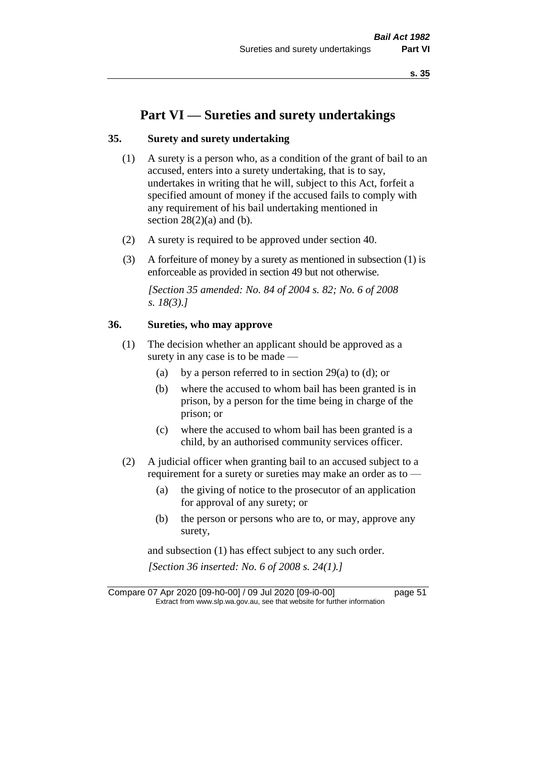# **Part VI — Sureties and surety undertakings**

## **35. Surety and surety undertaking**

- (1) A surety is a person who, as a condition of the grant of bail to an accused, enters into a surety undertaking, that is to say, undertakes in writing that he will, subject to this Act, forfeit a specified amount of money if the accused fails to comply with any requirement of his bail undertaking mentioned in section  $28(2)(a)$  and (b).
- (2) A surety is required to be approved under section 40.
- (3) A forfeiture of money by a surety as mentioned in subsection (1) is enforceable as provided in section 49 but not otherwise.

*[Section 35 amended: No. 84 of 2004 s. 82; No. 6 of 2008 s. 18(3).]* 

## **36. Sureties, who may approve**

- (1) The decision whether an applicant should be approved as a surety in any case is to be made —
	- (a) by a person referred to in section 29(a) to (d); or
	- (b) where the accused to whom bail has been granted is in prison, by a person for the time being in charge of the prison; or
	- (c) where the accused to whom bail has been granted is a child, by an authorised community services officer.
- (2) A judicial officer when granting bail to an accused subject to a requirement for a surety or sureties may make an order as to —
	- (a) the giving of notice to the prosecutor of an application for approval of any surety; or
	- (b) the person or persons who are to, or may, approve any surety,

and subsection (1) has effect subject to any such order. *[Section 36 inserted: No. 6 of 2008 s. 24(1).]*

Compare 07 Apr 2020 [09-h0-00] / 09 Jul 2020 [09-i0-00] page 51 Extract from www.slp.wa.gov.au, see that website for further information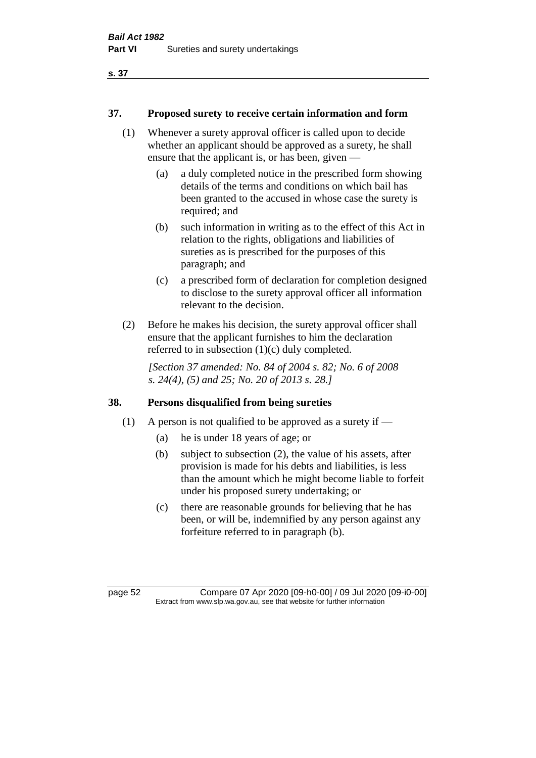#### **37. Proposed surety to receive certain information and form**

- (1) Whenever a surety approval officer is called upon to decide whether an applicant should be approved as a surety, he shall ensure that the applicant is, or has been, given —
	- (a) a duly completed notice in the prescribed form showing details of the terms and conditions on which bail has been granted to the accused in whose case the surety is required; and
	- (b) such information in writing as to the effect of this Act in relation to the rights, obligations and liabilities of sureties as is prescribed for the purposes of this paragraph; and
	- (c) a prescribed form of declaration for completion designed to disclose to the surety approval officer all information relevant to the decision.
- (2) Before he makes his decision, the surety approval officer shall ensure that the applicant furnishes to him the declaration referred to in subsection (1)(c) duly completed.

*[Section 37 amended: No. 84 of 2004 s. 82; No. 6 of 2008 s. 24(4), (5) and 25; No. 20 of 2013 s. 28.]* 

## **38. Persons disqualified from being sureties**

- (1) A person is not qualified to be approved as a surety if  $-$ 
	- (a) he is under 18 years of age; or
	- (b) subject to subsection (2), the value of his assets, after provision is made for his debts and liabilities, is less than the amount which he might become liable to forfeit under his proposed surety undertaking; or
	- (c) there are reasonable grounds for believing that he has been, or will be, indemnified by any person against any forfeiture referred to in paragraph (b).

page 52 Compare 07 Apr 2020 [09-h0-00] / 09 Jul 2020 [09-i0-00] Extract from www.slp.wa.gov.au, see that website for further information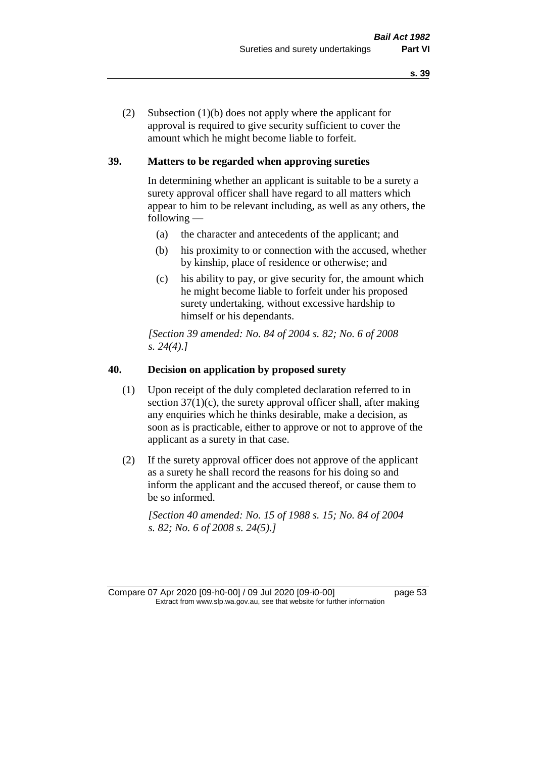(2) Subsection (1)(b) does not apply where the applicant for approval is required to give security sufficient to cover the amount which he might become liable to forfeit.

## **39. Matters to be regarded when approving sureties**

In determining whether an applicant is suitable to be a surety a surety approval officer shall have regard to all matters which appear to him to be relevant including, as well as any others, the following —

- (a) the character and antecedents of the applicant; and
- (b) his proximity to or connection with the accused, whether by kinship, place of residence or otherwise; and
- (c) his ability to pay, or give security for, the amount which he might become liable to forfeit under his proposed surety undertaking, without excessive hardship to himself or his dependants.

*[Section 39 amended: No. 84 of 2004 s. 82; No. 6 of 2008 s. 24(4).]* 

#### **40. Decision on application by proposed surety**

- (1) Upon receipt of the duly completed declaration referred to in section  $37(1)(c)$ , the surety approval officer shall, after making any enquiries which he thinks desirable, make a decision, as soon as is practicable, either to approve or not to approve of the applicant as a surety in that case.
- (2) If the surety approval officer does not approve of the applicant as a surety he shall record the reasons for his doing so and inform the applicant and the accused thereof, or cause them to be so informed.

*[Section 40 amended: No. 15 of 1988 s. 15; No. 84 of 2004 s. 82; No. 6 of 2008 s. 24(5).]* 

Compare 07 Apr 2020 [09-h0-00] / 09 Jul 2020 [09-i0-00] page 53 Extract from www.slp.wa.gov.au, see that website for further information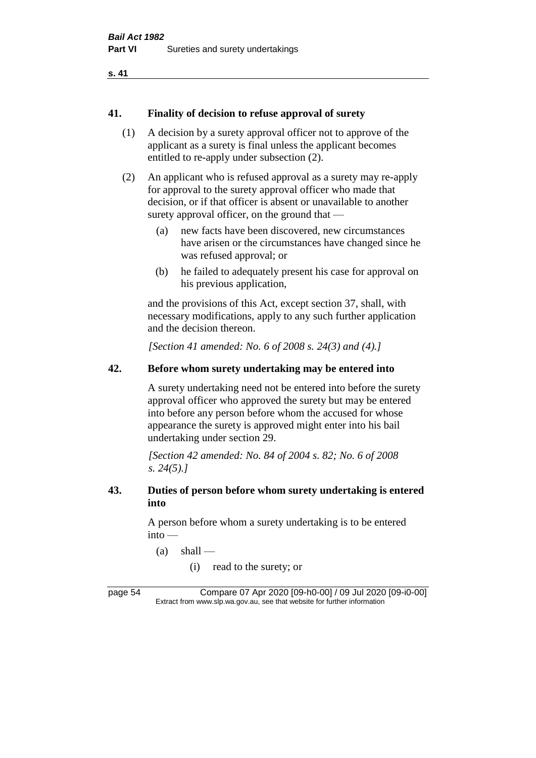#### **41. Finality of decision to refuse approval of surety**

- (1) A decision by a surety approval officer not to approve of the applicant as a surety is final unless the applicant becomes entitled to re-apply under subsection (2).
- (2) An applicant who is refused approval as a surety may re-apply for approval to the surety approval officer who made that decision, or if that officer is absent or unavailable to another surety approval officer, on the ground that —
	- (a) new facts have been discovered, new circumstances have arisen or the circumstances have changed since he was refused approval; or
	- (b) he failed to adequately present his case for approval on his previous application,

and the provisions of this Act, except section 37, shall, with necessary modifications, apply to any such further application and the decision thereon.

*[Section 41 amended: No. 6 of 2008 s. 24(3) and (4).]*

## **42. Before whom surety undertaking may be entered into**

A surety undertaking need not be entered into before the surety approval officer who approved the surety but may be entered into before any person before whom the accused for whose appearance the surety is approved might enter into his bail undertaking under section 29.

*[Section 42 amended: No. 84 of 2004 s. 82; No. 6 of 2008 s. 24(5).]* 

## **43. Duties of person before whom surety undertaking is entered into**

A person before whom a surety undertaking is to be entered into —

- $(a)$  shall
	- (i) read to the surety; or

page 54 Compare 07 Apr 2020 [09-h0-00] / 09 Jul 2020 [09-i0-00] Extract from www.slp.wa.gov.au, see that website for further information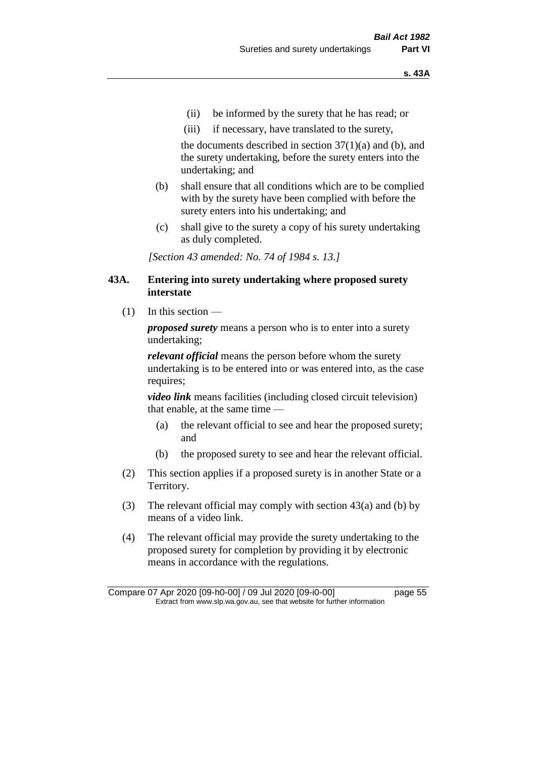- (ii) be informed by the surety that he has read; or
- (iii) if necessary, have translated to the surety,

the documents described in section  $37(1)(a)$  and (b), and the surety undertaking, before the surety enters into the undertaking; and

- (b) shall ensure that all conditions which are to be complied with by the surety have been complied with before the surety enters into his undertaking; and
- (c) shall give to the surety a copy of his surety undertaking as duly completed.

*[Section 43 amended: No. 74 of 1984 s. 13.]* 

### **43A. Entering into surety undertaking where proposed surety interstate**

(1) In this section —

*proposed surety* means a person who is to enter into a surety undertaking;

*relevant official* means the person before whom the surety undertaking is to be entered into or was entered into, as the case requires;

*video link* means facilities (including closed circuit television) that enable, at the same time —

- (a) the relevant official to see and hear the proposed surety; and
- (b) the proposed surety to see and hear the relevant official.
- (2) This section applies if a proposed surety is in another State or a Territory.
- (3) The relevant official may comply with section 43(a) and (b) by means of a video link.
- (4) The relevant official may provide the surety undertaking to the proposed surety for completion by providing it by electronic means in accordance with the regulations.

Compare 07 Apr 2020 [09-h0-00] / 09 Jul 2020 [09-i0-00] page 55 Extract from www.slp.wa.gov.au, see that website for further information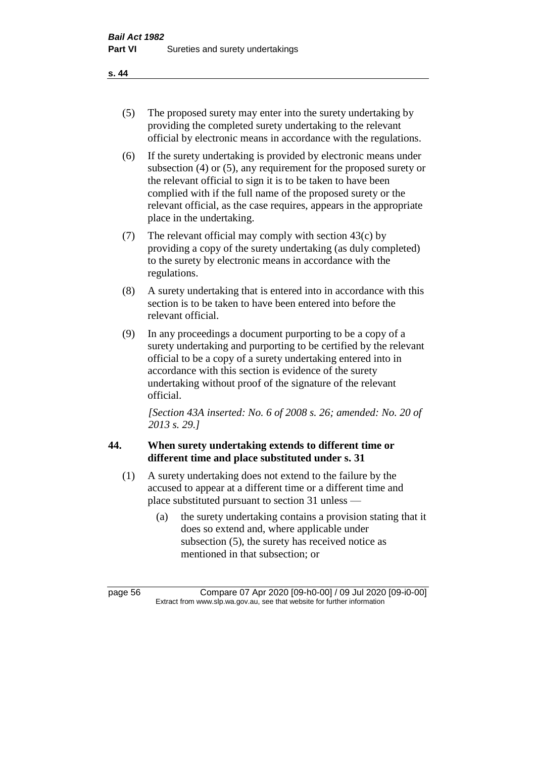- (5) The proposed surety may enter into the surety undertaking by providing the completed surety undertaking to the relevant official by electronic means in accordance with the regulations.
- (6) If the surety undertaking is provided by electronic means under subsection (4) or (5), any requirement for the proposed surety or the relevant official to sign it is to be taken to have been complied with if the full name of the proposed surety or the relevant official, as the case requires, appears in the appropriate place in the undertaking.
- (7) The relevant official may comply with section 43(c) by providing a copy of the surety undertaking (as duly completed) to the surety by electronic means in accordance with the regulations.
- (8) A surety undertaking that is entered into in accordance with this section is to be taken to have been entered into before the relevant official.
- (9) In any proceedings a document purporting to be a copy of a surety undertaking and purporting to be certified by the relevant official to be a copy of a surety undertaking entered into in accordance with this section is evidence of the surety undertaking without proof of the signature of the relevant official.

*[Section 43A inserted: No. 6 of 2008 s. 26; amended: No. 20 of 2013 s. 29.]*

# **44. When surety undertaking extends to different time or different time and place substituted under s. 31**

- (1) A surety undertaking does not extend to the failure by the accused to appear at a different time or a different time and place substituted pursuant to section 31 unless —
	- (a) the surety undertaking contains a provision stating that it does so extend and, where applicable under subsection (5), the surety has received notice as mentioned in that subsection; or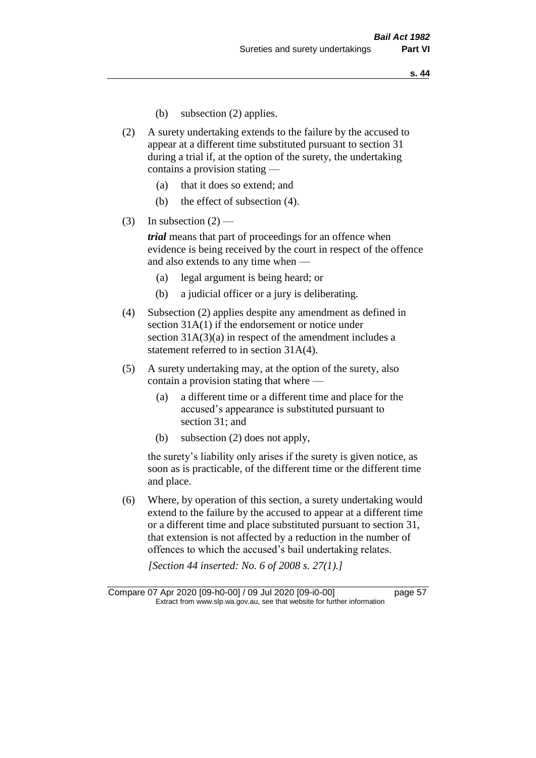- (b) subsection (2) applies.
- (2) A surety undertaking extends to the failure by the accused to appear at a different time substituted pursuant to section 31 during a trial if, at the option of the surety, the undertaking contains a provision stating —
	- (a) that it does so extend; and
	- (b) the effect of subsection (4).
- (3) In subsection  $(2)$  —

*trial* means that part of proceedings for an offence when evidence is being received by the court in respect of the offence and also extends to any time when —

- (a) legal argument is being heard; or
- (b) a judicial officer or a jury is deliberating.
- (4) Subsection (2) applies despite any amendment as defined in section 31A(1) if the endorsement or notice under section 31A(3)(a) in respect of the amendment includes a statement referred to in section 31A(4).
- (5) A surety undertaking may, at the option of the surety, also contain a provision stating that where —
	- (a) a different time or a different time and place for the accused's appearance is substituted pursuant to section 31; and
	- (b) subsection (2) does not apply,

the surety's liability only arises if the surety is given notice, as soon as is practicable, of the different time or the different time and place.

(6) Where, by operation of this section, a surety undertaking would extend to the failure by the accused to appear at a different time or a different time and place substituted pursuant to section 31, that extension is not affected by a reduction in the number of offences to which the accused's bail undertaking relates.

*[Section 44 inserted: No. 6 of 2008 s. 27(1).]*

Compare 07 Apr 2020 [09-h0-00] / 09 Jul 2020 [09-i0-00] page 57 Extract from www.slp.wa.gov.au, see that website for further information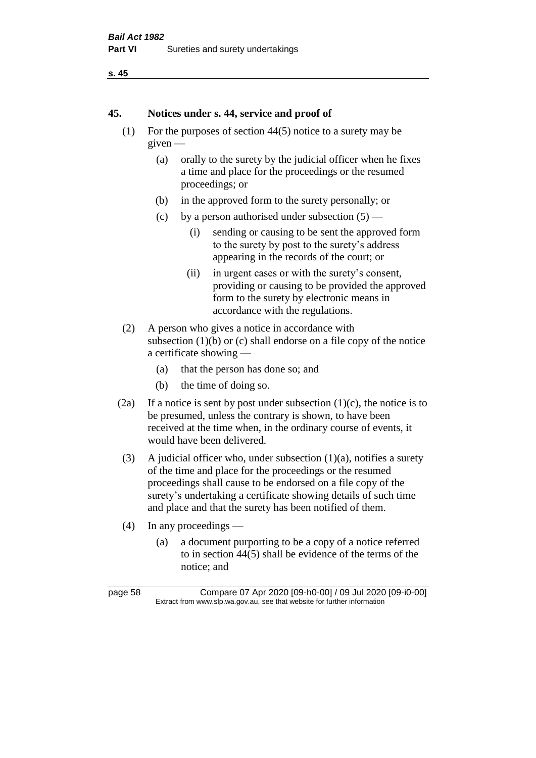```
s. 45
```
#### **45. Notices under s. 44, service and proof of**

- (1) For the purposes of section 44(5) notice to a surety may be given —
	- (a) orally to the surety by the judicial officer when he fixes a time and place for the proceedings or the resumed proceedings; or
	- (b) in the approved form to the surety personally; or
	- (c) by a person authorised under subsection  $(5)$ 
		- (i) sending or causing to be sent the approved form to the surety by post to the surety's address appearing in the records of the court; or
		- (ii) in urgent cases or with the surety's consent, providing or causing to be provided the approved form to the surety by electronic means in accordance with the regulations.
- (2) A person who gives a notice in accordance with subsection  $(1)(b)$  or  $(c)$  shall endorse on a file copy of the notice a certificate showing —
	- (a) that the person has done so; and
	- (b) the time of doing so.
- (2a) If a notice is sent by post under subsection  $(1)(c)$ , the notice is to be presumed, unless the contrary is shown, to have been received at the time when, in the ordinary course of events, it would have been delivered.
- (3) A judicial officer who, under subsection  $(1)(a)$ , notifies a surety of the time and place for the proceedings or the resumed proceedings shall cause to be endorsed on a file copy of the surety's undertaking a certificate showing details of such time and place and that the surety has been notified of them.
- (4) In any proceedings
	- (a) a document purporting to be a copy of a notice referred to in section 44(5) shall be evidence of the terms of the notice; and

page 58 Compare 07 Apr 2020 [09-h0-00] / 09 Jul 2020 [09-i0-00] Extract from www.slp.wa.gov.au, see that website for further information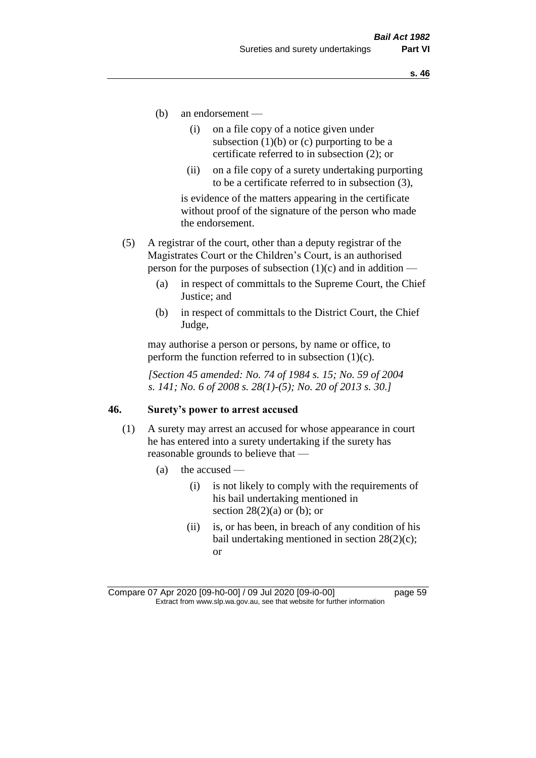- (b) an endorsement
	- (i) on a file copy of a notice given under subsection  $(1)(b)$  or  $(c)$  purporting to be a certificate referred to in subsection (2); or
	- (ii) on a file copy of a surety undertaking purporting to be a certificate referred to in subsection (3),

is evidence of the matters appearing in the certificate without proof of the signature of the person who made the endorsement.

- (5) A registrar of the court, other than a deputy registrar of the Magistrates Court or the Children's Court, is an authorised person for the purposes of subsection  $(1)(c)$  and in addition —
	- (a) in respect of committals to the Supreme Court, the Chief Justice; and
	- (b) in respect of committals to the District Court, the Chief Judge,

may authorise a person or persons, by name or office, to perform the function referred to in subsection  $(1)(c)$ .

*[Section 45 amended: No. 74 of 1984 s. 15; No. 59 of 2004 s. 141; No. 6 of 2008 s. 28(1)-(5); No. 20 of 2013 s. 30.]* 

#### **46. Surety's power to arrest accused**

- (1) A surety may arrest an accused for whose appearance in court he has entered into a surety undertaking if the surety has reasonable grounds to believe that —
	- (a) the accused
		- (i) is not likely to comply with the requirements of his bail undertaking mentioned in section  $28(2)(a)$  or (b); or
		- (ii) is, or has been, in breach of any condition of his bail undertaking mentioned in section 28(2)(c); or

Compare 07 Apr 2020 [09-h0-00] / 09 Jul 2020 [09-i0-00] page 59 Extract from www.slp.wa.gov.au, see that website for further information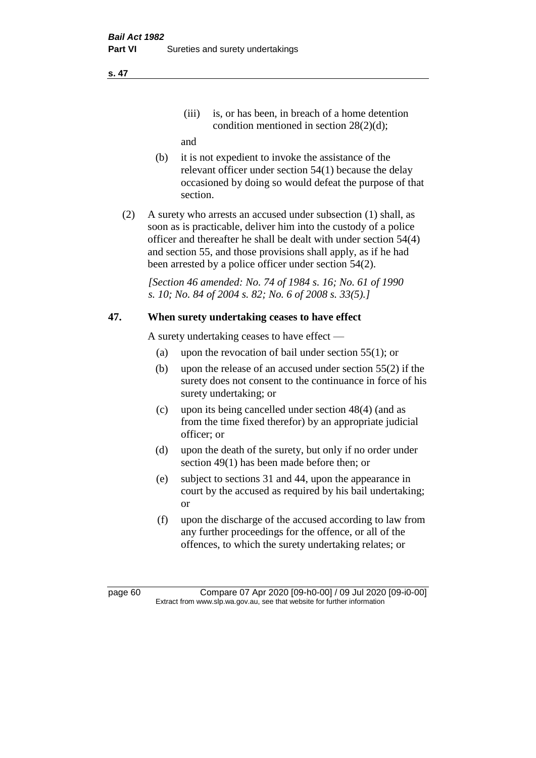(iii) is, or has been, in breach of a home detention condition mentioned in section 28(2)(d);

and

- (b) it is not expedient to invoke the assistance of the relevant officer under section 54(1) because the delay occasioned by doing so would defeat the purpose of that section.
- (2) A surety who arrests an accused under subsection (1) shall, as soon as is practicable, deliver him into the custody of a police officer and thereafter he shall be dealt with under section 54(4) and section 55, and those provisions shall apply, as if he had been arrested by a police officer under section 54(2).

*[Section 46 amended: No. 74 of 1984 s. 16; No. 61 of 1990 s. 10; No. 84 of 2004 s. 82; No. 6 of 2008 s. 33(5).]* 

# **47. When surety undertaking ceases to have effect**

A surety undertaking ceases to have effect —

- (a) upon the revocation of bail under section 55(1); or
- (b) upon the release of an accused under section 55(2) if the surety does not consent to the continuance in force of his surety undertaking; or
- (c) upon its being cancelled under section 48(4) (and as from the time fixed therefor) by an appropriate judicial officer; or
- (d) upon the death of the surety, but only if no order under section 49(1) has been made before then; or
- (e) subject to sections 31 and 44, upon the appearance in court by the accused as required by his bail undertaking; or
- (f) upon the discharge of the accused according to law from any further proceedings for the offence, or all of the offences, to which the surety undertaking relates; or

page 60 Compare 07 Apr 2020 [09-h0-00] / 09 Jul 2020 [09-i0-00] Extract from www.slp.wa.gov.au, see that website for further information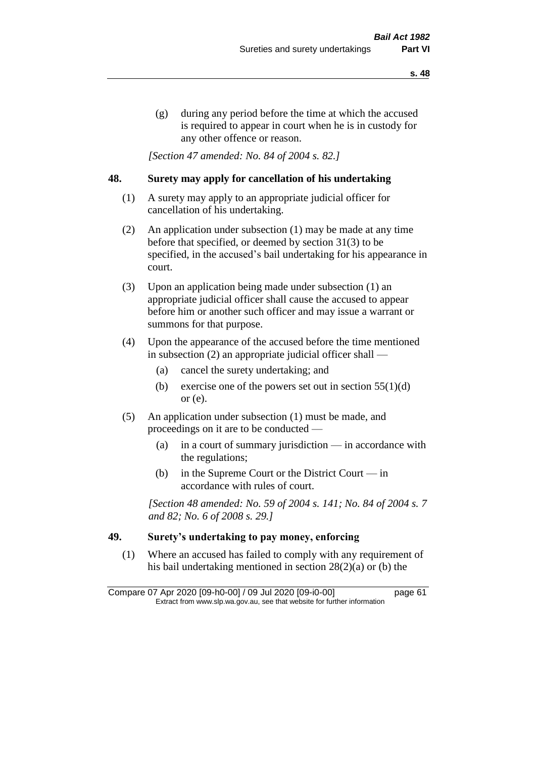(g) during any period before the time at which the accused is required to appear in court when he is in custody for any other offence or reason.

*[Section 47 amended: No. 84 of 2004 s. 82.]* 

## **48. Surety may apply for cancellation of his undertaking**

- (1) A surety may apply to an appropriate judicial officer for cancellation of his undertaking.
- (2) An application under subsection (1) may be made at any time before that specified, or deemed by section 31(3) to be specified, in the accused's bail undertaking for his appearance in court.
- (3) Upon an application being made under subsection (1) an appropriate judicial officer shall cause the accused to appear before him or another such officer and may issue a warrant or summons for that purpose.
- (4) Upon the appearance of the accused before the time mentioned in subsection (2) an appropriate judicial officer shall —
	- (a) cancel the surety undertaking; and
	- (b) exercise one of the powers set out in section  $55(1)(d)$ or (e).
- (5) An application under subsection (1) must be made, and proceedings on it are to be conducted —
	- (a) in a court of summary jurisdiction in accordance with the regulations;
	- (b) in the Supreme Court or the District Court  $-\text{in}$ accordance with rules of court.

*[Section 48 amended: No. 59 of 2004 s. 141; No. 84 of 2004 s. 7 and 82; No. 6 of 2008 s. 29.]* 

## **49. Surety's undertaking to pay money, enforcing**

(1) Where an accused has failed to comply with any requirement of his bail undertaking mentioned in section 28(2)(a) or (b) the

Compare 07 Apr 2020 [09-h0-00] / 09 Jul 2020 [09-i0-00] page 61 Extract from www.slp.wa.gov.au, see that website for further information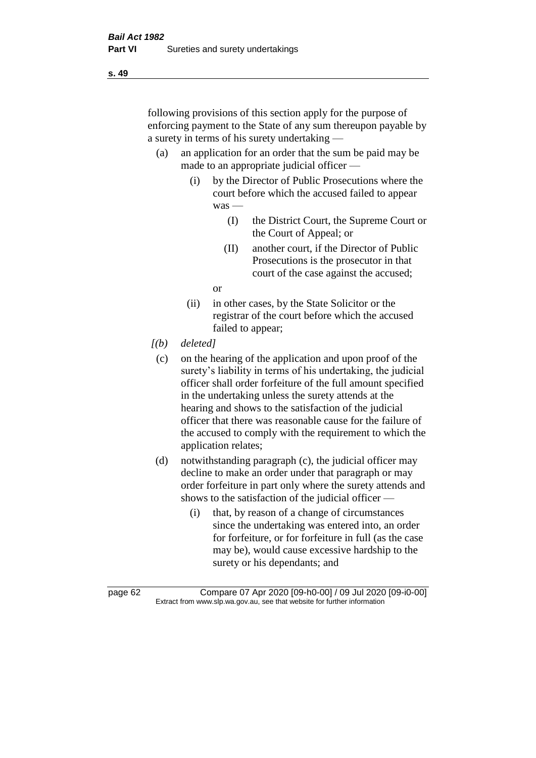following provisions of this section apply for the purpose of enforcing payment to the State of any sum thereupon payable by a surety in terms of his surety undertaking —

- (a) an application for an order that the sum be paid may be made to an appropriate judicial officer —
	- (i) by the Director of Public Prosecutions where the court before which the accused failed to appear was —
		- (I) the District Court, the Supreme Court or the Court of Appeal; or
		- (II) another court, if the Director of Public Prosecutions is the prosecutor in that court of the case against the accused;

or

- (ii) in other cases, by the State Solicitor or the registrar of the court before which the accused failed to appear;
- *[(b) deleted]*
	- (c) on the hearing of the application and upon proof of the surety's liability in terms of his undertaking, the judicial officer shall order forfeiture of the full amount specified in the undertaking unless the surety attends at the hearing and shows to the satisfaction of the judicial officer that there was reasonable cause for the failure of the accused to comply with the requirement to which the application relates;
- (d) notwithstanding paragraph (c), the judicial officer may decline to make an order under that paragraph or may order forfeiture in part only where the surety attends and shows to the satisfaction of the judicial officer —
	- (i) that, by reason of a change of circumstances since the undertaking was entered into, an order for forfeiture, or for forfeiture in full (as the case may be), would cause excessive hardship to the surety or his dependants; and

page 62 Compare 07 Apr 2020 [09-h0-00] / 09 Jul 2020 [09-i0-00] Extract from www.slp.wa.gov.au, see that website for further information

**s. 49**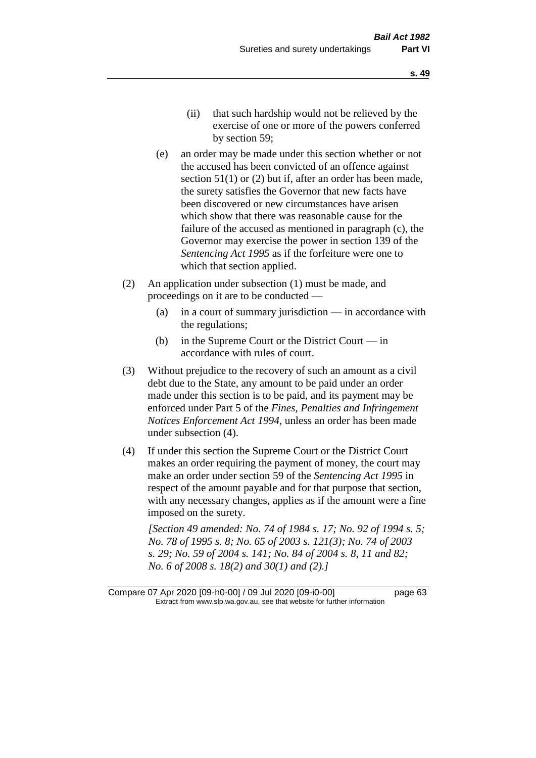- (e) an order may be made under this section whether or not the accused has been convicted of an offence against section 51(1) or (2) but if, after an order has been made, the surety satisfies the Governor that new facts have been discovered or new circumstances have arisen which show that there was reasonable cause for the failure of the accused as mentioned in paragraph (c), the Governor may exercise the power in section 139 of the *Sentencing Act 1995* as if the forfeiture were one to which that section applied.
- (2) An application under subsection (1) must be made, and proceedings on it are to be conducted —
	- (a) in a court of summary jurisdiction in accordance with the regulations;
	- (b) in the Supreme Court or the District Court  $-\text{in}$ accordance with rules of court.
- (3) Without prejudice to the recovery of such an amount as a civil debt due to the State, any amount to be paid under an order made under this section is to be paid, and its payment may be enforced under Part 5 of the *Fines, Penalties and Infringement Notices Enforcement Act 1994*, unless an order has been made under subsection (4).
- (4) If under this section the Supreme Court or the District Court makes an order requiring the payment of money, the court may make an order under section 59 of the *Sentencing Act 1995* in respect of the amount payable and for that purpose that section, with any necessary changes, applies as if the amount were a fine imposed on the surety.

*[Section 49 amended: No. 74 of 1984 s. 17; No. 92 of 1994 s. 5; No. 78 of 1995 s. 8; No. 65 of 2003 s. 121(3); No. 74 of 2003 s. 29; No. 59 of 2004 s. 141; No. 84 of 2004 s. 8, 11 and 82; No. 6 of 2008 s. 18(2) and 30(1) and (2).]* 

Compare 07 Apr 2020 [09-h0-00] / 09 Jul 2020 [09-i0-00] page 63 Extract from www.slp.wa.gov.au, see that website for further information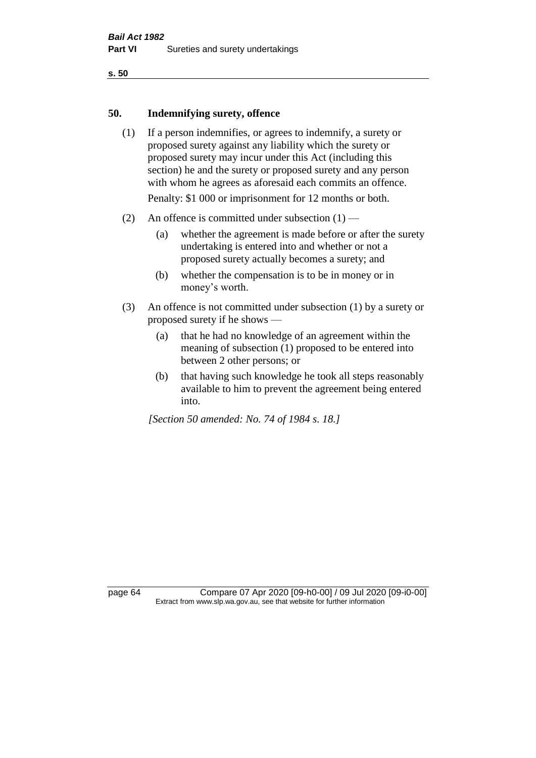#### **50. Indemnifying surety, offence**

- (1) If a person indemnifies, or agrees to indemnify, a surety or proposed surety against any liability which the surety or proposed surety may incur under this Act (including this section) he and the surety or proposed surety and any person with whom he agrees as aforesaid each commits an offence. Penalty: \$1 000 or imprisonment for 12 months or both.
- (2) An offence is committed under subsection  $(1)$ 
	- (a) whether the agreement is made before or after the surety undertaking is entered into and whether or not a proposed surety actually becomes a surety; and
	- (b) whether the compensation is to be in money or in money's worth.
- (3) An offence is not committed under subsection (1) by a surety or proposed surety if he shows —
	- (a) that he had no knowledge of an agreement within the meaning of subsection (1) proposed to be entered into between 2 other persons; or
	- (b) that having such knowledge he took all steps reasonably available to him to prevent the agreement being entered into.

*[Section 50 amended: No. 74 of 1984 s. 18.]* 

page 64 Compare 07 Apr 2020 [09-h0-00] / 09 Jul 2020 [09-i0-00] Extract from www.slp.wa.gov.au, see that website for further information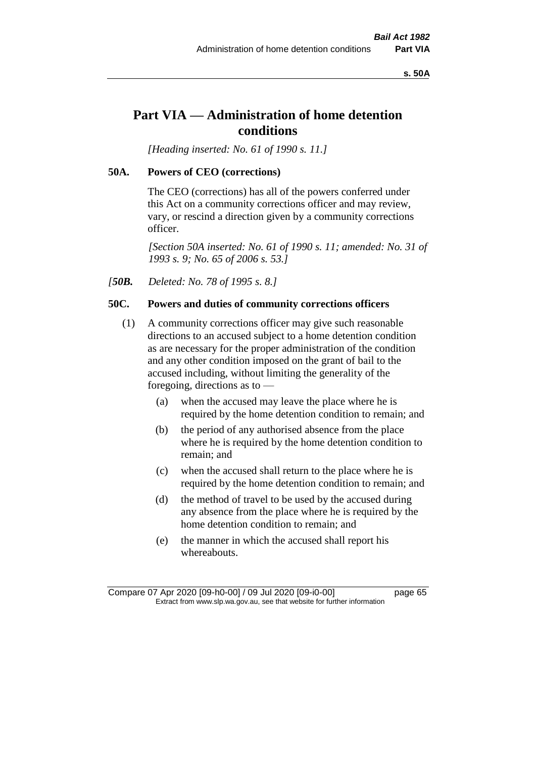**s. 50A**

# **Part VIA — Administration of home detention conditions**

*[Heading inserted: No. 61 of 1990 s. 11.]* 

#### **50A. Powers of CEO (corrections)**

The CEO (corrections) has all of the powers conferred under this Act on a community corrections officer and may review, vary, or rescind a direction given by a community corrections officer.

*[Section 50A inserted: No. 61 of 1990 s. 11; amended: No. 31 of 1993 s. 9; No. 65 of 2006 s. 53.]* 

*[50B. Deleted: No. 78 of 1995 s. 8.]* 

#### **50C. Powers and duties of community corrections officers**

- (1) A community corrections officer may give such reasonable directions to an accused subject to a home detention condition as are necessary for the proper administration of the condition and any other condition imposed on the grant of bail to the accused including, without limiting the generality of the foregoing, directions as to —
	- (a) when the accused may leave the place where he is required by the home detention condition to remain; and
	- (b) the period of any authorised absence from the place where he is required by the home detention condition to remain; and
	- (c) when the accused shall return to the place where he is required by the home detention condition to remain; and
	- (d) the method of travel to be used by the accused during any absence from the place where he is required by the home detention condition to remain; and
	- (e) the manner in which the accused shall report his whereabouts.

Compare 07 Apr 2020 [09-h0-00] / 09 Jul 2020 [09-i0-00] page 65 Extract from www.slp.wa.gov.au, see that website for further information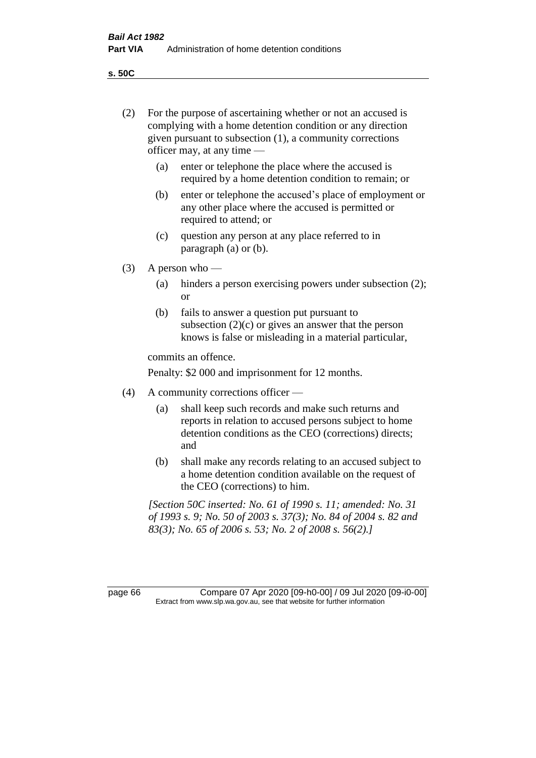**s. 50C**

| (2)     | For the purpose of ascertaining whether or not an accused is<br>complying with a home detention condition or any direction<br>given pursuant to subsection (1), a community corrections<br>officer may, at any time - |                                                                                                                                                                                          |  |
|---------|-----------------------------------------------------------------------------------------------------------------------------------------------------------------------------------------------------------------------|------------------------------------------------------------------------------------------------------------------------------------------------------------------------------------------|--|
|         | (a)                                                                                                                                                                                                                   | enter or telephone the place where the accused is<br>required by a home detention condition to remain; or                                                                                |  |
|         | (b)                                                                                                                                                                                                                   | enter or telephone the accused's place of employment or<br>any other place where the accused is permitted or<br>required to attend; or                                                   |  |
|         | (c)                                                                                                                                                                                                                   | question any person at any place referred to in<br>paragraph $(a)$ or $(b)$ .                                                                                                            |  |
| (3)     | A person who $-$                                                                                                                                                                                                      |                                                                                                                                                                                          |  |
|         | (a)                                                                                                                                                                                                                   | hinders a person exercising powers under subsection (2);<br><sub>or</sub>                                                                                                                |  |
|         | (b)                                                                                                                                                                                                                   | fails to answer a question put pursuant to<br>subsection $(2)(c)$ or gives an answer that the person<br>knows is false or misleading in a material particular,                           |  |
|         | commits an offence.                                                                                                                                                                                                   |                                                                                                                                                                                          |  |
|         |                                                                                                                                                                                                                       | Penalty: \$2 000 and imprisonment for 12 months.                                                                                                                                         |  |
| (4)     | A community corrections officer -                                                                                                                                                                                     |                                                                                                                                                                                          |  |
|         | (a)                                                                                                                                                                                                                   | shall keep such records and make such returns and<br>reports in relation to accused persons subject to home<br>detention conditions as the CEO (corrections) directs;<br>and             |  |
|         | (b)                                                                                                                                                                                                                   | shall make any records relating to an accused subject to<br>a home detention condition available on the request of<br>the CEO (corrections) to him.                                      |  |
|         |                                                                                                                                                                                                                       | [Section 50C inserted: No. 61 of 1990 s. 11; amended: No. 31<br>of 1993 s. 9; No. 50 of 2003 s. 37(3); No. 84 of 2004 s. 82 and<br>83(3); No. 65 of 2006 s. 53; No. 2 of 2008 s. 56(2).] |  |
| page 66 |                                                                                                                                                                                                                       | Compare 07 Apr 2020 [09-h0-00] / 09 Jul 2020 [09-i0-00]<br>Extract from www.slp.wa.gov.au, see that website for further information                                                      |  |
|         |                                                                                                                                                                                                                       |                                                                                                                                                                                          |  |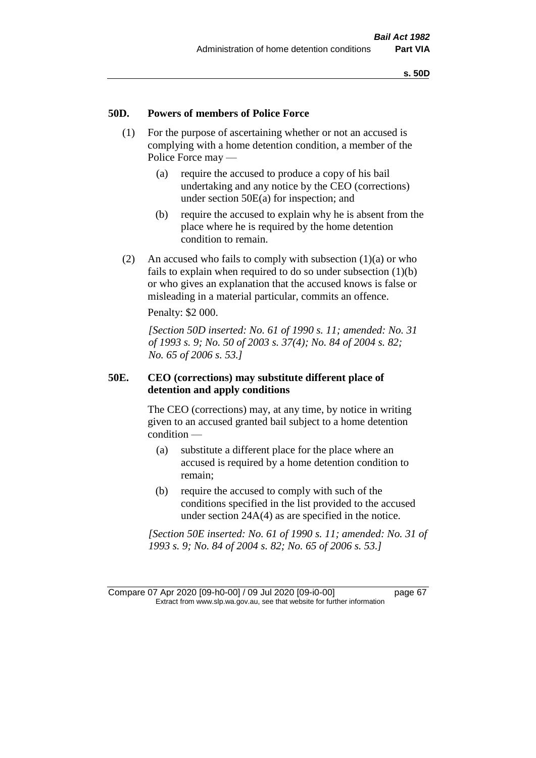## **50D. Powers of members of Police Force**

- (1) For the purpose of ascertaining whether or not an accused is complying with a home detention condition, a member of the Police Force may —
	- (a) require the accused to produce a copy of his bail undertaking and any notice by the CEO (corrections) under section 50E(a) for inspection; and
	- (b) require the accused to explain why he is absent from the place where he is required by the home detention condition to remain.
- (2) An accused who fails to comply with subsection  $(1)(a)$  or who fails to explain when required to do so under subsection (1)(b) or who gives an explanation that the accused knows is false or misleading in a material particular, commits an offence.

Penalty: \$2 000.

*[Section 50D inserted: No. 61 of 1990 s. 11; amended: No. 31 of 1993 s. 9; No. 50 of 2003 s. 37(4); No. 84 of 2004 s. 82; No. 65 of 2006 s. 53.]* 

### **50E. CEO (corrections) may substitute different place of detention and apply conditions**

The CEO (corrections) may, at any time, by notice in writing given to an accused granted bail subject to a home detention condition —

- (a) substitute a different place for the place where an accused is required by a home detention condition to remain;
- (b) require the accused to comply with such of the conditions specified in the list provided to the accused under section 24A(4) as are specified in the notice.

*[Section 50E inserted: No. 61 of 1990 s. 11; amended: No. 31 of 1993 s. 9; No. 84 of 2004 s. 82; No. 65 of 2006 s. 53.]* 

Compare 07 Apr 2020 [09-h0-00] / 09 Jul 2020 [09-i0-00] page 67 Extract from www.slp.wa.gov.au, see that website for further information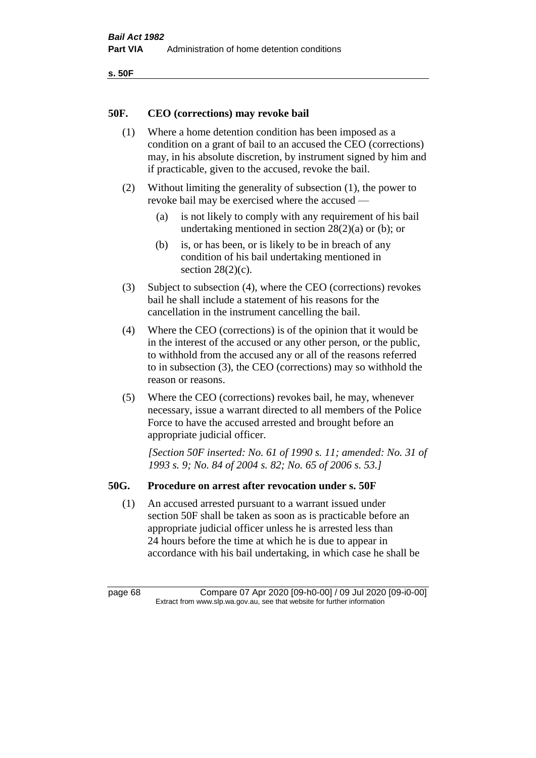```
s. 50F
```
## **50F. CEO (corrections) may revoke bail**

- (1) Where a home detention condition has been imposed as a condition on a grant of bail to an accused the CEO (corrections) may, in his absolute discretion, by instrument signed by him and if practicable, given to the accused, revoke the bail.
- (2) Without limiting the generality of subsection (1), the power to revoke bail may be exercised where the accused —
	- (a) is not likely to comply with any requirement of his bail undertaking mentioned in section 28(2)(a) or (b); or
	- (b) is, or has been, or is likely to be in breach of any condition of his bail undertaking mentioned in section  $28(2)(c)$ .
- (3) Subject to subsection (4), where the CEO (corrections) revokes bail he shall include a statement of his reasons for the cancellation in the instrument cancelling the bail.
- (4) Where the CEO (corrections) is of the opinion that it would be in the interest of the accused or any other person, or the public, to withhold from the accused any or all of the reasons referred to in subsection (3), the CEO (corrections) may so withhold the reason or reasons.
- (5) Where the CEO (corrections) revokes bail, he may, whenever necessary, issue a warrant directed to all members of the Police Force to have the accused arrested and brought before an appropriate judicial officer.

*[Section 50F inserted: No. 61 of 1990 s. 11; amended: No. 31 of 1993 s. 9; No. 84 of 2004 s. 82; No. 65 of 2006 s. 53.]* 

## **50G. Procedure on arrest after revocation under s. 50F**

(1) An accused arrested pursuant to a warrant issued under section 50F shall be taken as soon as is practicable before an appropriate judicial officer unless he is arrested less than 24 hours before the time at which he is due to appear in accordance with his bail undertaking, in which case he shall be

page 68 Compare 07 Apr 2020 [09-h0-00] / 09 Jul 2020 [09-i0-00] Extract from www.slp.wa.gov.au, see that website for further information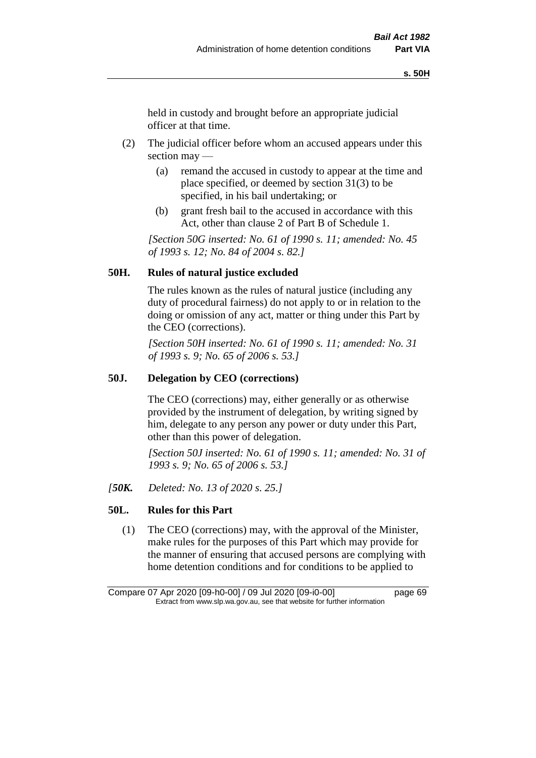held in custody and brought before an appropriate judicial officer at that time.

- (2) The judicial officer before whom an accused appears under this section may —
	- (a) remand the accused in custody to appear at the time and place specified, or deemed by section 31(3) to be specified, in his bail undertaking; or
	- (b) grant fresh bail to the accused in accordance with this Act, other than clause 2 of Part B of Schedule 1.

*[Section 50G inserted: No. 61 of 1990 s. 11; amended: No. 45 of 1993 s. 12; No. 84 of 2004 s. 82.]* 

## **50H. Rules of natural justice excluded**

The rules known as the rules of natural justice (including any duty of procedural fairness) do not apply to or in relation to the doing or omission of any act, matter or thing under this Part by the CEO (corrections).

*[Section 50H inserted: No. 61 of 1990 s. 11; amended: No. 31 of 1993 s. 9; No. 65 of 2006 s. 53.]* 

#### **50J. Delegation by CEO (corrections)**

The CEO (corrections) may, either generally or as otherwise provided by the instrument of delegation, by writing signed by him, delegate to any person any power or duty under this Part, other than this power of delegation.

*[Section 50J inserted: No. 61 of 1990 s. 11; amended: No. 31 of 1993 s. 9; No. 65 of 2006 s. 53.]* 

*[50K. Deleted: No. 13 of 2020 s. 25.]*

## **50L. Rules for this Part**

(1) The CEO (corrections) may, with the approval of the Minister, make rules for the purposes of this Part which may provide for the manner of ensuring that accused persons are complying with home detention conditions and for conditions to be applied to

Compare 07 Apr 2020 [09-h0-00] / 09 Jul 2020 [09-i0-00] page 69 Extract from www.slp.wa.gov.au, see that website for further information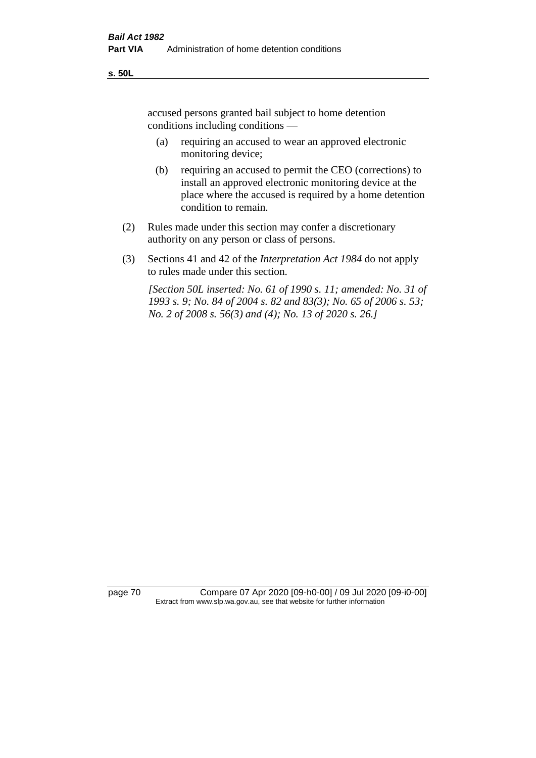accused persons granted bail subject to home detention conditions including conditions —

- (a) requiring an accused to wear an approved electronic monitoring device;
- (b) requiring an accused to permit the CEO (corrections) to install an approved electronic monitoring device at the place where the accused is required by a home detention condition to remain.
- (2) Rules made under this section may confer a discretionary authority on any person or class of persons.
- (3) Sections 41 and 42 of the *Interpretation Act 1984* do not apply to rules made under this section.

*[Section 50L inserted: No. 61 of 1990 s. 11; amended: No. 31 of 1993 s. 9; No. 84 of 2004 s. 82 and 83(3); No. 65 of 2006 s. 53; No. 2 of 2008 s. 56(3) and (4); No. 13 of 2020 s. 26.]* 

page 70 Compare 07 Apr 2020 [09-h0-00] / 09 Jul 2020 [09-i0-00] Extract from www.slp.wa.gov.au, see that website for further information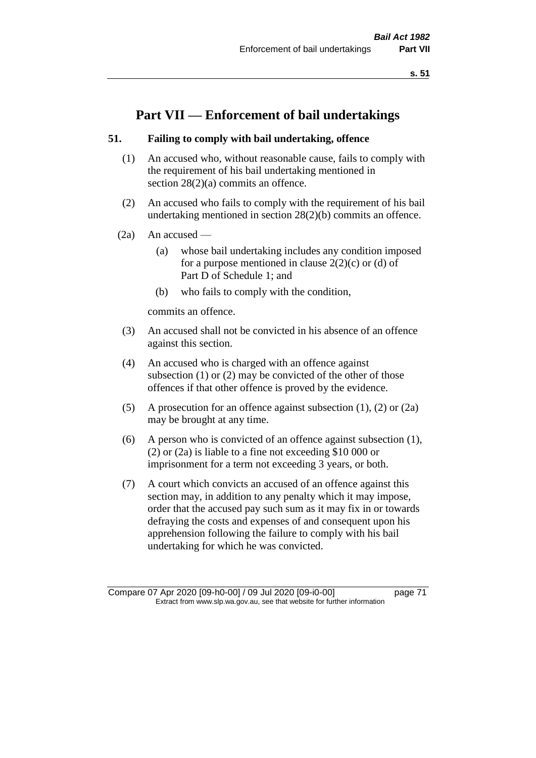**s. 51**

# **Part VII — Enforcement of bail undertakings**

# **51. Failing to comply with bail undertaking, offence**

- (1) An accused who, without reasonable cause, fails to comply with the requirement of his bail undertaking mentioned in section 28(2)(a) commits an offence.
- (2) An accused who fails to comply with the requirement of his bail undertaking mentioned in section 28(2)(b) commits an offence.
- $(2a)$  An accused
	- (a) whose bail undertaking includes any condition imposed for a purpose mentioned in clause  $2(2)(c)$  or (d) of Part D of Schedule 1; and
	- (b) who fails to comply with the condition,

commits an offence.

- (3) An accused shall not be convicted in his absence of an offence against this section.
- (4) An accused who is charged with an offence against subsection (1) or (2) may be convicted of the other of those offences if that other offence is proved by the evidence.
- (5) A prosecution for an offence against subsection (1), (2) or (2a) may be brought at any time.
- (6) A person who is convicted of an offence against subsection (1), (2) or (2a) is liable to a fine not exceeding \$10 000 or imprisonment for a term not exceeding 3 years, or both.
- (7) A court which convicts an accused of an offence against this section may, in addition to any penalty which it may impose, order that the accused pay such sum as it may fix in or towards defraying the costs and expenses of and consequent upon his apprehension following the failure to comply with his bail undertaking for which he was convicted.

Compare 07 Apr 2020 [09-h0-00] / 09 Jul 2020 [09-i0-00] page 71 Extract from www.slp.wa.gov.au, see that website for further information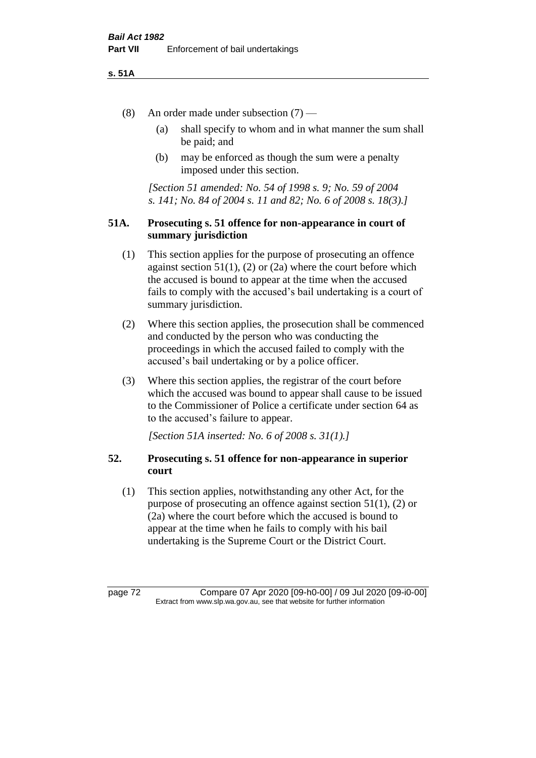## **s. 51A**

- (8) An order made under subsection (7)
	- (a) shall specify to whom and in what manner the sum shall be paid; and
	- (b) may be enforced as though the sum were a penalty imposed under this section.

*[Section 51 amended: No. 54 of 1998 s. 9; No. 59 of 2004 s. 141; No. 84 of 2004 s. 11 and 82; No. 6 of 2008 s. 18(3).]*

# **51A. Prosecuting s. 51 offence for non-appearance in court of summary jurisdiction**

- (1) This section applies for the purpose of prosecuting an offence against section  $51(1)$ ,  $(2)$  or  $(2a)$  where the court before which the accused is bound to appear at the time when the accused fails to comply with the accused's bail undertaking is a court of summary jurisdiction.
- (2) Where this section applies, the prosecution shall be commenced and conducted by the person who was conducting the proceedings in which the accused failed to comply with the accused's bail undertaking or by a police officer.
- (3) Where this section applies, the registrar of the court before which the accused was bound to appear shall cause to be issued to the Commissioner of Police a certificate under section 64 as to the accused's failure to appear.

*[Section 51A inserted: No. 6 of 2008 s. 31(1).]*

# **52. Prosecuting s. 51 offence for non-appearance in superior court**

(1) This section applies, notwithstanding any other Act, for the purpose of prosecuting an offence against section 51(1), (2) or (2a) where the court before which the accused is bound to appear at the time when he fails to comply with his bail undertaking is the Supreme Court or the District Court.

page 72 Compare 07 Apr 2020 [09-h0-00] / 09 Jul 2020 [09-i0-00] Extract from www.slp.wa.gov.au, see that website for further information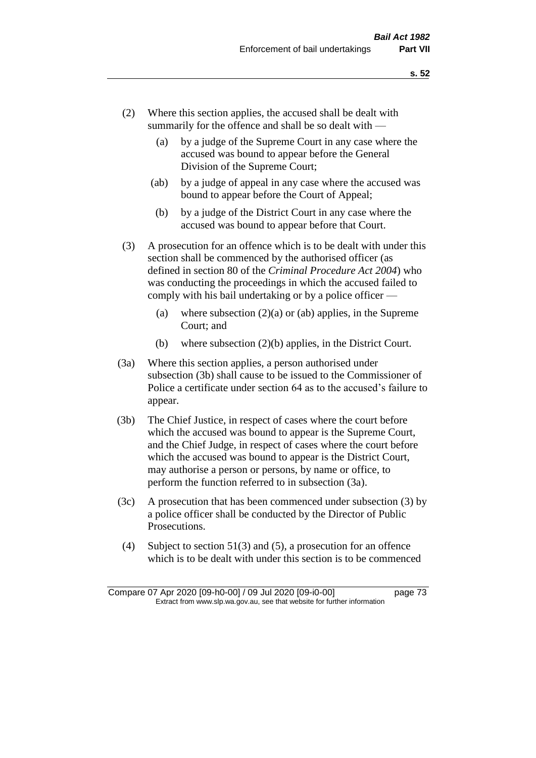- (2) Where this section applies, the accused shall be dealt with summarily for the offence and shall be so dealt with —
	- (a) by a judge of the Supreme Court in any case where the accused was bound to appear before the General Division of the Supreme Court;
	- (ab) by a judge of appeal in any case where the accused was bound to appear before the Court of Appeal;
	- (b) by a judge of the District Court in any case where the accused was bound to appear before that Court.
- (3) A prosecution for an offence which is to be dealt with under this section shall be commenced by the authorised officer (as defined in section 80 of the *Criminal Procedure Act 2004*) who was conducting the proceedings in which the accused failed to comply with his bail undertaking or by a police officer —
	- (a) where subsection  $(2)(a)$  or (ab) applies, in the Supreme Court; and
	- (b) where subsection (2)(b) applies, in the District Court.
- (3a) Where this section applies, a person authorised under subsection (3b) shall cause to be issued to the Commissioner of Police a certificate under section 64 as to the accused's failure to appear.
- (3b) The Chief Justice, in respect of cases where the court before which the accused was bound to appear is the Supreme Court, and the Chief Judge, in respect of cases where the court before which the accused was bound to appear is the District Court, may authorise a person or persons, by name or office, to perform the function referred to in subsection (3a).
- (3c) A prosecution that has been commenced under subsection (3) by a police officer shall be conducted by the Director of Public Prosecutions.
- (4) Subject to section 51(3) and (5), a prosecution for an offence which is to be dealt with under this section is to be commenced

Compare 07 Apr 2020 [09-h0-00] / 09 Jul 2020 [09-i0-00] page 73 Extract from www.slp.wa.gov.au, see that website for further information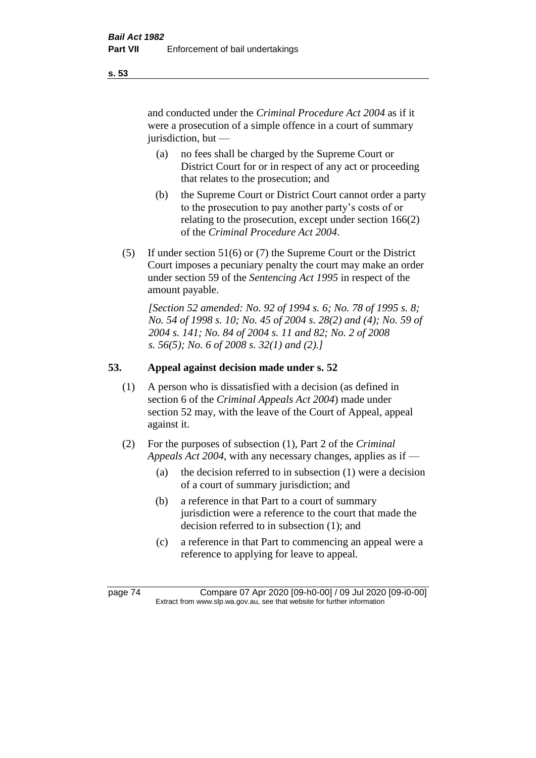and conducted under the *Criminal Procedure Act 2004* as if it were a prosecution of a simple offence in a court of summary jurisdiction, but —

- (a) no fees shall be charged by the Supreme Court or District Court for or in respect of any act or proceeding that relates to the prosecution; and
- (b) the Supreme Court or District Court cannot order a party to the prosecution to pay another party's costs of or relating to the prosecution, except under section 166(2) of the *Criminal Procedure Act 2004*.
- (5) If under section 51(6) or (7) the Supreme Court or the District Court imposes a pecuniary penalty the court may make an order under section 59 of the *Sentencing Act 1995* in respect of the amount payable.

*[Section 52 amended: No. 92 of 1994 s. 6; No. 78 of 1995 s. 8; No. 54 of 1998 s. 10; No. 45 of 2004 s. 28(2) and (4); No. 59 of 2004 s. 141; No. 84 of 2004 s. 11 and 82; No. 2 of 2008 s. 56(5); No. 6 of 2008 s. 32(1) and (2).]* 

# **53. Appeal against decision made under s. 52**

- (1) A person who is dissatisfied with a decision (as defined in section 6 of the *Criminal Appeals Act 2004*) made under section 52 may, with the leave of the Court of Appeal, appeal against it.
- (2) For the purposes of subsection (1), Part 2 of the *Criminal Appeals Act 2004*, with any necessary changes, applies as if —
	- (a) the decision referred to in subsection (1) were a decision of a court of summary jurisdiction; and
	- (b) a reference in that Part to a court of summary jurisdiction were a reference to the court that made the decision referred to in subsection (1); and
	- (c) a reference in that Part to commencing an appeal were a reference to applying for leave to appeal.

page 74 Compare 07 Apr 2020 [09-h0-00] / 09 Jul 2020 [09-i0-00] Extract from www.slp.wa.gov.au, see that website for further information

**s. 53**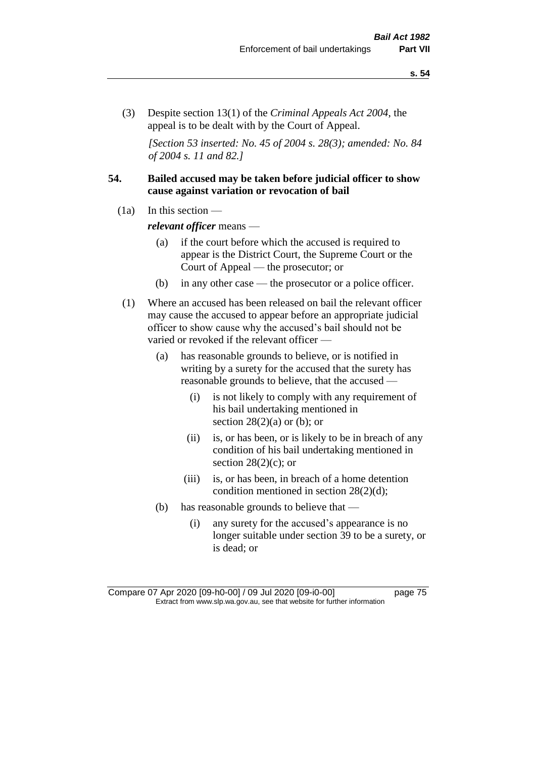(3) Despite section 13(1) of the *Criminal Appeals Act 2004*, the appeal is to be dealt with by the Court of Appeal.

*[Section 53 inserted: No. 45 of 2004 s. 28(3); amended: No. 84 of 2004 s. 11 and 82.]*

# **54. Bailed accused may be taken before judicial officer to show cause against variation or revocation of bail**

 $(1a)$  In this section —

*relevant officer* means —

- (a) if the court before which the accused is required to appear is the District Court, the Supreme Court or the Court of Appeal — the prosecutor; or
- (b) in any other case the prosecutor or a police officer.
- (1) Where an accused has been released on bail the relevant officer may cause the accused to appear before an appropriate judicial officer to show cause why the accused's bail should not be varied or revoked if the relevant officer —
	- (a) has reasonable grounds to believe, or is notified in writing by a surety for the accused that the surety has reasonable grounds to believe, that the accused —
		- (i) is not likely to comply with any requirement of his bail undertaking mentioned in section  $28(2)(a)$  or (b); or
		- (ii) is, or has been, or is likely to be in breach of any condition of his bail undertaking mentioned in section  $28(2)(c)$ ; or
		- (iii) is, or has been, in breach of a home detention condition mentioned in section 28(2)(d);
	- (b) has reasonable grounds to believe that
		- (i) any surety for the accused's appearance is no longer suitable under section 39 to be a surety, or is dead; or

Compare 07 Apr 2020 [09-h0-00] / 09 Jul 2020 [09-i0-00] page 75 Extract from www.slp.wa.gov.au, see that website for further information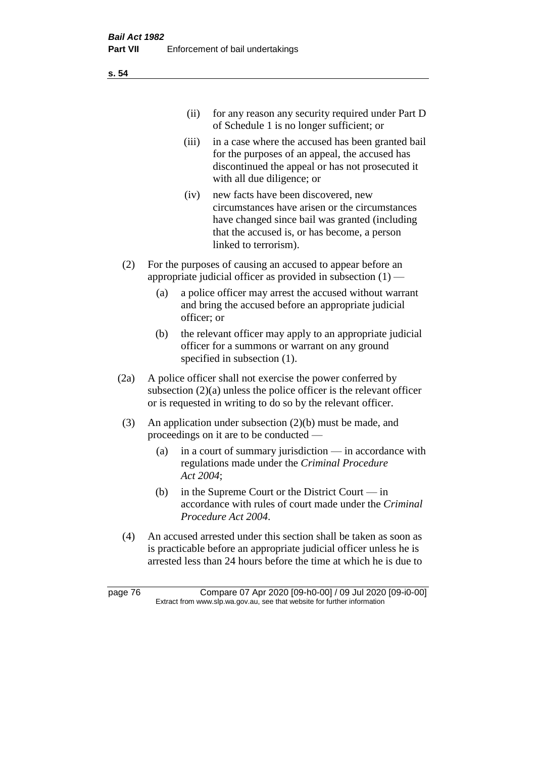| (ii) | for any reason any security required under Part D |
|------|---------------------------------------------------|
|      | of Schedule 1 is no longer sufficient; or         |

- (iii) in a case where the accused has been granted bail for the purposes of an appeal, the accused has discontinued the appeal or has not prosecuted it with all due diligence; or
- (iv) new facts have been discovered, new circumstances have arisen or the circumstances have changed since bail was granted (including that the accused is, or has become, a person linked to terrorism).
- (2) For the purposes of causing an accused to appear before an appropriate judicial officer as provided in subsection  $(1)$  —
	- (a) a police officer may arrest the accused without warrant and bring the accused before an appropriate judicial officer; or
	- (b) the relevant officer may apply to an appropriate judicial officer for a summons or warrant on any ground specified in subsection (1).
- (2a) A police officer shall not exercise the power conferred by subsection  $(2)(a)$  unless the police officer is the relevant officer or is requested in writing to do so by the relevant officer.
- (3) An application under subsection (2)(b) must be made, and proceedings on it are to be conducted —
	- (a) in a court of summary jurisdiction in accordance with regulations made under the *Criminal Procedure Act 2004*;
	- (b) in the Supreme Court or the District Court  $-\text{in}$ accordance with rules of court made under the *Criminal Procedure Act 2004*.
- (4) An accused arrested under this section shall be taken as soon as is practicable before an appropriate judicial officer unless he is arrested less than 24 hours before the time at which he is due to

page 76 Compare 07 Apr 2020 [09-h0-00] / 09 Jul 2020 [09-i0-00] Extract from www.slp.wa.gov.au, see that website for further information

**s. 54**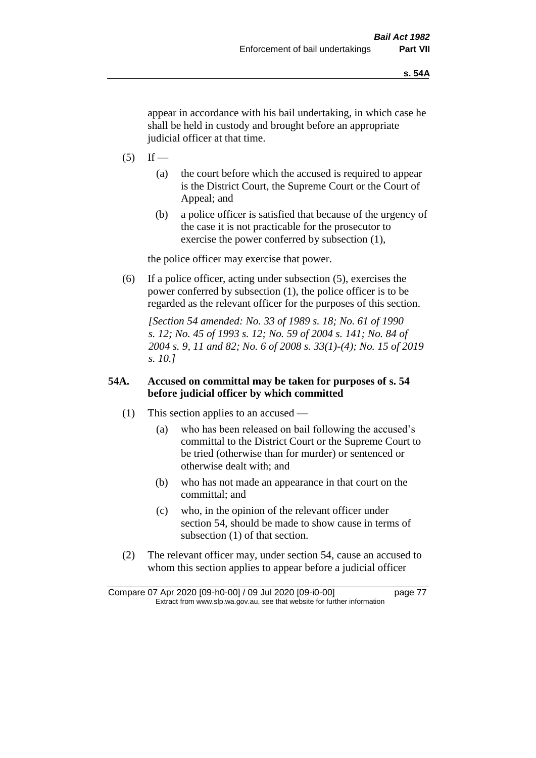appear in accordance with his bail undertaking, in which case he shall be held in custody and brought before an appropriate judicial officer at that time.

- $(5)$  If
	- (a) the court before which the accused is required to appear is the District Court, the Supreme Court or the Court of Appeal; and
	- (b) a police officer is satisfied that because of the urgency of the case it is not practicable for the prosecutor to exercise the power conferred by subsection (1),

the police officer may exercise that power.

(6) If a police officer, acting under subsection (5), exercises the power conferred by subsection (1), the police officer is to be regarded as the relevant officer for the purposes of this section.

*[Section 54 amended: No. 33 of 1989 s. 18; No. 61 of 1990 s. 12; No. 45 of 1993 s. 12; No. 59 of 2004 s. 141; No. 84 of 2004 s. 9, 11 and 82; No. 6 of 2008 s. 33(1)-(4); No. 15 of 2019 s. 10.]* 

# **54A. Accused on committal may be taken for purposes of s. 54 before judicial officer by which committed**

- (1) This section applies to an accused
	- (a) who has been released on bail following the accused's committal to the District Court or the Supreme Court to be tried (otherwise than for murder) or sentenced or otherwise dealt with; and
	- (b) who has not made an appearance in that court on the committal; and
	- (c) who, in the opinion of the relevant officer under section 54, should be made to show cause in terms of subsection (1) of that section.
- (2) The relevant officer may, under section 54, cause an accused to whom this section applies to appear before a judicial officer

Compare 07 Apr 2020 [09-h0-00] / 09 Jul 2020 [09-i0-00] page 77 Extract from www.slp.wa.gov.au, see that website for further information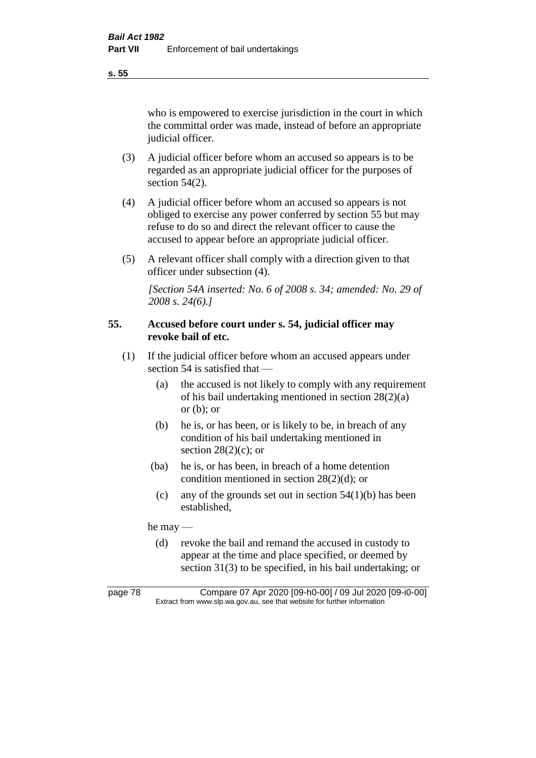**s. 55**

who is empowered to exercise jurisdiction in the court in which the committal order was made, instead of before an appropriate judicial officer.

- (3) A judicial officer before whom an accused so appears is to be regarded as an appropriate judicial officer for the purposes of section 54(2).
- (4) A judicial officer before whom an accused so appears is not obliged to exercise any power conferred by section 55 but may refuse to do so and direct the relevant officer to cause the accused to appear before an appropriate judicial officer.
- (5) A relevant officer shall comply with a direction given to that officer under subsection (4).

*[Section 54A inserted: No. 6 of 2008 s. 34; amended: No. 29 of 2008 s. 24(6).]*

# **55. Accused before court under s. 54, judicial officer may revoke bail of etc.**

- (1) If the judicial officer before whom an accused appears under section 54 is satisfied that —
	- (a) the accused is not likely to comply with any requirement of his bail undertaking mentioned in section 28(2)(a) or  $(b)$ ; or
	- (b) he is, or has been, or is likely to be, in breach of any condition of his bail undertaking mentioned in section  $28(2)(c)$ ; or
	- (ba) he is, or has been, in breach of a home detention condition mentioned in section 28(2)(d); or
		- (c) any of the grounds set out in section  $54(1)(b)$  has been established,

he may —

(d) revoke the bail and remand the accused in custody to appear at the time and place specified, or deemed by section 31(3) to be specified, in his bail undertaking; or

page 78 Compare 07 Apr 2020 [09-h0-00] / 09 Jul 2020 [09-i0-00] Extract from www.slp.wa.gov.au, see that website for further information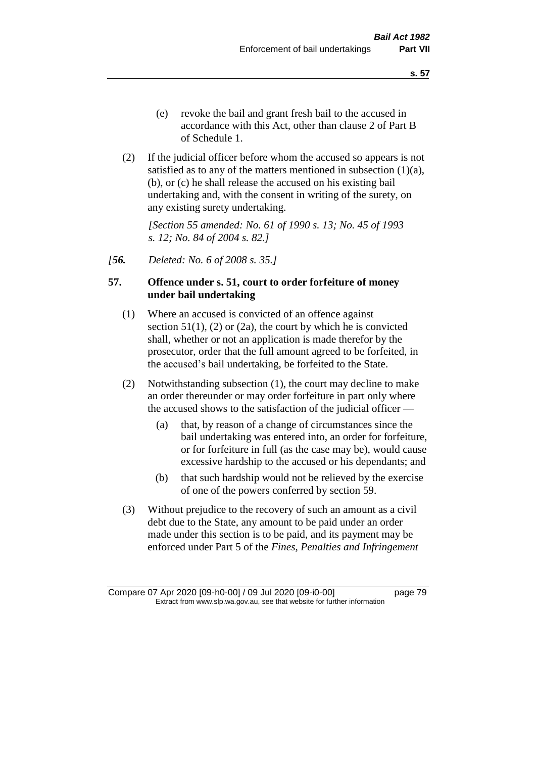- (e) revoke the bail and grant fresh bail to the accused in accordance with this Act, other than clause 2 of Part B of Schedule 1.
- (2) If the judicial officer before whom the accused so appears is not satisfied as to any of the matters mentioned in subsection (1)(a), (b), or (c) he shall release the accused on his existing bail undertaking and, with the consent in writing of the surety, on any existing surety undertaking.

*[Section 55 amended: No. 61 of 1990 s. 13; No. 45 of 1993 s. 12; No. 84 of 2004 s. 82.]* 

*[56. Deleted: No. 6 of 2008 s. 35.]*

# **57. Offence under s. 51, court to order forfeiture of money under bail undertaking**

- (1) Where an accused is convicted of an offence against section  $51(1)$ ,  $(2)$  or  $(2a)$ , the court by which he is convicted shall, whether or not an application is made therefor by the prosecutor, order that the full amount agreed to be forfeited, in the accused's bail undertaking, be forfeited to the State.
- (2) Notwithstanding subsection (1), the court may decline to make an order thereunder or may order forfeiture in part only where the accused shows to the satisfaction of the judicial officer —
	- (a) that, by reason of a change of circumstances since the bail undertaking was entered into, an order for forfeiture, or for forfeiture in full (as the case may be), would cause excessive hardship to the accused or his dependants; and
	- (b) that such hardship would not be relieved by the exercise of one of the powers conferred by section 59.
- (3) Without prejudice to the recovery of such an amount as a civil debt due to the State, any amount to be paid under an order made under this section is to be paid, and its payment may be enforced under Part 5 of the *Fines, Penalties and Infringement*

Compare 07 Apr 2020 [09-h0-00] / 09 Jul 2020 [09-i0-00] page 79 Extract from www.slp.wa.gov.au, see that website for further information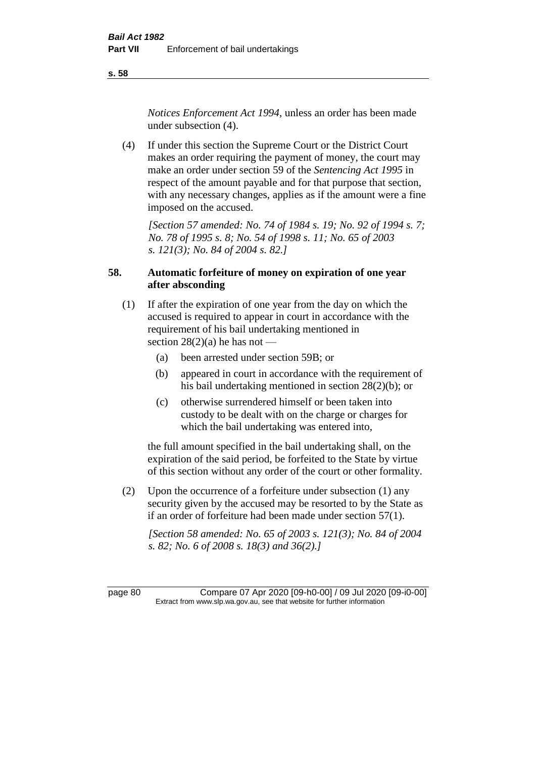**s. 58**

*Notices Enforcement Act 1994*, unless an order has been made under subsection (4).

(4) If under this section the Supreme Court or the District Court makes an order requiring the payment of money, the court may make an order under section 59 of the *Sentencing Act 1995* in respect of the amount payable and for that purpose that section, with any necessary changes, applies as if the amount were a fine imposed on the accused.

*[Section 57 amended: No. 74 of 1984 s. 19; No. 92 of 1994 s. 7; No. 78 of 1995 s. 8; No. 54 of 1998 s. 11; No. 65 of 2003 s. 121(3); No. 84 of 2004 s. 82.]* 

# **58. Automatic forfeiture of money on expiration of one year after absconding**

- (1) If after the expiration of one year from the day on which the accused is required to appear in court in accordance with the requirement of his bail undertaking mentioned in section  $28(2)(a)$  he has not —
	- (a) been arrested under section 59B; or
	- (b) appeared in court in accordance with the requirement of his bail undertaking mentioned in section 28(2)(b); or
	- (c) otherwise surrendered himself or been taken into custody to be dealt with on the charge or charges for which the bail undertaking was entered into,

the full amount specified in the bail undertaking shall, on the expiration of the said period, be forfeited to the State by virtue of this section without any order of the court or other formality.

(2) Upon the occurrence of a forfeiture under subsection (1) any security given by the accused may be resorted to by the State as if an order of forfeiture had been made under section 57(1).

*[Section 58 amended: No. 65 of 2003 s. 121(3); No. 84 of 2004 s. 82; No. 6 of 2008 s. 18(3) and 36(2).]*

page 80 Compare 07 Apr 2020 [09-h0-00] / 09 Jul 2020 [09-i0-00] Extract from www.slp.wa.gov.au, see that website for further information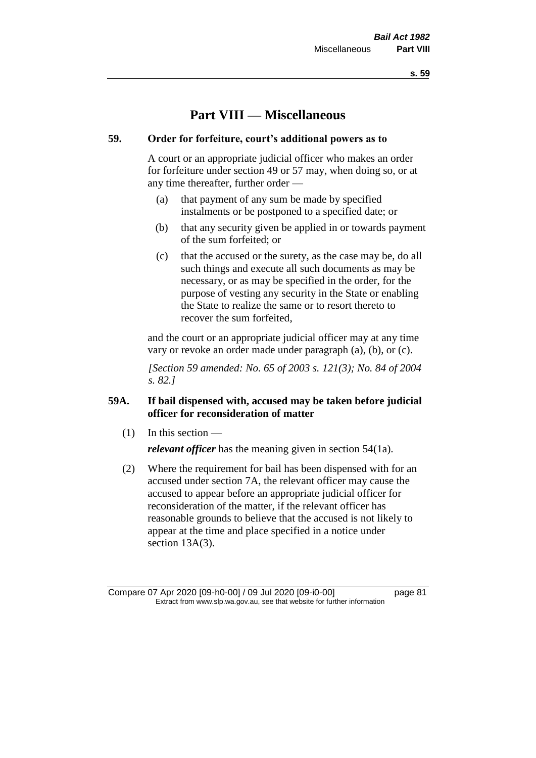**s. 59**

# **Part VIII — Miscellaneous**

# **59. Order for forfeiture, court's additional powers as to**

A court or an appropriate judicial officer who makes an order for forfeiture under section 49 or 57 may, when doing so, or at any time thereafter, further order —

- (a) that payment of any sum be made by specified instalments or be postponed to a specified date; or
- (b) that any security given be applied in or towards payment of the sum forfeited; or
- (c) that the accused or the surety, as the case may be, do all such things and execute all such documents as may be necessary, or as may be specified in the order, for the purpose of vesting any security in the State or enabling the State to realize the same or to resort thereto to recover the sum forfeited,

and the court or an appropriate judicial officer may at any time vary or revoke an order made under paragraph (a), (b), or (c).

*[Section 59 amended: No. 65 of 2003 s. 121(3); No. 84 of 2004 s. 82.]*

# **59A. If bail dispensed with, accused may be taken before judicial officer for reconsideration of matter**

 $(1)$  In this section —

*relevant officer* has the meaning given in section 54(1a).

(2) Where the requirement for bail has been dispensed with for an accused under section 7A, the relevant officer may cause the accused to appear before an appropriate judicial officer for reconsideration of the matter, if the relevant officer has reasonable grounds to believe that the accused is not likely to appear at the time and place specified in a notice under section 13A(3).

Compare 07 Apr 2020 [09-h0-00] / 09 Jul 2020 [09-i0-00] page 81 Extract from www.slp.wa.gov.au, see that website for further information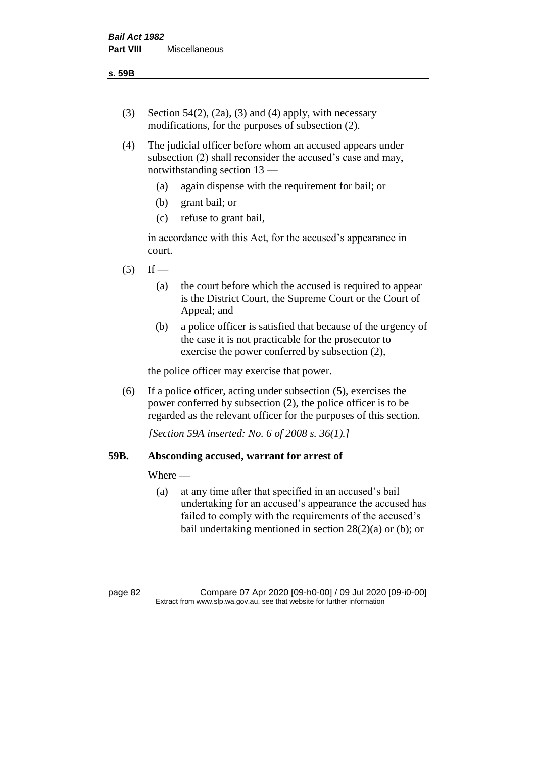**s. 59B**

- (3) Section 54(2), (2a), (3) and (4) apply, with necessary modifications, for the purposes of subsection (2).
- (4) The judicial officer before whom an accused appears under subsection (2) shall reconsider the accused's case and may, notwithstanding section 13 —
	- (a) again dispense with the requirement for bail; or
	- (b) grant bail; or
	- (c) refuse to grant bail,

in accordance with this Act, for the accused's appearance in court.

- $(5)$  If
	- (a) the court before which the accused is required to appear is the District Court, the Supreme Court or the Court of Appeal; and
	- (b) a police officer is satisfied that because of the urgency of the case it is not practicable for the prosecutor to exercise the power conferred by subsection (2),

the police officer may exercise that power.

(6) If a police officer, acting under subsection (5), exercises the power conferred by subsection (2), the police officer is to be regarded as the relevant officer for the purposes of this section.

*[Section 59A inserted: No. 6 of 2008 s. 36(1).]*

# **59B. Absconding accused, warrant for arrest of**

Where —

(a) at any time after that specified in an accused's bail undertaking for an accused's appearance the accused has failed to comply with the requirements of the accused's bail undertaking mentioned in section  $28(2)(a)$  or (b); or

page 82 Compare 07 Apr 2020 [09-h0-00] / 09 Jul 2020 [09-i0-00] Extract from www.slp.wa.gov.au, see that website for further information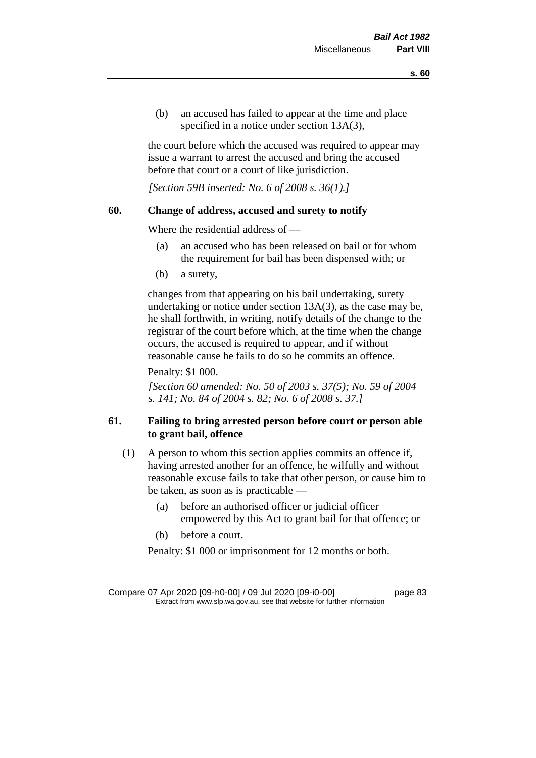(b) an accused has failed to appear at the time and place specified in a notice under section 13A(3),

the court before which the accused was required to appear may issue a warrant to arrest the accused and bring the accused before that court or a court of like jurisdiction.

*[Section 59B inserted: No. 6 of 2008 s. 36(1).]*

## **60. Change of address, accused and surety to notify**

Where the residential address of —

- (a) an accused who has been released on bail or for whom the requirement for bail has been dispensed with; or
- (b) a surety,

changes from that appearing on his bail undertaking, surety undertaking or notice under section 13A(3), as the case may be, he shall forthwith, in writing, notify details of the change to the registrar of the court before which, at the time when the change occurs, the accused is required to appear, and if without reasonable cause he fails to do so he commits an offence.

Penalty: \$1 000.

*[Section 60 amended: No. 50 of 2003 s. 37(5); No. 59 of 2004 s. 141; No. 84 of 2004 s. 82; No. 6 of 2008 s. 37.]*

# **61. Failing to bring arrested person before court or person able to grant bail, offence**

- (1) A person to whom this section applies commits an offence if, having arrested another for an offence, he wilfully and without reasonable excuse fails to take that other person, or cause him to be taken, as soon as is practicable —
	- (a) before an authorised officer or judicial officer empowered by this Act to grant bail for that offence; or
	- (b) before a court.

Penalty: \$1 000 or imprisonment for 12 months or both.

Compare 07 Apr 2020 [09-h0-00] / 09 Jul 2020 [09-i0-00] page 83 Extract from www.slp.wa.gov.au, see that website for further information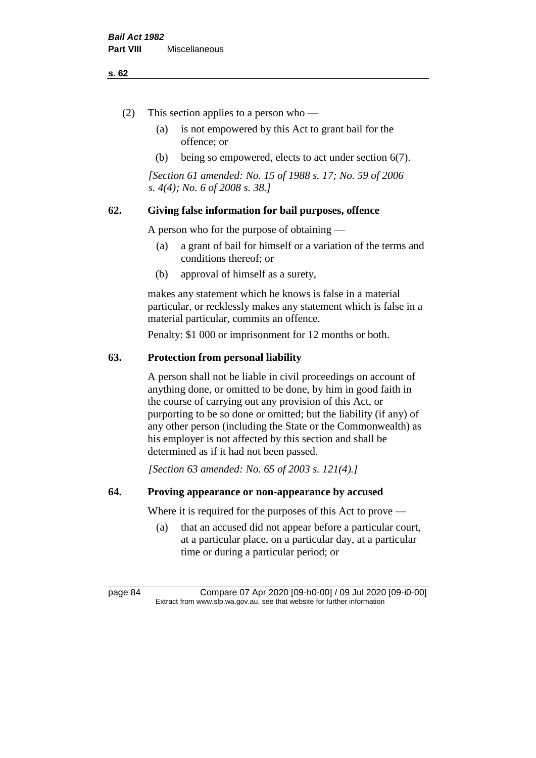#### **s. 62**

- (2) This section applies to a person who
	- (a) is not empowered by this Act to grant bail for the offence; or
	- (b) being so empowered, elects to act under section 6(7).

*[Section 61 amended: No. 15 of 1988 s. 17; No. 59 of 2006 s. 4(4); No. 6 of 2008 s. 38.]* 

# **62. Giving false information for bail purposes, offence**

A person who for the purpose of obtaining —

- (a) a grant of bail for himself or a variation of the terms and conditions thereof; or
- (b) approval of himself as a surety,

makes any statement which he knows is false in a material particular, or recklessly makes any statement which is false in a material particular, commits an offence.

Penalty: \$1 000 or imprisonment for 12 months or both.

## **63. Protection from personal liability**

A person shall not be liable in civil proceedings on account of anything done, or omitted to be done, by him in good faith in the course of carrying out any provision of this Act, or purporting to be so done or omitted; but the liability (if any) of any other person (including the State or the Commonwealth) as his employer is not affected by this section and shall be determined as if it had not been passed.

*[Section 63 amended: No. 65 of 2003 s. 121(4).]*

## **64. Proving appearance or non-appearance by accused**

Where it is required for the purposes of this Act to prove —

(a) that an accused did not appear before a particular court, at a particular place, on a particular day, at a particular time or during a particular period; or

page 84 Compare 07 Apr 2020 [09-h0-00] / 09 Jul 2020 [09-i0-00] Extract from www.slp.wa.gov.au, see that website for further information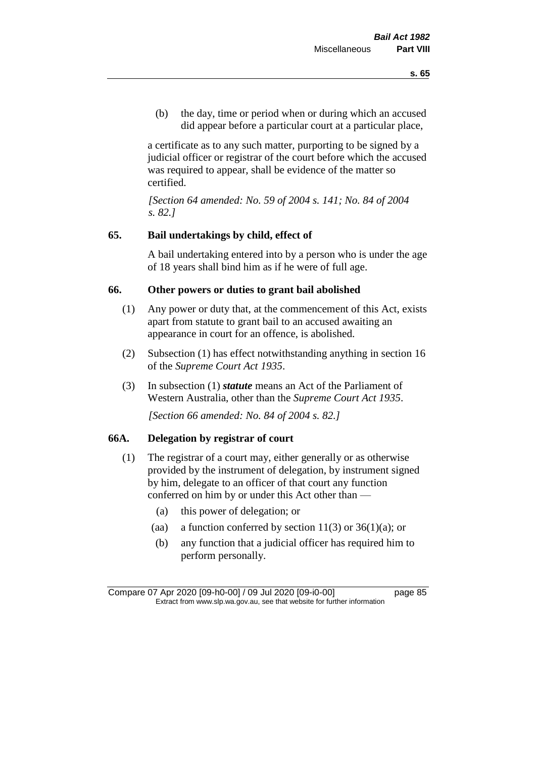(b) the day, time or period when or during which an accused did appear before a particular court at a particular place,

a certificate as to any such matter, purporting to be signed by a judicial officer or registrar of the court before which the accused was required to appear, shall be evidence of the matter so certified.

*[Section 64 amended: No. 59 of 2004 s. 141; No. 84 of 2004 s. 82.]* 

# **65. Bail undertakings by child, effect of**

A bail undertaking entered into by a person who is under the age of 18 years shall bind him as if he were of full age.

# **66. Other powers or duties to grant bail abolished**

- (1) Any power or duty that, at the commencement of this Act, exists apart from statute to grant bail to an accused awaiting an appearance in court for an offence, is abolished.
- (2) Subsection (1) has effect notwithstanding anything in section 16 of the *Supreme Court Act 1935*.
- (3) In subsection (1) *statute* means an Act of the Parliament of Western Australia, other than the *Supreme Court Act 1935*.

*[Section 66 amended: No. 84 of 2004 s. 82.]*

# **66A. Delegation by registrar of court**

- (1) The registrar of a court may, either generally or as otherwise provided by the instrument of delegation, by instrument signed by him, delegate to an officer of that court any function conferred on him by or under this Act other than —
	- (a) this power of delegation; or
	- (aa) a function conferred by section  $11(3)$  or  $36(1)(a)$ ; or
	- (b) any function that a judicial officer has required him to perform personally.

Compare 07 Apr 2020 [09-h0-00] / 09 Jul 2020 [09-i0-00] page 85 Extract from www.slp.wa.gov.au, see that website for further information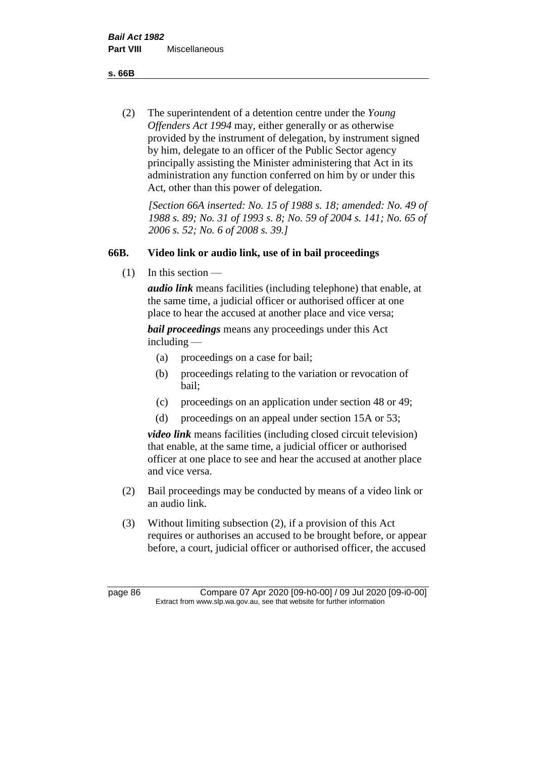**s. 66B**

(2) The superintendent of a detention centre under the *Young Offenders Act 1994* may, either generally or as otherwise provided by the instrument of delegation, by instrument signed by him, delegate to an officer of the Public Sector agency principally assisting the Minister administering that Act in its administration any function conferred on him by or under this Act, other than this power of delegation.

*[Section 66A inserted: No. 15 of 1988 s. 18; amended: No. 49 of 1988 s. 89; No. 31 of 1993 s. 8; No. 59 of 2004 s. 141; No. 65 of 2006 s. 52; No. 6 of 2008 s. 39.]* 

# **66B. Video link or audio link, use of in bail proceedings**

 $(1)$  In this section —

*audio link* means facilities (including telephone) that enable, at the same time, a judicial officer or authorised officer at one place to hear the accused at another place and vice versa;

*bail proceedings* means any proceedings under this Act including —

- (a) proceedings on a case for bail;
- (b) proceedings relating to the variation or revocation of bail;
- (c) proceedings on an application under section 48 or 49;
- (d) proceedings on an appeal under section 15A or 53;

*video link* means facilities (including closed circuit television) that enable, at the same time, a judicial officer or authorised officer at one place to see and hear the accused at another place and vice versa.

- (2) Bail proceedings may be conducted by means of a video link or an audio link.
- (3) Without limiting subsection (2), if a provision of this Act requires or authorises an accused to be brought before, or appear before, a court, judicial officer or authorised officer, the accused

page 86 Compare 07 Apr 2020 [09-h0-00] / 09 Jul 2020 [09-i0-00] Extract from www.slp.wa.gov.au, see that website for further information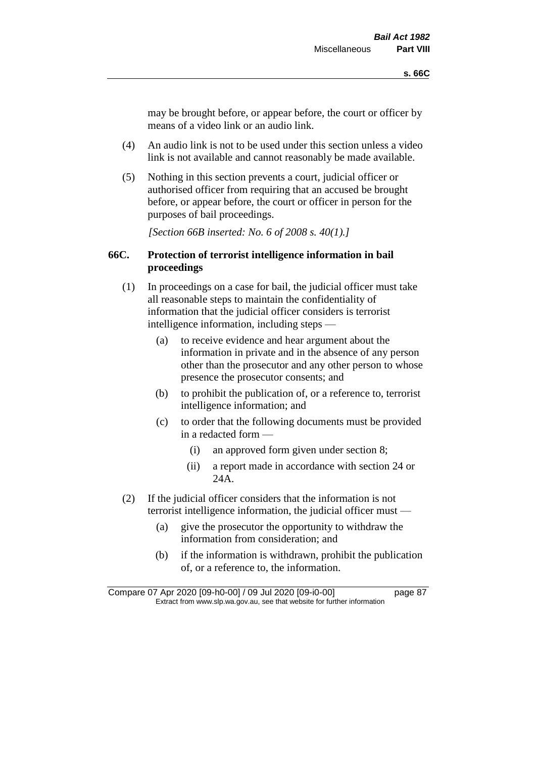may be brought before, or appear before, the court or officer by means of a video link or an audio link.

- (4) An audio link is not to be used under this section unless a video link is not available and cannot reasonably be made available.
- (5) Nothing in this section prevents a court, judicial officer or authorised officer from requiring that an accused be brought before, or appear before, the court or officer in person for the purposes of bail proceedings.

*[Section 66B inserted: No. 6 of 2008 s. 40(1).]*

# **66C. Protection of terrorist intelligence information in bail proceedings**

- (1) In proceedings on a case for bail, the judicial officer must take all reasonable steps to maintain the confidentiality of information that the judicial officer considers is terrorist intelligence information, including steps —
	- (a) to receive evidence and hear argument about the information in private and in the absence of any person other than the prosecutor and any other person to whose presence the prosecutor consents; and
	- (b) to prohibit the publication of, or a reference to, terrorist intelligence information; and
	- (c) to order that the following documents must be provided in a redacted form —
		- (i) an approved form given under section 8;
		- (ii) a report made in accordance with section 24 or 24A.
- (2) If the judicial officer considers that the information is not terrorist intelligence information, the judicial officer must —
	- (a) give the prosecutor the opportunity to withdraw the information from consideration; and
	- (b) if the information is withdrawn, prohibit the publication of, or a reference to, the information.

Compare 07 Apr 2020 [09-h0-00] / 09 Jul 2020 [09-i0-00] page 87 Extract from www.slp.wa.gov.au, see that website for further information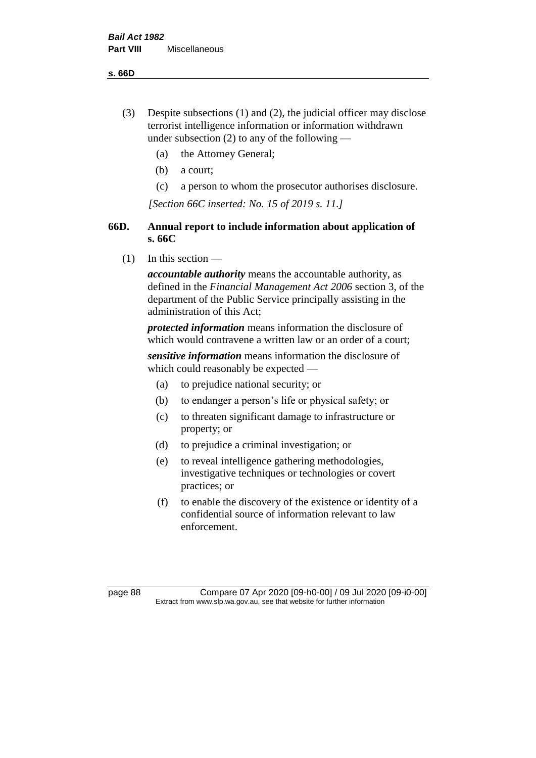**s. 66D**

- (3) Despite subsections (1) and (2), the judicial officer may disclose terrorist intelligence information or information withdrawn under subsection  $(2)$  to any of the following —
	- (a) the Attorney General;
	- (b) a court;
	- (c) a person to whom the prosecutor authorises disclosure.

*[Section 66C inserted: No. 15 of 2019 s. 11.]*

# **66D. Annual report to include information about application of s. 66C**

 $(1)$  In this section —

*accountable authority* means the accountable authority, as defined in the *Financial Management Act 2006* section 3, of the department of the Public Service principally assisting in the administration of this Act;

*protected information* means information the disclosure of which would contravene a written law or an order of a court;

*sensitive information* means information the disclosure of which could reasonably be expected —

- (a) to prejudice national security; or
- (b) to endanger a person's life or physical safety; or
- (c) to threaten significant damage to infrastructure or property; or
- (d) to prejudice a criminal investigation; or
- (e) to reveal intelligence gathering methodologies, investigative techniques or technologies or covert practices; or
- (f) to enable the discovery of the existence or identity of a confidential source of information relevant to law enforcement.

page 88 Compare 07 Apr 2020 [09-h0-00] / 09 Jul 2020 [09-i0-00] Extract from www.slp.wa.gov.au, see that website for further information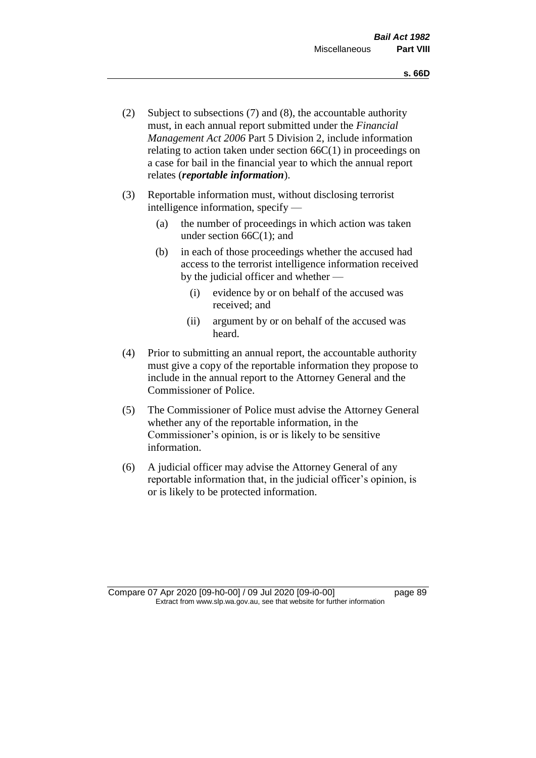- (2) Subject to subsections (7) and (8), the accountable authority must, in each annual report submitted under the *Financial Management Act 2006* Part 5 Division 2, include information relating to action taken under section 66C(1) in proceedings on a case for bail in the financial year to which the annual report relates (*reportable information*).
- (3) Reportable information must, without disclosing terrorist intelligence information, specify —
	- (a) the number of proceedings in which action was taken under section  $66C(1)$ ; and
	- (b) in each of those proceedings whether the accused had access to the terrorist intelligence information received by the judicial officer and whether —
		- (i) evidence by or on behalf of the accused was received; and
		- (ii) argument by or on behalf of the accused was heard.
- (4) Prior to submitting an annual report, the accountable authority must give a copy of the reportable information they propose to include in the annual report to the Attorney General and the Commissioner of Police.
- (5) The Commissioner of Police must advise the Attorney General whether any of the reportable information, in the Commissioner's opinion, is or is likely to be sensitive information.
- (6) A judicial officer may advise the Attorney General of any reportable information that, in the judicial officer's opinion, is or is likely to be protected information.

Compare 07 Apr 2020 [09-h0-00] / 09 Jul 2020 [09-i0-00] page 89 Extract from www.slp.wa.gov.au, see that website for further information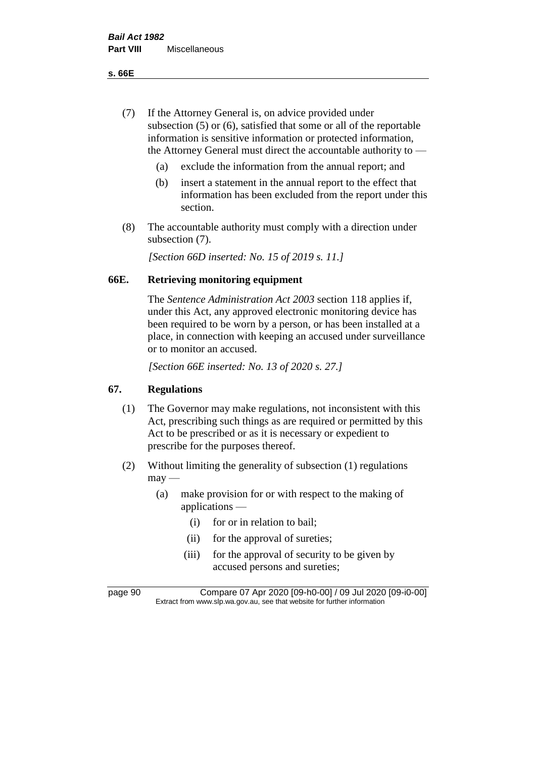**s. 66E**

- (7) If the Attorney General is, on advice provided under subsection (5) or (6), satisfied that some or all of the reportable information is sensitive information or protected information, the Attorney General must direct the accountable authority to —
	- (a) exclude the information from the annual report; and
	- (b) insert a statement in the annual report to the effect that information has been excluded from the report under this section.
- (8) The accountable authority must comply with a direction under subsection (7).

*[Section 66D inserted: No. 15 of 2019 s. 11.]*

## **66E. Retrieving monitoring equipment**

The *Sentence Administration Act 2003* section 118 applies if, under this Act, any approved electronic monitoring device has been required to be worn by a person, or has been installed at a place, in connection with keeping an accused under surveillance or to monitor an accused.

*[Section 66E inserted: No. 13 of 2020 s. 27.]*

# **67. Regulations**

- (1) The Governor may make regulations, not inconsistent with this Act, prescribing such things as are required or permitted by this Act to be prescribed or as it is necessary or expedient to prescribe for the purposes thereof.
- (2) Without limiting the generality of subsection (1) regulations  $may -$ 
	- (a) make provision for or with respect to the making of applications —
		- (i) for or in relation to bail;
		- (ii) for the approval of sureties;
		- (iii) for the approval of security to be given by accused persons and sureties;

page 90 Compare 07 Apr 2020 [09-h0-00] / 09 Jul 2020 [09-i0-00] Extract from www.slp.wa.gov.au, see that website for further information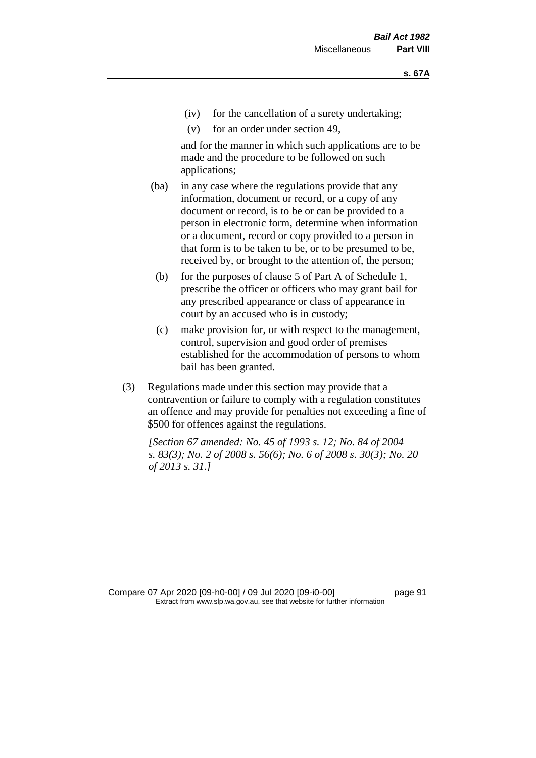- (iv) for the cancellation of a surety undertaking;
- (v) for an order under section 49,

and for the manner in which such applications are to be made and the procedure to be followed on such applications;

- (ba) in any case where the regulations provide that any information, document or record, or a copy of any document or record, is to be or can be provided to a person in electronic form, determine when information or a document, record or copy provided to a person in that form is to be taken to be, or to be presumed to be, received by, or brought to the attention of, the person;
	- (b) for the purposes of clause 5 of Part A of Schedule 1, prescribe the officer or officers who may grant bail for any prescribed appearance or class of appearance in court by an accused who is in custody;
	- (c) make provision for, or with respect to the management, control, supervision and good order of premises established for the accommodation of persons to whom bail has been granted.
- (3) Regulations made under this section may provide that a contravention or failure to comply with a regulation constitutes an offence and may provide for penalties not exceeding a fine of \$500 for offences against the regulations.

*[Section 67 amended: No. 45 of 1993 s. 12; No. 84 of 2004 s. 83(3); No. 2 of 2008 s. 56(6); No. 6 of 2008 s. 30(3); No. 20 of 2013 s. 31.]* 

Compare 07 Apr 2020 [09-h0-00] / 09 Jul 2020 [09-i0-00] page 91 Extract from www.slp.wa.gov.au, see that website for further information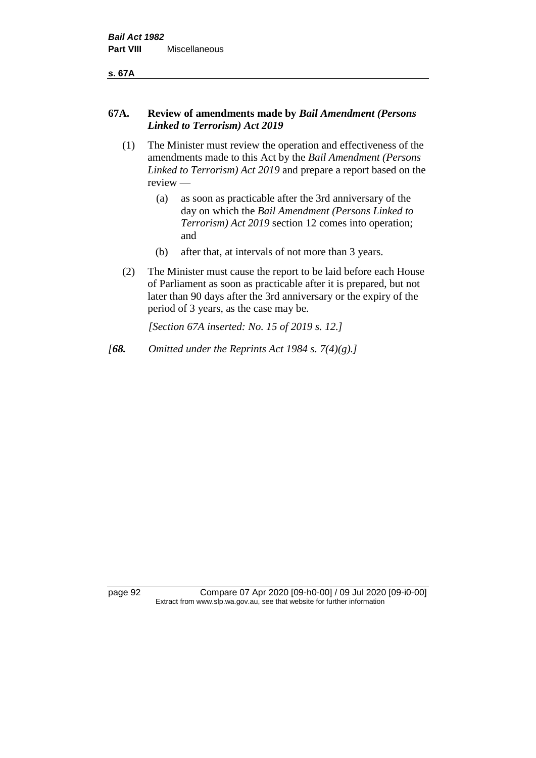**s. 67A**

# **67A. Review of amendments made by** *Bail Amendment (Persons Linked to Terrorism) Act 2019*

- (1) The Minister must review the operation and effectiveness of the amendments made to this Act by the *Bail Amendment (Persons Linked to Terrorism) Act 2019* and prepare a report based on the review —
	- (a) as soon as practicable after the 3rd anniversary of the day on which the *Bail Amendment (Persons Linked to Terrorism) Act 2019* section 12 comes into operation; and
	- (b) after that, at intervals of not more than 3 years.
- (2) The Minister must cause the report to be laid before each House of Parliament as soon as practicable after it is prepared, but not later than 90 days after the 3rd anniversary or the expiry of the period of 3 years, as the case may be.

*[Section 67A inserted: No. 15 of 2019 s. 12.]*

*[68. Omitted under the Reprints Act 1984 s. 7(4)(g).]*

page 92 Compare 07 Apr 2020 [09-h0-00] / 09 Jul 2020 [09-i0-00] Extract from www.slp.wa.gov.au, see that website for further information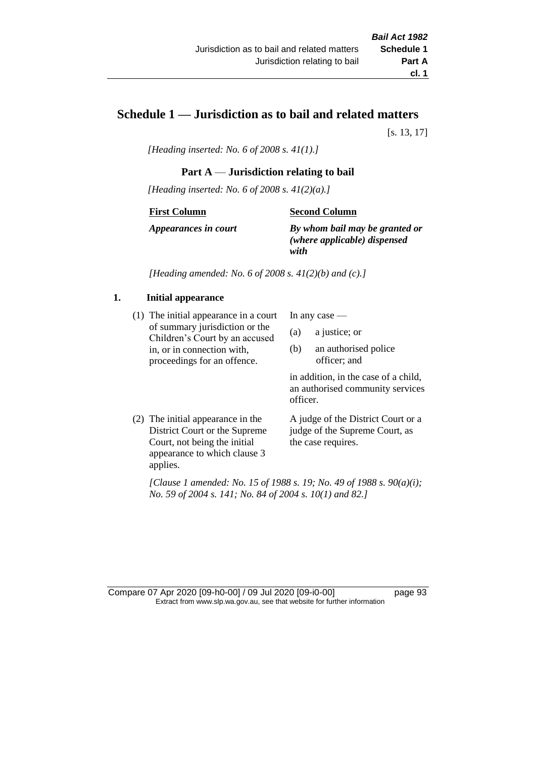# **Schedule 1 — Jurisdiction as to bail and related matters**

[s. 13, 17]

*[Heading inserted: No. 6 of 2008 s. 41(1).]*

## **Part A** — **Jurisdiction relating to bail**

*[Heading inserted: No. 6 of 2008 s. 41(2)(a).]*

#### **First Column**

**Second Column**

*Appearances in court*

# *By whom bail may be granted or*

*(where applicable) dispensed with*

*[Heading amended: No. 6 of 2008 s. 41(2)(b) and (c).]*

## **1. Initial appearance**

(1) The initial appearance in a court of summary jurisdiction or the Children's Court by an accused in, or in connection with, proceedings for an offence.

In any case —

- (a) a justice; or
- (b) an authorised police officer; and

in addition, in the case of a child, an authorised community services officer.

(2) The initial appearance in the District Court or the Supreme Court, not being the initial appearance to which clause 3 applies. A judge of the District Court or a judge of the Supreme Court, as the case requires.

*[Clause 1 amended: No. 15 of 1988 s. 19; No. 49 of 1988 s. 90(a)(i); No. 59 of 2004 s. 141; No. 84 of 2004 s. 10(1) and 82.]*

Compare 07 Apr 2020 [09-h0-00] / 09 Jul 2020 [09-i0-00] page 93 Extract from www.slp.wa.gov.au, see that website for further information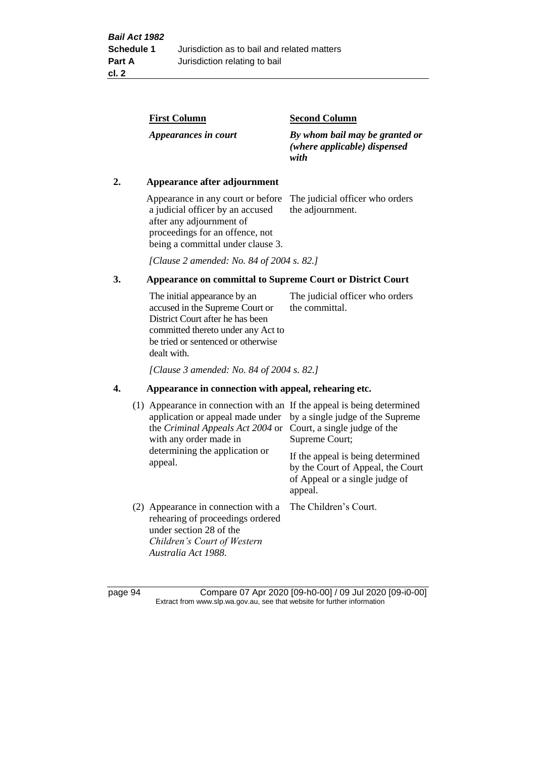| <b>First Column</b>  | <b>Second Column</b>                                                   |
|----------------------|------------------------------------------------------------------------|
| Appearances in court | By whom bail may be granted or<br>(where applicable) dispensed<br>with |

# **2. Appearance after adjournment**

Appearance in any court or before The judicial officer who orders a judicial officer by an accused after any adjournment of proceedings for an offence, not being a committal under clause 3.

the adjournment.

*[Clause 2 amended: No. 84 of 2004 s. 82.]*

# **3. Appearance on committal to Supreme Court or District Court**

The initial appearance by an accused in the Supreme Court or District Court after he has been committed thereto under any Act to be tried or sentenced or otherwise dealt with. The judicial officer who orders the committal.

*[Clause 3 amended: No. 84 of 2004 s. 82.]*

# **4. Appearance in connection with appeal, rehearing etc.**

| (1) Appearance in connection with an If the appeal is being determined<br>application or appeal made under<br>the <i>Criminal Appeals Act 2004</i> or<br>with any order made in<br>determining the application or<br>appeal. | by a single judge of the Supreme<br>Court, a single judge of the<br>Supreme Court;<br>If the appeal is being determined<br>by the Court of Appeal, the Court<br>of Appeal or a single judge of<br>appeal. |
|------------------------------------------------------------------------------------------------------------------------------------------------------------------------------------------------------------------------------|-----------------------------------------------------------------------------------------------------------------------------------------------------------------------------------------------------------|
| (2) Appearance in connection with a<br>rehearing of proceedings ordered<br>under section 28 of the<br>Children's Court of Western<br>Australia Act 1988.                                                                     | The Children's Court.                                                                                                                                                                                     |

page 94 Compare 07 Apr 2020 [09-h0-00] / 09 Jul 2020 [09-i0-00] Extract from www.slp.wa.gov.au, see that website for further information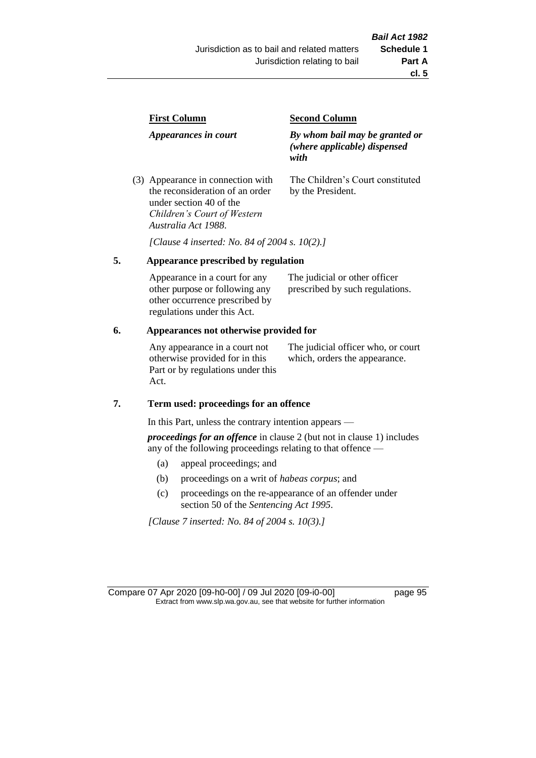| <b>First Column</b>                                                  | <b>Second Column</b>                                                   |  |
|----------------------------------------------------------------------|------------------------------------------------------------------------|--|
| Appearances in court                                                 | By whom bail may be granted or<br>(where applicable) dispensed<br>with |  |
| (3) Appearance in connection with<br>the reconsideration of an order | The Children's Court constituted<br>by the President.                  |  |

*[Clause 4 inserted: No. 84 of 2004 s. 10(2).]*

## **5. Appearance prescribed by regulation**

under section 40 of the *Children's Court of Western* 

*Australia Act 1988*.

| Appearance in a court for any  | The judicial or other officer   |
|--------------------------------|---------------------------------|
| other purpose or following any | prescribed by such regulations. |
| other occurrence prescribed by |                                 |
| regulations under this Act.    |                                 |

## **6. Appearances not otherwise provided for**

Any appearance in a court not otherwise provided for in this Part or by regulations under this Act.

The judicial officer who, or court which, orders the appearance.

## **7. Term used: proceedings for an offence**

In this Part, unless the contrary intention appears —

*proceedings for an offence* in clause 2 (but not in clause 1) includes any of the following proceedings relating to that offence —

- (a) appeal proceedings; and
- (b) proceedings on a writ of *habeas corpus*; and
- (c) proceedings on the re-appearance of an offender under section 50 of the *Sentencing Act 1995*.

*[Clause 7 inserted: No. 84 of 2004 s. 10(3).]*

Compare 07 Apr 2020 [09-h0-00] / 09 Jul 2020 [09-i0-00] page 95 Extract from www.slp.wa.gov.au, see that website for further information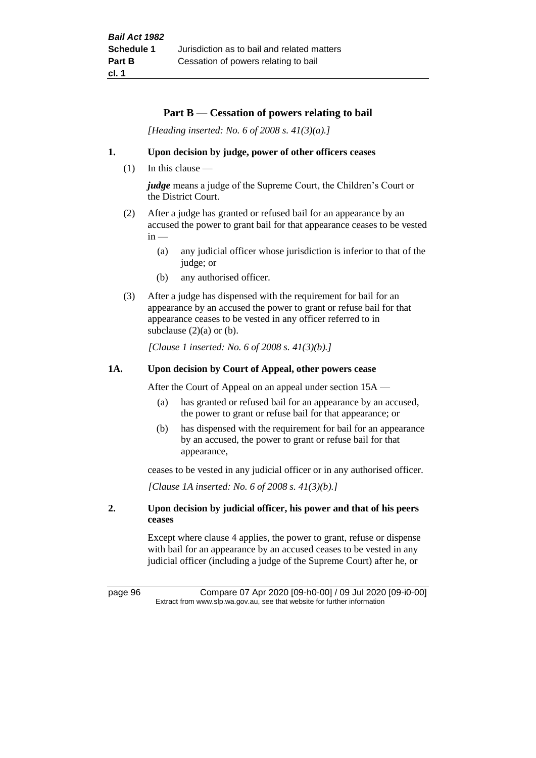## **Part B** — **Cessation of powers relating to bail**

*[Heading inserted: No. 6 of 2008 s. 41(3)(a).]*

## **1. Upon decision by judge, power of other officers ceases**

(1) In this clause —

*judge* means a judge of the Supreme Court, the Children's Court or the District Court.

- (2) After a judge has granted or refused bail for an appearance by an accused the power to grant bail for that appearance ceases to be vested  $in -$ 
	- (a) any judicial officer whose jurisdiction is inferior to that of the judge; or
	- (b) any authorised officer.
- (3) After a judge has dispensed with the requirement for bail for an appearance by an accused the power to grant or refuse bail for that appearance ceases to be vested in any officer referred to in subclause  $(2)(a)$  or  $(b)$ .

*[Clause 1 inserted: No. 6 of 2008 s. 41(3)(b).]*

## **1A. Upon decision by Court of Appeal, other powers cease**

After the Court of Appeal on an appeal under section 15A —

- (a) has granted or refused bail for an appearance by an accused, the power to grant or refuse bail for that appearance; or
- (b) has dispensed with the requirement for bail for an appearance by an accused, the power to grant or refuse bail for that appearance,

ceases to be vested in any judicial officer or in any authorised officer.

*[Clause 1A inserted: No. 6 of 2008 s. 41(3)(b).]*

## **2. Upon decision by judicial officer, his power and that of his peers ceases**

Except where clause 4 applies, the power to grant, refuse or dispense with bail for an appearance by an accused ceases to be vested in any judicial officer (including a judge of the Supreme Court) after he, or

page 96 Compare 07 Apr 2020 [09-h0-00] / 09 Jul 2020 [09-i0-00] Extract from www.slp.wa.gov.au, see that website for further information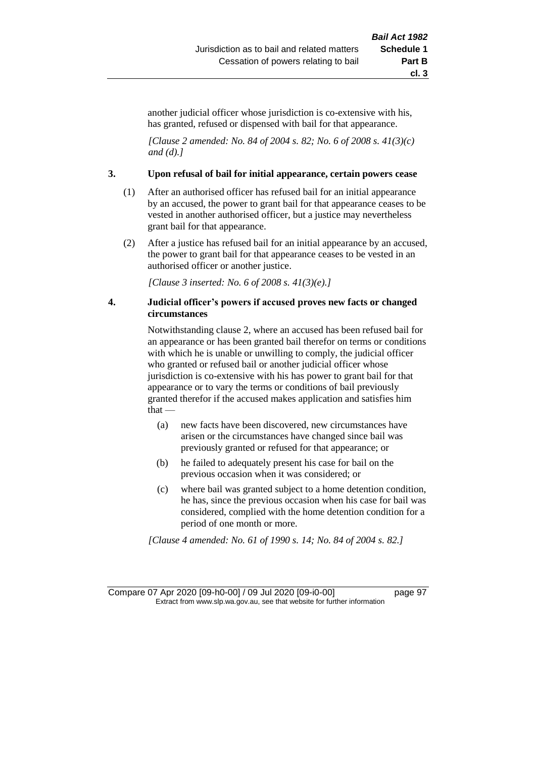another judicial officer whose jurisdiction is co-extensive with his, has granted, refused or dispensed with bail for that appearance.

*[Clause 2 amended: No. 84 of 2004 s. 82; No. 6 of 2008 s. 41(3)(c) and (d).]*

## **3. Upon refusal of bail for initial appearance, certain powers cease**

- (1) After an authorised officer has refused bail for an initial appearance by an accused, the power to grant bail for that appearance ceases to be vested in another authorised officer, but a justice may nevertheless grant bail for that appearance.
- (2) After a justice has refused bail for an initial appearance by an accused, the power to grant bail for that appearance ceases to be vested in an authorised officer or another justice.

*[Clause 3 inserted: No. 6 of 2008 s. 41(3)(e).]*

## **4. Judicial officer's powers if accused proves new facts or changed circumstances**

Notwithstanding clause 2, where an accused has been refused bail for an appearance or has been granted bail therefor on terms or conditions with which he is unable or unwilling to comply, the judicial officer who granted or refused bail or another judicial officer whose jurisdiction is co-extensive with his has power to grant bail for that appearance or to vary the terms or conditions of bail previously granted therefor if the accused makes application and satisfies him that —

- (a) new facts have been discovered, new circumstances have arisen or the circumstances have changed since bail was previously granted or refused for that appearance; or
- (b) he failed to adequately present his case for bail on the previous occasion when it was considered; or
- (c) where bail was granted subject to a home detention condition, he has, since the previous occasion when his case for bail was considered, complied with the home detention condition for a period of one month or more.

*[Clause 4 amended: No. 61 of 1990 s. 14; No. 84 of 2004 s. 82.]*

Compare 07 Apr 2020 [09-h0-00] / 09 Jul 2020 [09-i0-00] page 97 Extract from www.slp.wa.gov.au, see that website for further information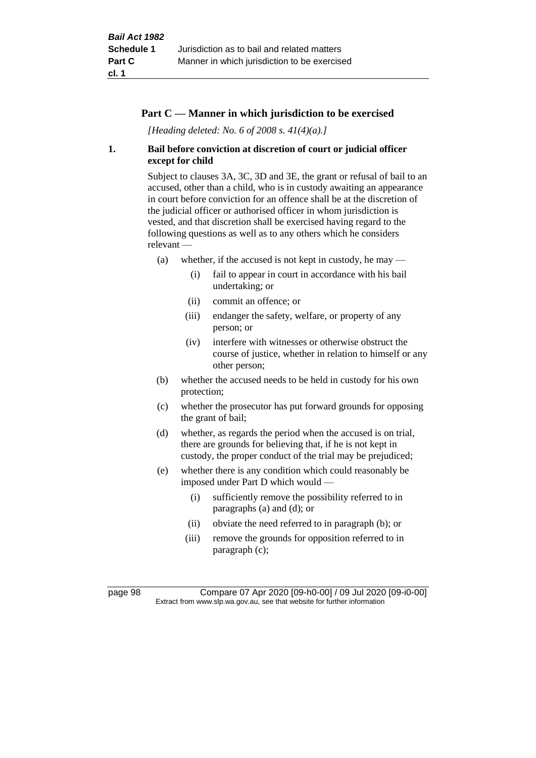# **Part C — Manner in which jurisdiction to be exercised**

*[Heading deleted: No. 6 of 2008 s. 41(4)(a).]*

# **1. Bail before conviction at discretion of court or judicial officer except for child**

Subject to clauses 3A, 3C, 3D and 3E, the grant or refusal of bail to an accused, other than a child, who is in custody awaiting an appearance in court before conviction for an offence shall be at the discretion of the judicial officer or authorised officer in whom jurisdiction is vested, and that discretion shall be exercised having regard to the following questions as well as to any others which he considers relevant —

- (a) whether, if the accused is not kept in custody, he may  $-$ 
	- (i) fail to appear in court in accordance with his bail undertaking; or
	- (ii) commit an offence; or
	- (iii) endanger the safety, welfare, or property of any person; or
	- (iv) interfere with witnesses or otherwise obstruct the course of justice, whether in relation to himself or any other person;
- (b) whether the accused needs to be held in custody for his own protection;
- (c) whether the prosecutor has put forward grounds for opposing the grant of bail;
- (d) whether, as regards the period when the accused is on trial, there are grounds for believing that, if he is not kept in custody, the proper conduct of the trial may be prejudiced;
- (e) whether there is any condition which could reasonably be imposed under Part D which would —
	- (i) sufficiently remove the possibility referred to in paragraphs (a) and (d); or
	- (ii) obviate the need referred to in paragraph (b); or
	- (iii) remove the grounds for opposition referred to in paragraph (c);

page 98 Compare 07 Apr 2020 [09-h0-00] / 09 Jul 2020 [09-i0-00] Extract from www.slp.wa.gov.au, see that website for further information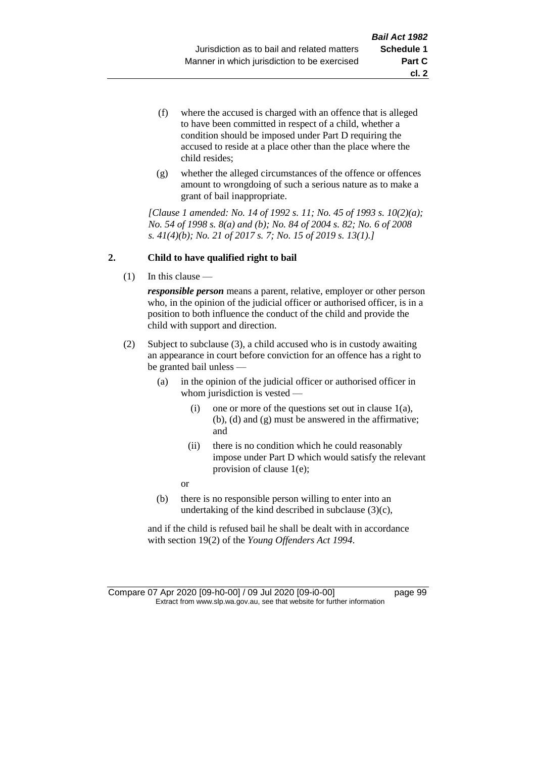- (f) where the accused is charged with an offence that is alleged to have been committed in respect of a child, whether a condition should be imposed under Part D requiring the accused to reside at a place other than the place where the child resides;
- (g) whether the alleged circumstances of the offence or offences amount to wrongdoing of such a serious nature as to make a grant of bail inappropriate.

*[Clause 1 amended: No. 14 of 1992 s. 11; No. 45 of 1993 s. 10(2)(a); No. 54 of 1998 s. 8(a) and (b); No. 84 of 2004 s. 82; No. 6 of 2008 s. 41(4)(b); No. 21 of 2017 s. 7; No. 15 of 2019 s. 13(1).]*

## **2. Child to have qualified right to bail**

(1) In this clause —

*responsible person* means a parent, relative, employer or other person who, in the opinion of the judicial officer or authorised officer, is in a position to both influence the conduct of the child and provide the child with support and direction.

- (2) Subject to subclause (3), a child accused who is in custody awaiting an appearance in court before conviction for an offence has a right to be granted bail unless —
	- (a) in the opinion of the judicial officer or authorised officer in whom jurisdiction is vested —
		- (i) one or more of the questions set out in clause  $1(a)$ , (b), (d) and (g) must be answered in the affirmative; and
		- (ii) there is no condition which he could reasonably impose under Part D which would satisfy the relevant provision of clause 1(e);

or

(b) there is no responsible person willing to enter into an undertaking of the kind described in subclause (3)(c),

and if the child is refused bail he shall be dealt with in accordance with section 19(2) of the *Young Offenders Act 1994*.

Compare 07 Apr 2020 [09-h0-00] / 09 Jul 2020 [09-i0-00] page 99 Extract from www.slp.wa.gov.au, see that website for further information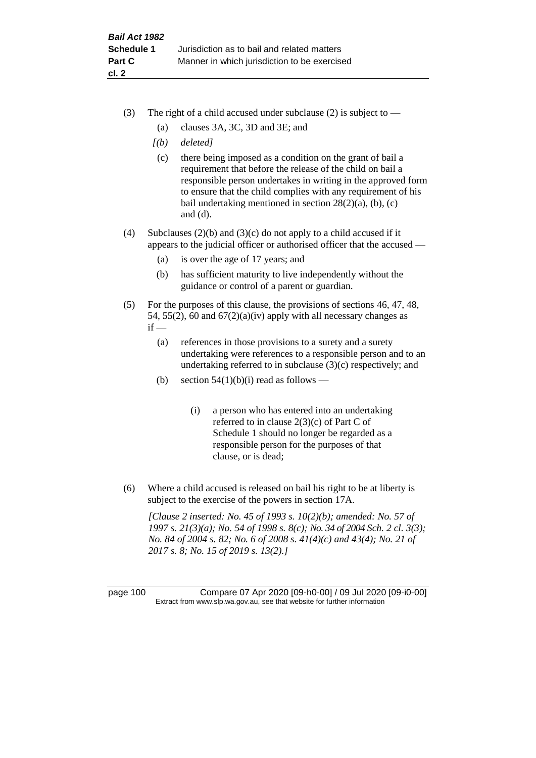- (3) The right of a child accused under subclause (2) is subject to  $-$ 
	- (a) clauses 3A, 3C, 3D and 3E; and
	- *[(b) deleted]*
	- (c) there being imposed as a condition on the grant of bail a requirement that before the release of the child on bail a responsible person undertakes in writing in the approved form to ensure that the child complies with any requirement of his bail undertaking mentioned in section  $28(2)(a)$ , (b), (c) and (d).
- (4) Subclauses (2)(b) and (3)(c) do not apply to a child accused if it appears to the judicial officer or authorised officer that the accused —
	- (a) is over the age of 17 years; and
	- (b) has sufficient maturity to live independently without the guidance or control of a parent or guardian.
- (5) For the purposes of this clause, the provisions of sections 46, 47, 48, 54, 55(2), 60 and  $67(2)(a)(iv)$  apply with all necessary changes as  $if -$ 
	- (a) references in those provisions to a surety and a surety undertaking were references to a responsible person and to an undertaking referred to in subclause (3)(c) respectively; and
	- (b) section  $54(1)(b)(i)$  read as follows
		- (i) a person who has entered into an undertaking referred to in clause 2(3)(c) of Part C of Schedule 1 should no longer be regarded as a responsible person for the purposes of that clause, or is dead;
- (6) Where a child accused is released on bail his right to be at liberty is subject to the exercise of the powers in section 17A.

*[Clause 2 inserted: No. 45 of 1993 s. 10(2)(b); amended: No. 57 of 1997 s. 21(3)(a); No. 54 of 1998 s. 8(c); No. 34 of 2004 Sch. 2 cl. 3(3); No. 84 of 2004 s. 82; No. 6 of 2008 s. 41(4)(c) and 43(4); No. 21 of 2017 s. 8; No. 15 of 2019 s. 13(2).]*

page 100 Compare 07 Apr 2020 [09-h0-00] / 09 Jul 2020 [09-i0-00] Extract from www.slp.wa.gov.au, see that website for further information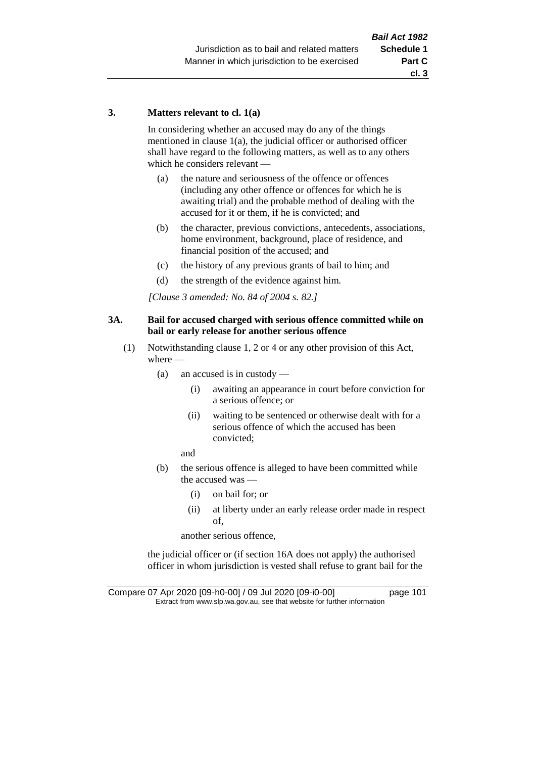## **3. Matters relevant to cl. 1(a)**

In considering whether an accused may do any of the things mentioned in clause 1(a), the judicial officer or authorised officer shall have regard to the following matters, as well as to any others which he considers relevant —

- (a) the nature and seriousness of the offence or offences (including any other offence or offences for which he is awaiting trial) and the probable method of dealing with the accused for it or them, if he is convicted; and
- (b) the character, previous convictions, antecedents, associations, home environment, background, place of residence, and financial position of the accused; and
- (c) the history of any previous grants of bail to him; and
- (d) the strength of the evidence against him.

*[Clause 3 amended: No. 84 of 2004 s. 82.]*

## **3A. Bail for accused charged with serious offence committed while on bail or early release for another serious offence**

- (1) Notwithstanding clause 1, 2 or 4 or any other provision of this Act, where —
	- (a) an accused is in custody
		- (i) awaiting an appearance in court before conviction for a serious offence; or
		- (ii) waiting to be sentenced or otherwise dealt with for a serious offence of which the accused has been convicted;

and

- (b) the serious offence is alleged to have been committed while the accused was —
	- (i) on bail for; or
	- (ii) at liberty under an early release order made in respect of,

another serious offence,

the judicial officer or (if section 16A does not apply) the authorised officer in whom jurisdiction is vested shall refuse to grant bail for the

Compare 07 Apr 2020 [09-h0-00] / 09 Jul 2020 [09-i0-00] page 101 Extract from www.slp.wa.gov.au, see that website for further information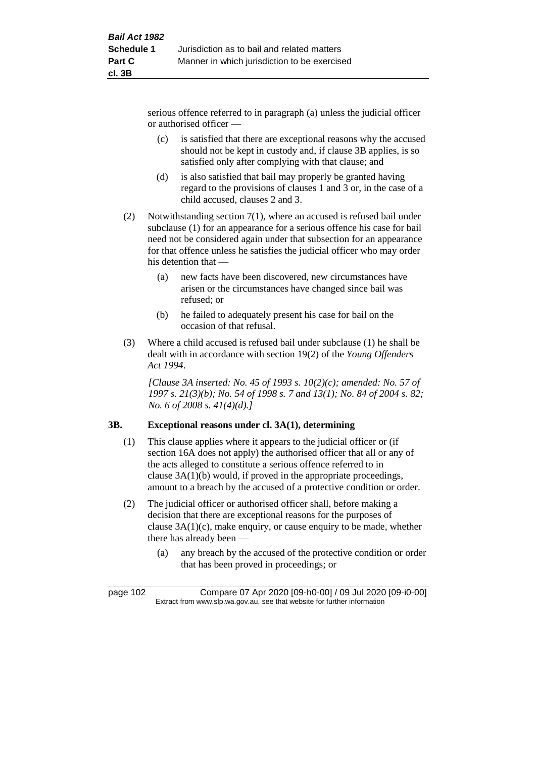serious offence referred to in paragraph (a) unless the judicial officer or authorised officer —

- (c) is satisfied that there are exceptional reasons why the accused should not be kept in custody and, if clause 3B applies, is so satisfied only after complying with that clause; and
- (d) is also satisfied that bail may properly be granted having regard to the provisions of clauses 1 and 3 or, in the case of a child accused, clauses 2 and 3.
- (2) Notwithstanding section 7(1), where an accused is refused bail under subclause (1) for an appearance for a serious offence his case for bail need not be considered again under that subsection for an appearance for that offence unless he satisfies the judicial officer who may order his detention that —
	- (a) new facts have been discovered, new circumstances have arisen or the circumstances have changed since bail was refused; or
	- (b) he failed to adequately present his case for bail on the occasion of that refusal.
- (3) Where a child accused is refused bail under subclause (1) he shall be dealt with in accordance with section 19(2) of the *Young Offenders Act 1994*.

*[Clause 3A inserted: No. 45 of 1993 s. 10(2)(c); amended: No. 57 of 1997 s. 21(3)(b); No. 54 of 1998 s. 7 and 13(1); No. 84 of 2004 s. 82; No. 6 of 2008 s. 41(4)(d).]*

# **3B. Exceptional reasons under cl. 3A(1), determining**

- (1) This clause applies where it appears to the judicial officer or (if section 16A does not apply) the authorised officer that all or any of the acts alleged to constitute a serious offence referred to in clause 3A(1)(b) would, if proved in the appropriate proceedings, amount to a breach by the accused of a protective condition or order.
- (2) The judicial officer or authorised officer shall, before making a decision that there are exceptional reasons for the purposes of clause 3A(1)(c), make enquiry, or cause enquiry to be made, whether there has already been —
	- (a) any breach by the accused of the protective condition or order that has been proved in proceedings; or

page 102 Compare 07 Apr 2020 [09-h0-00] / 09 Jul 2020 [09-i0-00] Extract from www.slp.wa.gov.au, see that website for further information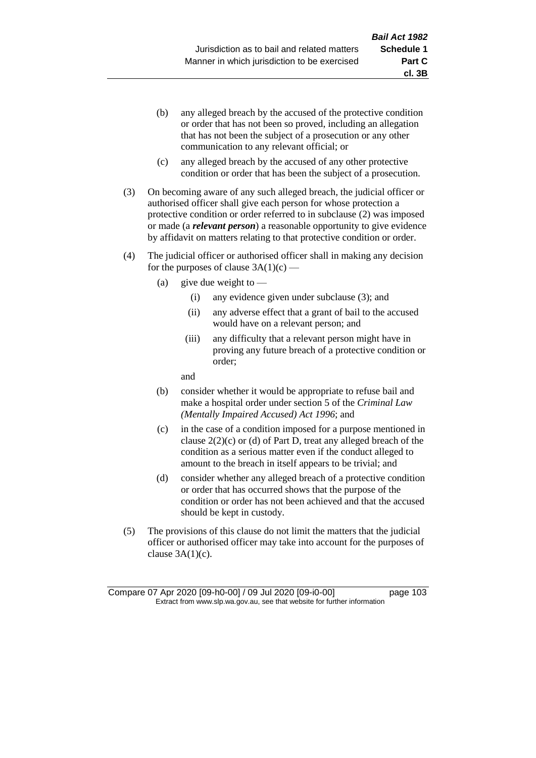- (b) any alleged breach by the accused of the protective condition or order that has not been so proved, including an allegation that has not been the subject of a prosecution or any other communication to any relevant official; or
- (c) any alleged breach by the accused of any other protective condition or order that has been the subject of a prosecution.
- (3) On becoming aware of any such alleged breach, the judicial officer or authorised officer shall give each person for whose protection a protective condition or order referred to in subclause (2) was imposed or made (a *relevant person*) a reasonable opportunity to give evidence by affidavit on matters relating to that protective condition or order.
- (4) The judicial officer or authorised officer shall in making any decision for the purposes of clause  $3A(1)(c)$  —
	- (a) give due weight to  $-$ 
		- (i) any evidence given under subclause (3); and
		- (ii) any adverse effect that a grant of bail to the accused would have on a relevant person; and
		- (iii) any difficulty that a relevant person might have in proving any future breach of a protective condition or order;

and

- (b) consider whether it would be appropriate to refuse bail and make a hospital order under section 5 of the *Criminal Law (Mentally Impaired Accused) Act 1996*; and
- (c) in the case of a condition imposed for a purpose mentioned in clause  $2(2)(c)$  or (d) of Part D, treat any alleged breach of the condition as a serious matter even if the conduct alleged to amount to the breach in itself appears to be trivial; and
- (d) consider whether any alleged breach of a protective condition or order that has occurred shows that the purpose of the condition or order has not been achieved and that the accused should be kept in custody.
- (5) The provisions of this clause do not limit the matters that the judicial officer or authorised officer may take into account for the purposes of clause  $3A(1)(c)$ .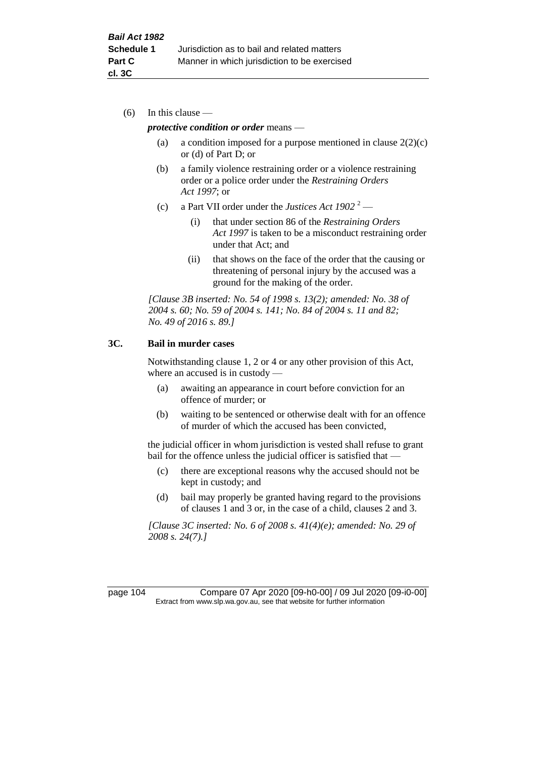(6) In this clause —

### *protective condition or order* means —

- (a) a condition imposed for a purpose mentioned in clause  $2(2)(c)$ or (d) of Part D; or
- (b) a family violence restraining order or a violence restraining order or a police order under the *Restraining Orders Act 1997*; or
- (c) a Part VII order under the *Justices Act 1902* <sup>2</sup>
	- (i) that under section 86 of the *Restraining Orders Act 1997* is taken to be a misconduct restraining order under that Act; and
	- (ii) that shows on the face of the order that the causing or threatening of personal injury by the accused was a ground for the making of the order.

*[Clause 3B inserted: No. 54 of 1998 s. 13(2); amended: No. 38 of 2004 s. 60; No. 59 of 2004 s. 141; No. 84 of 2004 s. 11 and 82; No. 49 of 2016 s. 89.]*

## **3C. Bail in murder cases**

Notwithstanding clause 1, 2 or 4 or any other provision of this Act, where an accused is in custody —

- (a) awaiting an appearance in court before conviction for an offence of murder; or
- (b) waiting to be sentenced or otherwise dealt with for an offence of murder of which the accused has been convicted,

the judicial officer in whom jurisdiction is vested shall refuse to grant bail for the offence unless the judicial officer is satisfied that —

- (c) there are exceptional reasons why the accused should not be kept in custody; and
- (d) bail may properly be granted having regard to the provisions of clauses 1 and 3 or, in the case of a child, clauses 2 and 3.

*[Clause 3C inserted: No. 6 of 2008 s. 41(4)(e); amended: No. 29 of 2008 s. 24(7).]*

page 104 Compare 07 Apr 2020 [09-h0-00] / 09 Jul 2020 [09-i0-00] Extract from www.slp.wa.gov.au, see that website for further information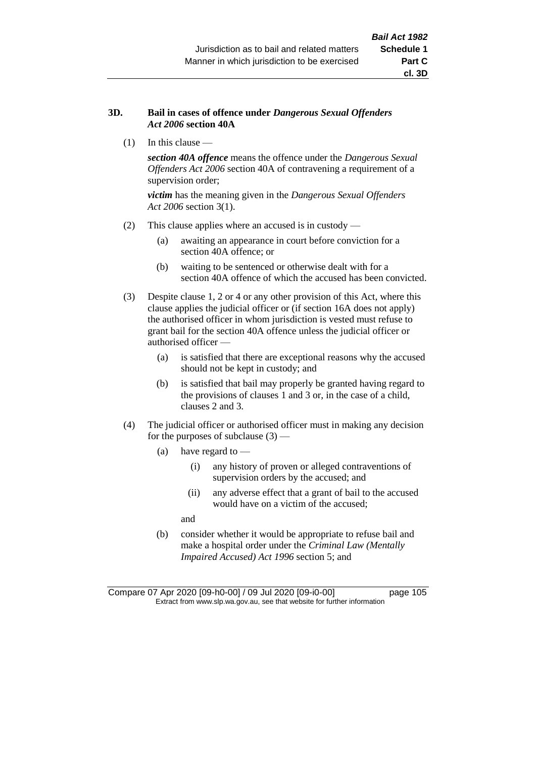## **3D. Bail in cases of offence under** *Dangerous Sexual Offenders Act 2006* **section 40A**

(1) In this clause —

*section 40A offence* means the offence under the *Dangerous Sexual Offenders Act 2006* section 40A of contravening a requirement of a supervision order;

*victim* has the meaning given in the *Dangerous Sexual Offenders Act 2006* section 3(1).

- (2) This clause applies where an accused is in custody
	- (a) awaiting an appearance in court before conviction for a section 40A offence; or
	- (b) waiting to be sentenced or otherwise dealt with for a section 40A offence of which the accused has been convicted.
- (3) Despite clause 1, 2 or 4 or any other provision of this Act, where this clause applies the judicial officer or (if section 16A does not apply) the authorised officer in whom jurisdiction is vested must refuse to grant bail for the section 40A offence unless the judicial officer or authorised officer —
	- (a) is satisfied that there are exceptional reasons why the accused should not be kept in custody; and
	- (b) is satisfied that bail may properly be granted having regard to the provisions of clauses 1 and 3 or, in the case of a child, clauses 2 and 3.
- (4) The judicial officer or authorised officer must in making any decision for the purposes of subclause  $(3)$  —
	- (a) have regard to
		- (i) any history of proven or alleged contraventions of supervision orders by the accused; and
		- (ii) any adverse effect that a grant of bail to the accused would have on a victim of the accused;

and

(b) consider whether it would be appropriate to refuse bail and make a hospital order under the *Criminal Law (Mentally Impaired Accused) Act 1996* section 5; and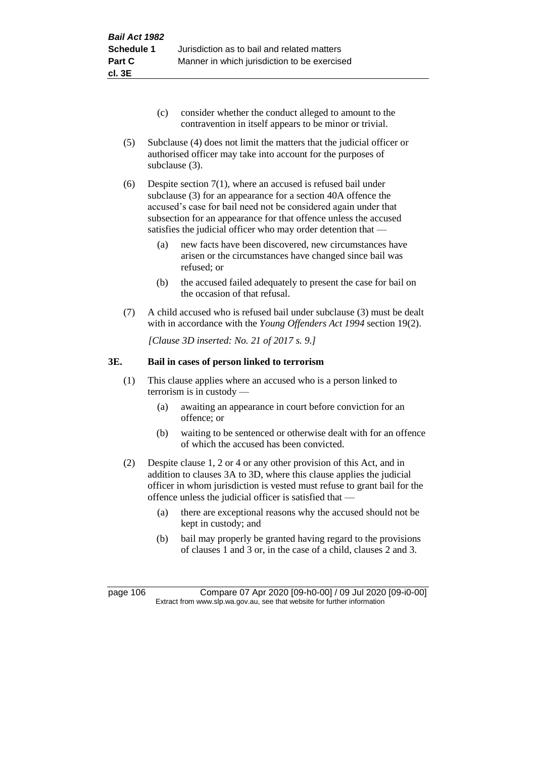- (c) consider whether the conduct alleged to amount to the contravention in itself appears to be minor or trivial.
- (5) Subclause (4) does not limit the matters that the judicial officer or authorised officer may take into account for the purposes of subclause (3).
- (6) Despite section 7(1), where an accused is refused bail under subclause (3) for an appearance for a section 40A offence the accused's case for bail need not be considered again under that subsection for an appearance for that offence unless the accused satisfies the judicial officer who may order detention that —
	- (a) new facts have been discovered, new circumstances have arisen or the circumstances have changed since bail was refused; or
	- (b) the accused failed adequately to present the case for bail on the occasion of that refusal.
- (7) A child accused who is refused bail under subclause (3) must be dealt with in accordance with the *Young Offenders Act 1994* section 19(2).

*[Clause 3D inserted: No. 21 of 2017 s. 9.]*

## **3E. Bail in cases of person linked to terrorism**

- (1) This clause applies where an accused who is a person linked to terrorism is in custody —
	- (a) awaiting an appearance in court before conviction for an offence; or
	- (b) waiting to be sentenced or otherwise dealt with for an offence of which the accused has been convicted.
- (2) Despite clause 1, 2 or 4 or any other provision of this Act, and in addition to clauses 3A to 3D, where this clause applies the judicial officer in whom jurisdiction is vested must refuse to grant bail for the offence unless the judicial officer is satisfied that —
	- (a) there are exceptional reasons why the accused should not be kept in custody; and
	- (b) bail may properly be granted having regard to the provisions of clauses 1 and 3 or, in the case of a child, clauses 2 and 3.

page 106 Compare 07 Apr 2020 [09-h0-00] / 09 Jul 2020 [09-i0-00] Extract from www.slp.wa.gov.au, see that website for further information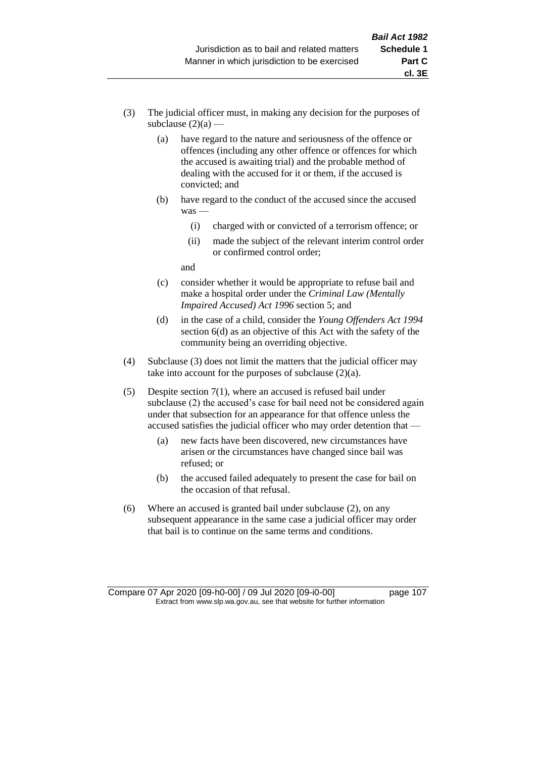- (3) The judicial officer must, in making any decision for the purposes of subclause  $(2)(a)$  —
	- (a) have regard to the nature and seriousness of the offence or offences (including any other offence or offences for which the accused is awaiting trial) and the probable method of dealing with the accused for it or them, if the accused is convicted; and
	- (b) have regard to the conduct of the accused since the accused was —
		- (i) charged with or convicted of a terrorism offence; or
		- (ii) made the subject of the relevant interim control order or confirmed control order;

and

- (c) consider whether it would be appropriate to refuse bail and make a hospital order under the *Criminal Law (Mentally Impaired Accused) Act 1996* section 5; and
- (d) in the case of a child, consider the *Young Offenders Act 1994* section 6(d) as an objective of this Act with the safety of the community being an overriding objective.
- (4) Subclause (3) does not limit the matters that the judicial officer may take into account for the purposes of subclause  $(2)(a)$ .
- (5) Despite section 7(1), where an accused is refused bail under subclause (2) the accused's case for bail need not be considered again under that subsection for an appearance for that offence unless the accused satisfies the judicial officer who may order detention that —
	- (a) new facts have been discovered, new circumstances have arisen or the circumstances have changed since bail was refused; or
	- (b) the accused failed adequately to present the case for bail on the occasion of that refusal.
- (6) Where an accused is granted bail under subclause (2), on any subsequent appearance in the same case a judicial officer may order that bail is to continue on the same terms and conditions.

Compare 07 Apr 2020 [09-h0-00] / 09 Jul 2020 [09-i0-00] page 107 Extract from www.slp.wa.gov.au, see that website for further information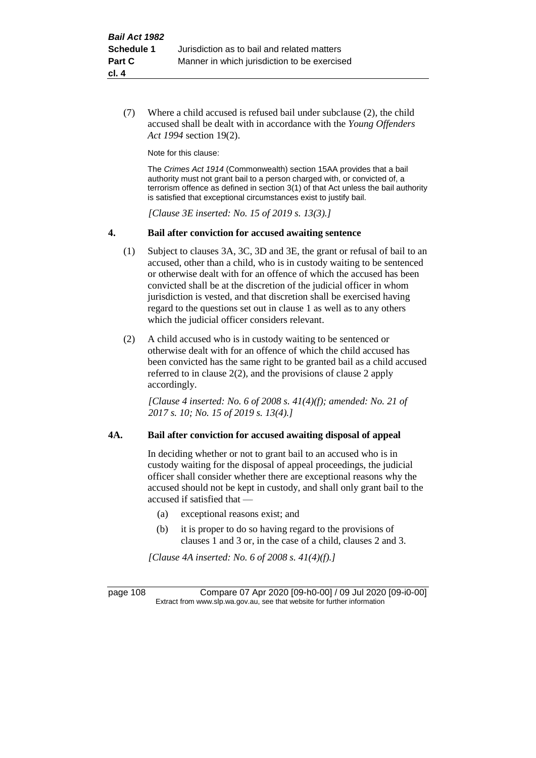(7) Where a child accused is refused bail under subclause (2), the child accused shall be dealt with in accordance with the *Young Offenders Act 1994* section 19(2).

Note for this clause:

The *Crimes Act 1914* (Commonwealth) section 15AA provides that a bail authority must not grant bail to a person charged with, or convicted of, a terrorism offence as defined in section 3(1) of that Act unless the bail authority is satisfied that exceptional circumstances exist to justify bail.

*[Clause 3E inserted: No. 15 of 2019 s. 13(3).]*

#### **4. Bail after conviction for accused awaiting sentence**

- (1) Subject to clauses 3A, 3C, 3D and 3E, the grant or refusal of bail to an accused, other than a child, who is in custody waiting to be sentenced or otherwise dealt with for an offence of which the accused has been convicted shall be at the discretion of the judicial officer in whom jurisdiction is vested, and that discretion shall be exercised having regard to the questions set out in clause 1 as well as to any others which the judicial officer considers relevant.
- (2) A child accused who is in custody waiting to be sentenced or otherwise dealt with for an offence of which the child accused has been convicted has the same right to be granted bail as a child accused referred to in clause 2(2), and the provisions of clause 2 apply accordingly.

*[Clause 4 inserted: No. 6 of 2008 s. 41(4)(f); amended: No. 21 of 2017 s. 10; No. 15 of 2019 s. 13(4).]*

#### **4A. Bail after conviction for accused awaiting disposal of appeal**

In deciding whether or not to grant bail to an accused who is in custody waiting for the disposal of appeal proceedings, the judicial officer shall consider whether there are exceptional reasons why the accused should not be kept in custody, and shall only grant bail to the accused if satisfied that —

- (a) exceptional reasons exist; and
- (b) it is proper to do so having regard to the provisions of clauses 1 and 3 or, in the case of a child, clauses 2 and 3.

*[Clause 4A inserted: No. 6 of 2008 s. 41(4)(f).]*

page 108 Compare 07 Apr 2020 [09-h0-00] / 09 Jul 2020 [09-i0-00] Extract from www.slp.wa.gov.au, see that website for further information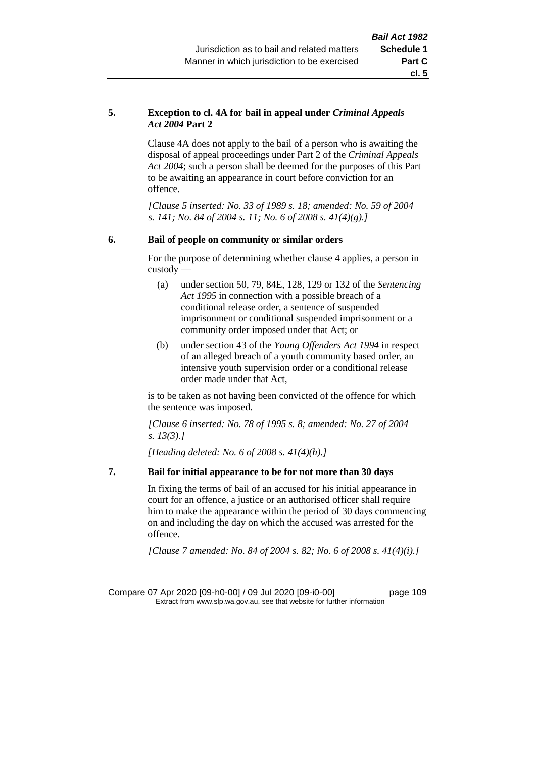#### **5. Exception to cl. 4A for bail in appeal under** *Criminal Appeals Act 2004* **Part 2**

Clause 4A does not apply to the bail of a person who is awaiting the disposal of appeal proceedings under Part 2 of the *Criminal Appeals Act 2004*; such a person shall be deemed for the purposes of this Part to be awaiting an appearance in court before conviction for an offence.

*[Clause 5 inserted: No. 33 of 1989 s. 18; amended: No. 59 of 2004 s. 141; No. 84 of 2004 s. 11; No. 6 of 2008 s. 41(4)(g).]*

#### **6. Bail of people on community or similar orders**

For the purpose of determining whether clause 4 applies, a person in custody —

- (a) under section 50, 79, 84E, 128, 129 or 132 of the *Sentencing Act 1995* in connection with a possible breach of a conditional release order, a sentence of suspended imprisonment or conditional suspended imprisonment or a community order imposed under that Act; or
- (b) under section 43 of the *Young Offenders Act 1994* in respect of an alleged breach of a youth community based order, an intensive youth supervision order or a conditional release order made under that Act,

is to be taken as not having been convicted of the offence for which the sentence was imposed.

*[Clause 6 inserted: No. 78 of 1995 s. 8; amended: No. 27 of 2004 s. 13(3).]*

*[Heading deleted: No. 6 of 2008 s. 41(4)(h).]*

#### **7. Bail for initial appearance to be for not more than 30 days**

In fixing the terms of bail of an accused for his initial appearance in court for an offence, a justice or an authorised officer shall require him to make the appearance within the period of 30 days commencing on and including the day on which the accused was arrested for the offence.

*[Clause 7 amended: No. 84 of 2004 s. 82; No. 6 of 2008 s. 41(4)(i).]*

Compare 07 Apr 2020 [09-h0-00] / 09 Jul 2020 [09-i0-00] page 109 Extract from www.slp.wa.gov.au, see that website for further information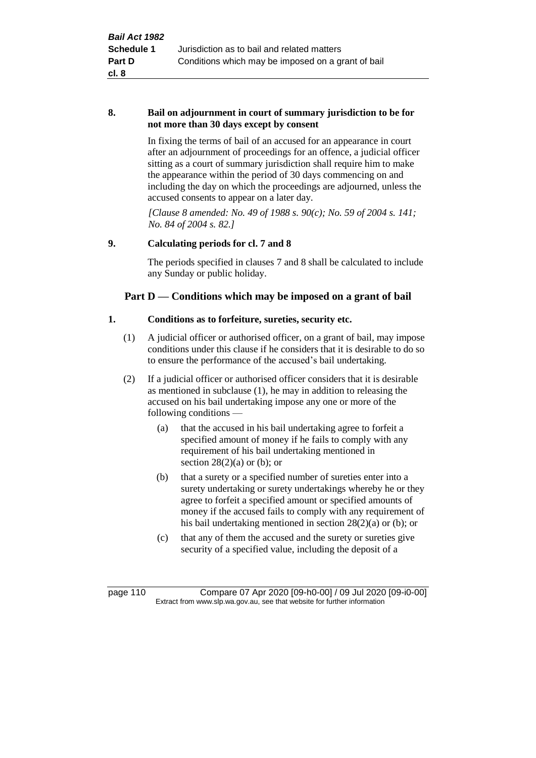#### **8. Bail on adjournment in court of summary jurisdiction to be for not more than 30 days except by consent**

In fixing the terms of bail of an accused for an appearance in court after an adjournment of proceedings for an offence, a judicial officer sitting as a court of summary jurisdiction shall require him to make the appearance within the period of 30 days commencing on and including the day on which the proceedings are adjourned, unless the accused consents to appear on a later day.

*[Clause 8 amended: No. 49 of 1988 s. 90(c); No. 59 of 2004 s. 141; No. 84 of 2004 s. 82.]*

#### **9. Calculating periods for cl. 7 and 8**

The periods specified in clauses 7 and 8 shall be calculated to include any Sunday or public holiday.

## **Part D — Conditions which may be imposed on a grant of bail**

#### **1. Conditions as to forfeiture, sureties, security etc.**

- (1) A judicial officer or authorised officer, on a grant of bail, may impose conditions under this clause if he considers that it is desirable to do so to ensure the performance of the accused's bail undertaking.
- (2) If a judicial officer or authorised officer considers that it is desirable as mentioned in subclause (1), he may in addition to releasing the accused on his bail undertaking impose any one or more of the following conditions —
	- (a) that the accused in his bail undertaking agree to forfeit a specified amount of money if he fails to comply with any requirement of his bail undertaking mentioned in section  $28(2)(a)$  or (b); or
	- (b) that a surety or a specified number of sureties enter into a surety undertaking or surety undertakings whereby he or they agree to forfeit a specified amount or specified amounts of money if the accused fails to comply with any requirement of his bail undertaking mentioned in section 28(2)(a) or (b); or
	- (c) that any of them the accused and the surety or sureties give security of a specified value, including the deposit of a

page 110 Compare 07 Apr 2020 [09-h0-00] / 09 Jul 2020 [09-i0-00] Extract from www.slp.wa.gov.au, see that website for further information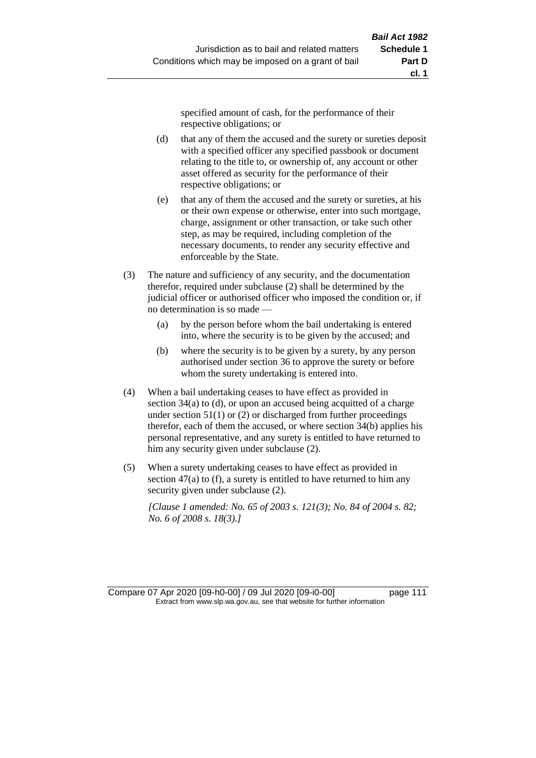specified amount of cash, for the performance of their respective obligations; or

- (d) that any of them the accused and the surety or sureties deposit with a specified officer any specified passbook or document relating to the title to, or ownership of, any account or other asset offered as security for the performance of their respective obligations; or
- (e) that any of them the accused and the surety or sureties, at his or their own expense or otherwise, enter into such mortgage, charge, assignment or other transaction, or take such other step, as may be required, including completion of the necessary documents, to render any security effective and enforceable by the State.
- (3) The nature and sufficiency of any security, and the documentation therefor, required under subclause (2) shall be determined by the judicial officer or authorised officer who imposed the condition or, if no determination is so made —
	- (a) by the person before whom the bail undertaking is entered into, where the security is to be given by the accused; and
	- (b) where the security is to be given by a surety, by any person authorised under section 36 to approve the surety or before whom the surety undertaking is entered into.
- (4) When a bail undertaking ceases to have effect as provided in section 34(a) to (d), or upon an accused being acquitted of a charge under section  $51(1)$  or (2) or discharged from further proceedings therefor, each of them the accused, or where section 34(b) applies his personal representative, and any surety is entitled to have returned to him any security given under subclause (2).
- (5) When a surety undertaking ceases to have effect as provided in section 47(a) to (f), a surety is entitled to have returned to him any security given under subclause (2).

*[Clause 1 amended: No. 65 of 2003 s. 121(3); No. 84 of 2004 s. 82; No. 6 of 2008 s. 18(3).]*

Compare 07 Apr 2020 [09-h0-00] / 09 Jul 2020 [09-i0-00] page 111 Extract from www.slp.wa.gov.au, see that website for further information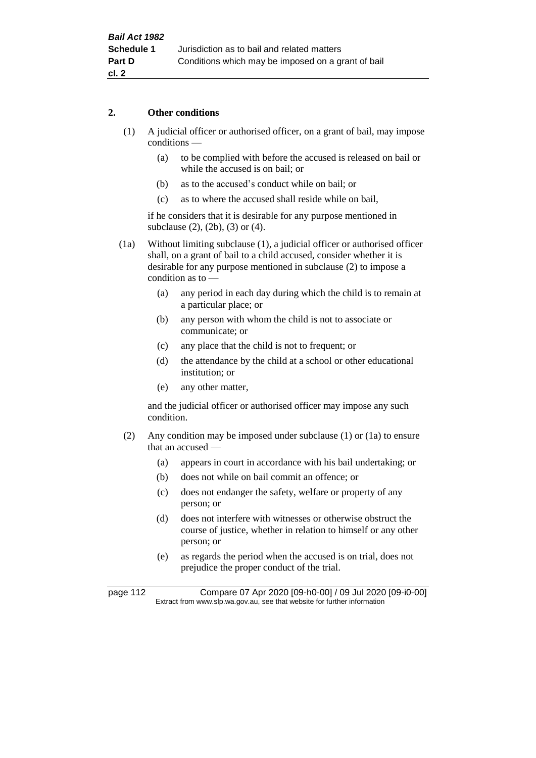#### **2. Other conditions**

- (1) A judicial officer or authorised officer, on a grant of bail, may impose conditions —
	- (a) to be complied with before the accused is released on bail or while the accused is on bail; or
	- (b) as to the accused's conduct while on bail; or
	- (c) as to where the accused shall reside while on bail,

if he considers that it is desirable for any purpose mentioned in subclause (2), (2b), (3) or (4).

(1a) Without limiting subclause (1), a judicial officer or authorised officer shall, on a grant of bail to a child accused, consider whether it is desirable for any purpose mentioned in subclause (2) to impose a condition as to —

- (a) any period in each day during which the child is to remain at a particular place; or
- (b) any person with whom the child is not to associate or communicate; or
- (c) any place that the child is not to frequent; or
- (d) the attendance by the child at a school or other educational institution; or
- (e) any other matter,

and the judicial officer or authorised officer may impose any such condition.

- (2) Any condition may be imposed under subclause (1) or (1a) to ensure that an accused —
	- (a) appears in court in accordance with his bail undertaking; or
	- (b) does not while on bail commit an offence; or
	- (c) does not endanger the safety, welfare or property of any person; or
	- (d) does not interfere with witnesses or otherwise obstruct the course of justice, whether in relation to himself or any other person; or
	- (e) as regards the period when the accused is on trial, does not prejudice the proper conduct of the trial.

page 112 Compare 07 Apr 2020 [09-h0-00] / 09 Jul 2020 [09-i0-00] Extract from www.slp.wa.gov.au, see that website for further information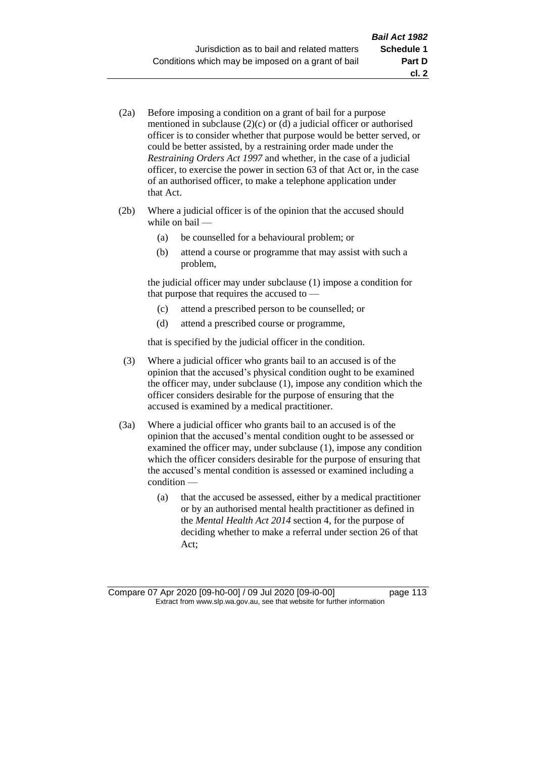- (2a) Before imposing a condition on a grant of bail for a purpose mentioned in subclause (2)(c) or (d) a judicial officer or authorised officer is to consider whether that purpose would be better served, or could be better assisted, by a restraining order made under the *Restraining Orders Act 1997* and whether, in the case of a judicial officer, to exercise the power in section 63 of that Act or, in the case of an authorised officer, to make a telephone application under that Act.
- (2b) Where a judicial officer is of the opinion that the accused should while on bail —
	- (a) be counselled for a behavioural problem; or
	- (b) attend a course or programme that may assist with such a problem,

the judicial officer may under subclause (1) impose a condition for that purpose that requires the accused to —

- (c) attend a prescribed person to be counselled; or
- (d) attend a prescribed course or programme,

that is specified by the judicial officer in the condition.

- (3) Where a judicial officer who grants bail to an accused is of the opinion that the accused's physical condition ought to be examined the officer may, under subclause (1), impose any condition which the officer considers desirable for the purpose of ensuring that the accused is examined by a medical practitioner.
- (3a) Where a judicial officer who grants bail to an accused is of the opinion that the accused's mental condition ought to be assessed or examined the officer may, under subclause (1), impose any condition which the officer considers desirable for the purpose of ensuring that the accused's mental condition is assessed or examined including a condition —
	- (a) that the accused be assessed, either by a medical practitioner or by an authorised mental health practitioner as defined in the *Mental Health Act 2014* section 4, for the purpose of deciding whether to make a referral under section 26 of that Act;

Compare 07 Apr 2020 [09-h0-00] / 09 Jul 2020 [09-i0-00] page 113 Extract from www.slp.wa.gov.au, see that website for further information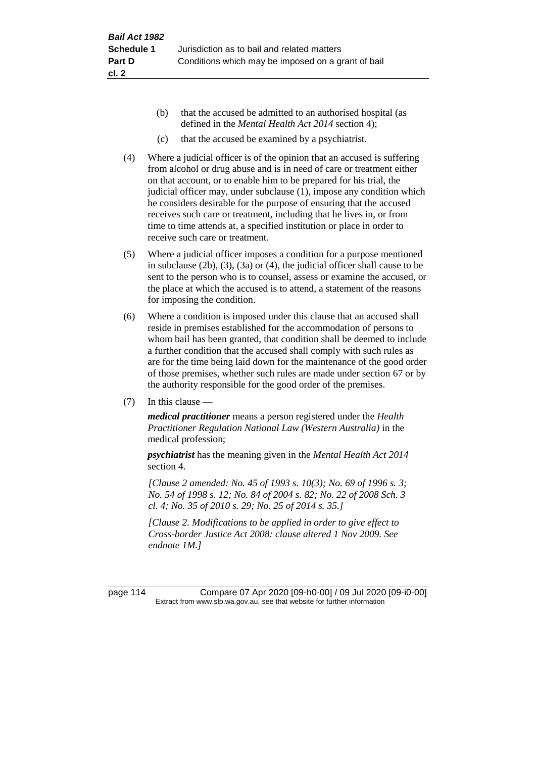- (b) that the accused be admitted to an authorised hospital (as defined in the *Mental Health Act 2014* section 4);
- (c) that the accused be examined by a psychiatrist.
- (4) Where a judicial officer is of the opinion that an accused is suffering from alcohol or drug abuse and is in need of care or treatment either on that account, or to enable him to be prepared for his trial, the judicial officer may, under subclause (1), impose any condition which he considers desirable for the purpose of ensuring that the accused receives such care or treatment, including that he lives in, or from time to time attends at, a specified institution or place in order to receive such care or treatment.
- (5) Where a judicial officer imposes a condition for a purpose mentioned in subclause (2b), (3), (3a) or (4), the judicial officer shall cause to be sent to the person who is to counsel, assess or examine the accused, or the place at which the accused is to attend, a statement of the reasons for imposing the condition.
- (6) Where a condition is imposed under this clause that an accused shall reside in premises established for the accommodation of persons to whom bail has been granted, that condition shall be deemed to include a further condition that the accused shall comply with such rules as are for the time being laid down for the maintenance of the good order of those premises, whether such rules are made under section 67 or by the authority responsible for the good order of the premises.
- (7) In this clause —

*medical practitioner* means a person registered under the *Health Practitioner Regulation National Law (Western Australia)* in the medical profession;

*psychiatrist* has the meaning given in the *Mental Health Act 2014* section 4.

*[Clause 2 amended: No. 45 of 1993 s. 10(3); No. 69 of 1996 s. 3; No. 54 of 1998 s. 12; No. 84 of 2004 s. 82; No. 22 of 2008 Sch. 3 cl. 4; No. 35 of 2010 s. 29; No. 25 of 2014 s. 35.]*

*[Clause 2. Modifications to be applied in order to give effect to Cross-border Justice Act 2008: clause altered 1 Nov 2009. See endnote 1M.]*

page 114 Compare 07 Apr 2020 [09-h0-00] / 09 Jul 2020 [09-i0-00] Extract from www.slp.wa.gov.au, see that website for further information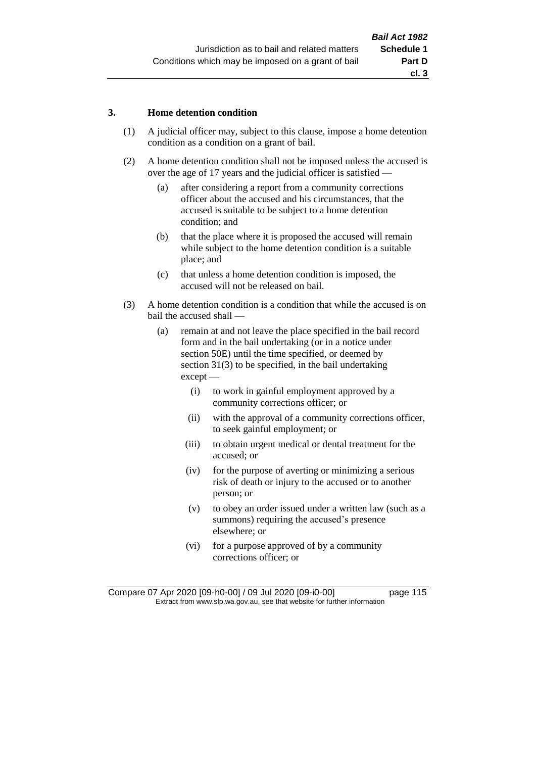#### **3. Home detention condition**

- (1) A judicial officer may, subject to this clause, impose a home detention condition as a condition on a grant of bail.
- (2) A home detention condition shall not be imposed unless the accused is over the age of 17 years and the judicial officer is satisfied —
	- (a) after considering a report from a community corrections officer about the accused and his circumstances, that the accused is suitable to be subject to a home detention condition; and
	- (b) that the place where it is proposed the accused will remain while subject to the home detention condition is a suitable place; and
	- (c) that unless a home detention condition is imposed, the accused will not be released on bail.
- (3) A home detention condition is a condition that while the accused is on bail the accused shall —
	- (a) remain at and not leave the place specified in the bail record form and in the bail undertaking (or in a notice under section 50E) until the time specified, or deemed by section 31(3) to be specified, in the bail undertaking except —
		- (i) to work in gainful employment approved by a community corrections officer; or
		- (ii) with the approval of a community corrections officer, to seek gainful employment; or
		- (iii) to obtain urgent medical or dental treatment for the accused; or
		- (iv) for the purpose of averting or minimizing a serious risk of death or injury to the accused or to another person; or
		- (v) to obey an order issued under a written law (such as a summons) requiring the accused's presence elsewhere; or
		- (vi) for a purpose approved of by a community corrections officer; or

Compare 07 Apr 2020 [09-h0-00] / 09 Jul 2020 [09-i0-00] page 115 Extract from www.slp.wa.gov.au, see that website for further information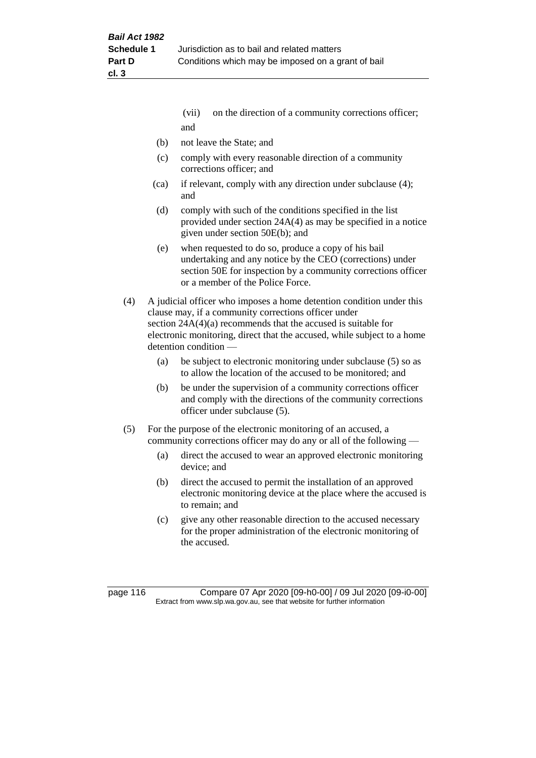- (vii) on the direction of a community corrections officer; and
- (b) not leave the State; and
- (c) comply with every reasonable direction of a community corrections officer; and
- (ca) if relevant, comply with any direction under subclause (4); and
- (d) comply with such of the conditions specified in the list provided under section 24A(4) as may be specified in a notice given under section 50E(b); and
- (e) when requested to do so, produce a copy of his bail undertaking and any notice by the CEO (corrections) under section 50E for inspection by a community corrections officer or a member of the Police Force.
- (4) A judicial officer who imposes a home detention condition under this clause may, if a community corrections officer under section 24A(4)(a) recommends that the accused is suitable for electronic monitoring, direct that the accused, while subject to a home detention condition —
	- (a) be subject to electronic monitoring under subclause (5) so as to allow the location of the accused to be monitored; and
	- (b) be under the supervision of a community corrections officer and comply with the directions of the community corrections officer under subclause (5).
- (5) For the purpose of the electronic monitoring of an accused, a community corrections officer may do any or all of the following —
	- (a) direct the accused to wear an approved electronic monitoring device; and
	- (b) direct the accused to permit the installation of an approved electronic monitoring device at the place where the accused is to remain; and
	- (c) give any other reasonable direction to the accused necessary for the proper administration of the electronic monitoring of the accused.

page 116 Compare 07 Apr 2020 [09-h0-00] / 09 Jul 2020 [09-i0-00] Extract from www.slp.wa.gov.au, see that website for further information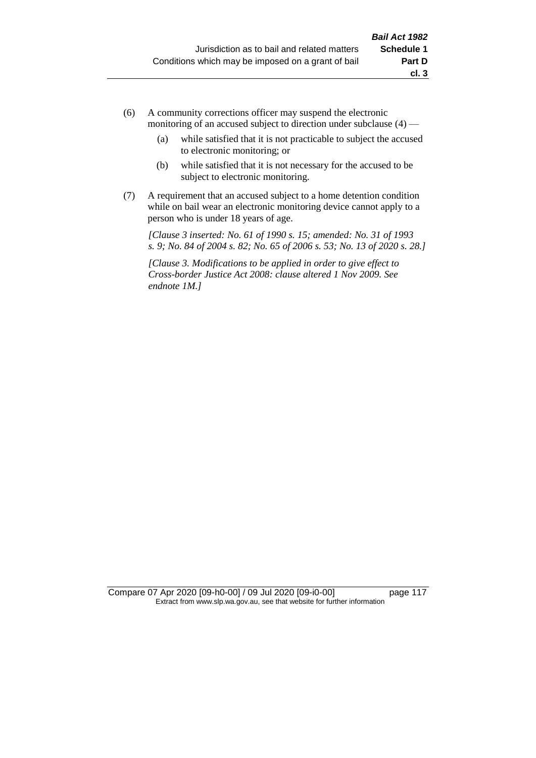- (6) A community corrections officer may suspend the electronic monitoring of an accused subject to direction under subclause (4) —
	- (a) while satisfied that it is not practicable to subject the accused to electronic monitoring; or
	- (b) while satisfied that it is not necessary for the accused to be subject to electronic monitoring.
- (7) A requirement that an accused subject to a home detention condition while on bail wear an electronic monitoring device cannot apply to a person who is under 18 years of age.

*[Clause 3 inserted: No. 61 of 1990 s. 15; amended: No. 31 of 1993 s. 9; No. 84 of 2004 s. 82; No. 65 of 2006 s. 53; No. 13 of 2020 s. 28.]*

*[Clause 3. Modifications to be applied in order to give effect to Cross-border Justice Act 2008: clause altered 1 Nov 2009. See endnote 1M.]*

Compare 07 Apr 2020 [09-h0-00] / 09 Jul 2020 [09-i0-00] page 117 Extract from www.slp.wa.gov.au, see that website for further information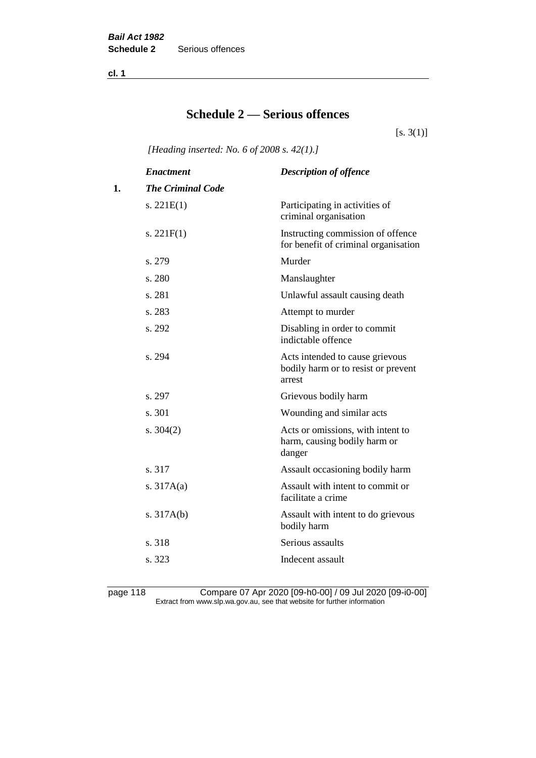**cl. 1**

## **Schedule 2 — Serious offences**

 $[s. 3(1)]$ 

*[Heading inserted: No. 6 of 2008 s. 42(1).]*

|    | <b>Enactment</b>         | <b>Description of offence</b>                                                    |
|----|--------------------------|----------------------------------------------------------------------------------|
| 1. | <b>The Criminal Code</b> |                                                                                  |
|    | s. $221E(1)$             | Participating in activities of<br>criminal organisation                          |
|    | s. $221F(1)$             | Instructing commission of offence<br>for benefit of criminal organisation        |
|    | s. 279                   | Murder                                                                           |
|    | s. 280                   | Manslaughter                                                                     |
|    | s. 281                   | Unlawful assault causing death                                                   |
|    | s. 283                   | Attempt to murder                                                                |
|    | s. 292                   | Disabling in order to commit<br>indictable offence                               |
|    | s. 294                   | Acts intended to cause grievous<br>bodily harm or to resist or prevent<br>arrest |
|    | s. 297                   | Grievous bodily harm                                                             |
|    | s. 301                   | Wounding and similar acts                                                        |
|    | s. $304(2)$              | Acts or omissions, with intent to<br>harm, causing bodily harm or<br>danger      |
|    | s. 317                   | Assault occasioning bodily harm                                                  |
|    | s. $317A(a)$             | Assault with intent to commit or<br>facilitate a crime                           |
|    | s. $317A(b)$             | Assault with intent to do grievous<br>bodily harm                                |
|    | s. 318                   | Serious assaults                                                                 |
|    | s. 323                   | Indecent assault                                                                 |
|    |                          |                                                                                  |

page 118 Compare 07 Apr 2020 [09-h0-00] / 09 Jul 2020 [09-i0-00] Extract from www.slp.wa.gov.au, see that website for further information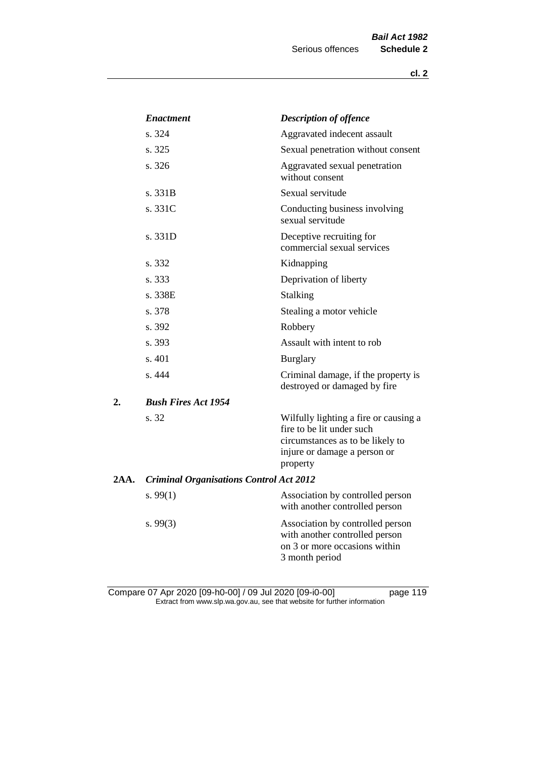|      | <b>Enactment</b>                               | <b>Description of offence</b>                                                                                                                      |
|------|------------------------------------------------|----------------------------------------------------------------------------------------------------------------------------------------------------|
|      | s. 324                                         | Aggravated indecent assault                                                                                                                        |
|      | s. 325                                         | Sexual penetration without consent                                                                                                                 |
|      | s. 326                                         | Aggravated sexual penetration<br>without consent                                                                                                   |
|      | s. 331B                                        | Sexual servitude                                                                                                                                   |
|      | s. 331C                                        | Conducting business involving<br>sexual servitude                                                                                                  |
|      | s. 331D                                        | Deceptive recruiting for<br>commercial sexual services                                                                                             |
|      | s. 332                                         | Kidnapping                                                                                                                                         |
|      | s. 333                                         | Deprivation of liberty                                                                                                                             |
|      | s. 338E                                        | <b>Stalking</b>                                                                                                                                    |
|      | s. 378                                         | Stealing a motor vehicle                                                                                                                           |
|      | s. 392                                         | Robbery                                                                                                                                            |
|      | s. 393                                         | Assault with intent to rob                                                                                                                         |
|      | s. 401                                         | <b>Burglary</b>                                                                                                                                    |
|      | s. 444                                         | Criminal damage, if the property is<br>destroyed or damaged by fire                                                                                |
| 2.   | <b>Bush Fires Act 1954</b>                     |                                                                                                                                                    |
|      | s. 32                                          | Wilfully lighting a fire or causing a<br>fire to be lit under such<br>circumstances as to be likely to<br>injure or damage a person or<br>property |
| 2AA. | <b>Criminal Organisations Control Act 2012</b> |                                                                                                                                                    |
|      | s. $99(1)$                                     | Association by controlled person<br>with another controlled person                                                                                 |
|      | s. $99(3)$                                     | Association by controlled person<br>with another controlled person<br>on 3 or more occasions within<br>3 month period                              |

Compare 07 Apr 2020 [09-h0-00] / 09 Jul 2020 [09-i0-00] page 119 Extract from www.slp.wa.gov.au, see that website for further information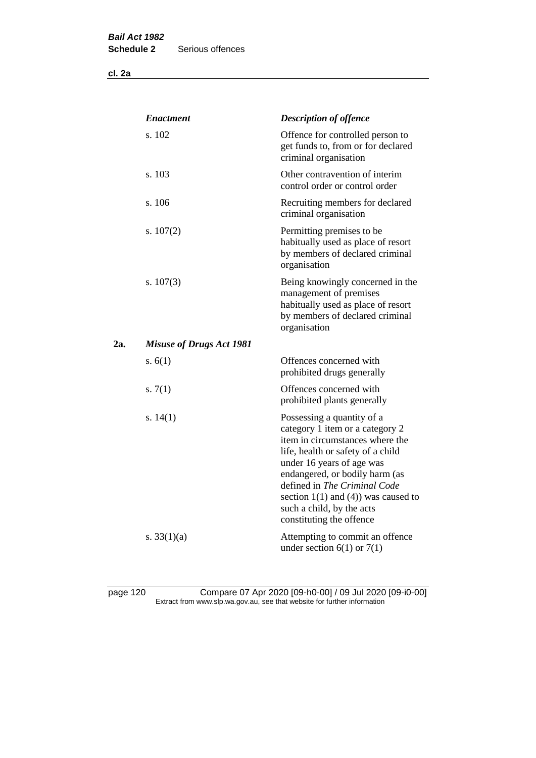**cl. 2a**

|     | <b>Enactment</b>                | <b>Description of offence</b>                                                                                                                                                                                                                                                                                                             |
|-----|---------------------------------|-------------------------------------------------------------------------------------------------------------------------------------------------------------------------------------------------------------------------------------------------------------------------------------------------------------------------------------------|
|     | s. 102                          | Offence for controlled person to<br>get funds to, from or for declared<br>criminal organisation                                                                                                                                                                                                                                           |
|     | s. 103                          | Other contravention of interim<br>control order or control order                                                                                                                                                                                                                                                                          |
|     | s. 106                          | Recruiting members for declared<br>criminal organisation                                                                                                                                                                                                                                                                                  |
|     | s. $107(2)$                     | Permitting premises to be<br>habitually used as place of resort<br>by members of declared criminal<br>organisation                                                                                                                                                                                                                        |
|     | s. $107(3)$                     | Being knowingly concerned in the<br>management of premises<br>habitually used as place of resort<br>by members of declared criminal<br>organisation                                                                                                                                                                                       |
| 2a. | <b>Misuse of Drugs Act 1981</b> |                                                                                                                                                                                                                                                                                                                                           |
|     | s. $6(1)$                       | Offences concerned with<br>prohibited drugs generally                                                                                                                                                                                                                                                                                     |
|     | s. $7(1)$                       | Offences concerned with<br>prohibited plants generally                                                                                                                                                                                                                                                                                    |
|     | s. $14(1)$                      | Possessing a quantity of a<br>category 1 item or a category 2<br>item in circumstances where the<br>life, health or safety of a child<br>under 16 years of age was<br>endangered, or bodily harm (as<br>defined in The Criminal Code<br>section $1(1)$ and $(4)$ ) was caused to<br>such a child, by the acts<br>constituting the offence |
|     | s. $33(1)(a)$                   | Attempting to commit an offence<br>under section $6(1)$ or $7(1)$                                                                                                                                                                                                                                                                         |

page 120 Compare 07 Apr 2020 [09-h0-00] / 09 Jul 2020 [09-i0-00] Extract from www.slp.wa.gov.au, see that website for further information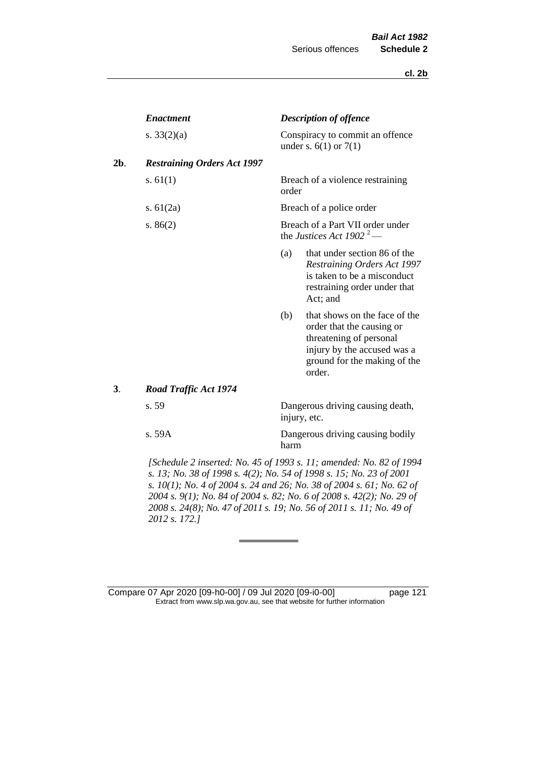|     | <b>Enactment</b>                                |       | <b>Description of offence</b>                                                                                                                                  |
|-----|-------------------------------------------------|-------|----------------------------------------------------------------------------------------------------------------------------------------------------------------|
|     | s. $33(2)(a)$                                   |       | Conspiracy to commit an offence<br>under s. $6(1)$ or $7(1)$                                                                                                   |
| 2b. | <b>Restraining Orders Act 1997</b>              |       |                                                                                                                                                                |
|     | s. $61(1)$                                      | order | Breach of a violence restraining                                                                                                                               |
|     | s. $61(2a)$                                     |       | Breach of a police order                                                                                                                                       |
|     | s. $86(2)$                                      |       | Breach of a Part VII order under<br>the Justices Act 1902 <sup>2</sup> —                                                                                       |
|     |                                                 | (a)   | that under section 86 of the<br><b>Restraining Orders Act 1997</b><br>is taken to be a misconduct<br>restraining order under that<br>Act; and                  |
|     |                                                 | (b)   | that shows on the face of the<br>order that the causing or<br>threatening of personal<br>injury by the accused was a<br>ground for the making of the<br>order. |
| 3.  | <b>Road Traffic Act 1974</b>                    |       |                                                                                                                                                                |
|     | s. 59                                           |       | Dangerous driving causing death,<br>injury, etc.                                                                                                               |
|     | s. 59A                                          | harm  | Dangerous driving causing bodily                                                                                                                               |
|     | $\sqrt{2}$<br><i>FC 1 1 1</i><br>$\sqrt{1 + M}$ |       | $(1001 \t 11 \t 11 \t 11 \t 02 \t 1004$                                                                                                                        |

*[Schedule 2 inserted: No. 45 of 1993 s. 11; amended: No. 82 of 1994 s. 13; No. 38 of 1998 s. 4(2); No. 54 of 1998 s. 15; No. 23 of 2001 s. 10(1); No. 4 of 2004 s. 24 and 26; No. 38 of 2004 s. 61; No. 62 of 2004 s. 9(1); No. 84 of 2004 s. 82; No. 6 of 2008 s. 42(2); No. 29 of 2008 s. 24(8); No. 47 of 2011 s. 19; No. 56 of 2011 s. 11; No. 49 of 2012 s. 172.]* 

Compare 07 Apr 2020 [09-h0-00] / 09 Jul 2020 [09-i0-00] page 121 Extract from www.slp.wa.gov.au, see that website for further information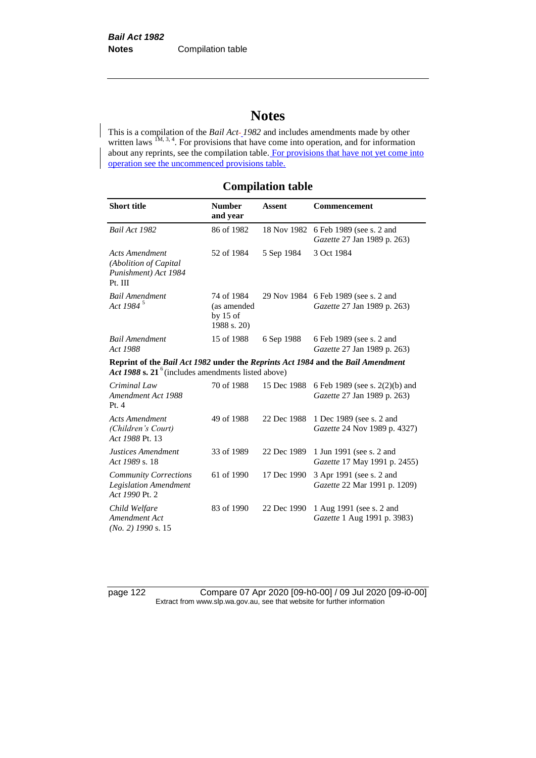# **Notes**

This is a compilation of the *Bail Act 1982* and includes amendments made by other written laws  $1M$ ,  $3, 4$ . For provisions that have come into operation, and for information about any reprints, see the compilation table. For provisions that have not yet come into operation see the uncommenced provisions table.

## **Compilation table**

| <b>Short title</b>                                                                                                                       | <b>Number</b><br>and year                              | <b>Assent</b> | <b>Commencement</b>                                                 |
|------------------------------------------------------------------------------------------------------------------------------------------|--------------------------------------------------------|---------------|---------------------------------------------------------------------|
| Bail Act 1982                                                                                                                            | 86 of 1982                                             | 18 Nov 1982   | 6 Feb 1989 (see s. 2 and<br>Gazette 27 Jan 1989 p. 263)             |
| <b>Acts Amendment</b><br>(Abolition of Capital<br>Punishment) Act 1984<br>Pt. III                                                        | 52 of 1984                                             | 5 Sep 1984    | 3 Oct 1984                                                          |
| <b>Bail Amendment</b><br>Act 1984 <sup>5</sup>                                                                                           | 74 of 1984<br>(as amended<br>by $15$ of<br>1988 s. 20) |               | 29 Nov 1984 6 Feb 1989 (see s. 2 and<br>Gazette 27 Jan 1989 p. 263) |
| <b>Bail Amendment</b><br>Act 1988                                                                                                        | 15 of 1988                                             | 6 Sep 1988    | 6 Feb 1989 (see s. 2 and<br>Gazette 27 Jan 1989 p. 263)             |
| Reprint of the Bail Act 1982 under the Reprints Act 1984 and the Bail Amendment<br>Act 1988 s. 21 $6$ (includes amendments listed above) |                                                        |               |                                                                     |
| Criminal Law<br>Amendment Act 1988<br>Pt. $4$                                                                                            | 70 of 1988                                             | 15 Dec 1988   | 6 Feb 1989 (see s. 2(2)(b) and<br>Gazette 27 Jan 1989 p. 263)       |
| <b>Acts Amendment</b><br>(Children's Court)<br>Act 1988 Pt. 13                                                                           | 49 of 1988                                             | 22 Dec 1988   | 1 Dec 1989 (see s. 2 and<br>Gazette 24 Nov 1989 p. 4327)            |
| Justices Amendment<br>Act 1989 s. 18                                                                                                     | 33 of 1989                                             | 22 Dec 1989   | 1 Jun 1991 (see s. 2 and<br>Gazette 17 May 1991 p. 2455)            |
| <b>Community Corrections</b><br><b>Legislation Amendment</b><br>Act 1990 Pt. 2                                                           | 61 of 1990                                             | 17 Dec 1990   | 3 Apr 1991 (see s. 2 and<br>Gazette 22 Mar 1991 p. 1209)            |
| Child Welfare<br>Amendment Act<br>$(No. 2)$ 1990 s. 15                                                                                   | 83 of 1990                                             | 22 Dec 1990   | 1 Aug 1991 (see s. 2 and<br>Gazette 1 Aug 1991 p. 3983)             |

page 122 Compare 07 Apr 2020 [09-h0-00] / 09 Jul 2020 [09-i0-00] Extract from www.slp.wa.gov.au, see that website for further information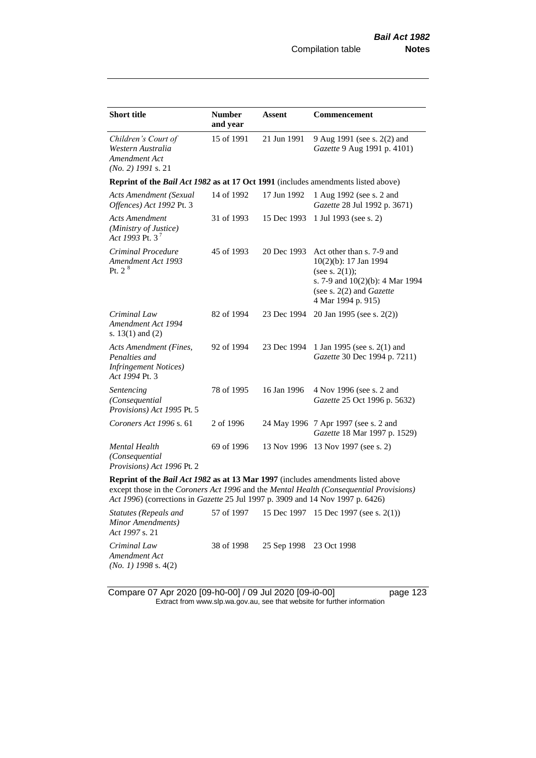| <b>Short title</b>                                                                                                                                                 | <b>Number</b><br>and year | Assent      | Commencement                                                                                                                                                 |
|--------------------------------------------------------------------------------------------------------------------------------------------------------------------|---------------------------|-------------|--------------------------------------------------------------------------------------------------------------------------------------------------------------|
| Children's Court of<br>Western Australia<br>Amendment Act<br>$(No. 2)$ 1991 s. 21                                                                                  | 15 of 1991                | 21 Jun 1991 | 9 Aug 1991 (see s. 2(2) and<br>Gazette 9 Aug 1991 p. 4101)                                                                                                   |
| Reprint of the Bail Act 1982 as at 17 Oct 1991 (includes amendments listed above)                                                                                  |                           |             |                                                                                                                                                              |
| <b>Acts Amendment (Sexual</b><br>Offences) Act 1992 Pt. 3                                                                                                          | 14 of 1992                | 17 Jun 1992 | 1 Aug 1992 (see s. 2 and<br>Gazette 28 Jul 1992 p. 3671)                                                                                                     |
| <b>Acts Amendment</b><br>(Ministry of Justice)<br>Act 1993 Pt. 3 <sup>7</sup>                                                                                      | 31 of 1993                | 15 Dec 1993 | 1 Jul 1993 (see s. 2)                                                                                                                                        |
| Criminal Procedure<br>Amendment Act 1993<br>Pt. 2 <sup>8</sup>                                                                                                     | 45 of 1993                | 20 Dec 1993 | Act other than s. 7-9 and<br>10(2)(b): 17 Jan 1994<br>(see s. $2(1)$ );<br>s. 7-9 and 10(2)(b): 4 Mar 1994<br>(see s. 2(2) and Gazette<br>4 Mar 1994 p. 915) |
| Criminal Law<br>Amendment Act 1994<br>s. $13(1)$ and $(2)$                                                                                                         | 82 of 1994                | 23 Dec 1994 | 20 Jan 1995 (see s. 2(2))                                                                                                                                    |
| Acts Amendment (Fines,<br>Penalties and<br><b>Infringement Notices</b> )<br>Act 1994 Pt. 3                                                                         | 92 of 1994                | 23 Dec 1994 | 1 Jan 1995 (see s. 2(1) and<br>Gazette 30 Dec 1994 p. 7211)                                                                                                  |
| Sentencing<br>(Consequential<br>Provisions) Act 1995 Pt. 5                                                                                                         | 78 of 1995                | 16 Jan 1996 | 4 Nov 1996 (see s. 2 and<br>Gazette 25 Oct 1996 p. 5632)                                                                                                     |
| Coroners Act 1996 s. 61                                                                                                                                            | 2 of 1996                 |             | 24 May 1996 7 Apr 1997 (see s. 2 and<br>Gazette 18 Mar 1997 p. 1529)                                                                                         |
| Mental Health<br>(Consequential<br>Provisions) Act 1996 Pt. 2                                                                                                      | 69 of 1996                |             | 13 Nov 1996 13 Nov 1997 (see s. 2)                                                                                                                           |
| Reprint of the Bail Act 1982 as at 13 Mar 1997 (includes amendments listed above<br>Act 1996) (corrections in Gazette 25 Jul 1997 p. 3909 and 14 Nov 1997 p. 6426) |                           |             | except those in the Coroners Act 1996 and the Mental Health (Consequential Provisions)                                                                       |
|                                                                                                                                                                    |                           |             | $\overline{57}$ $\overline{61007}$ $\overline{157}$ $\overline{1007}$ $\overline{157}$ $\overline{1007}$                                                     |

*Statutes (Repeals and Minor Amendments) Act 1997* s. 21 57 of 1997 15 Dec 1997 15 Dec 1997 (see s. 2(1)) *Criminal Law Amendment Act (No. 1) 1998* s. 4(2) 38 of 1998 25 Sep 1998 23 Oct 1998

Compare 07 Apr 2020 [09-h0-00] / 09 Jul 2020 [09-i0-00] page 123 Extract from www.slp.wa.gov.au, see that website for further information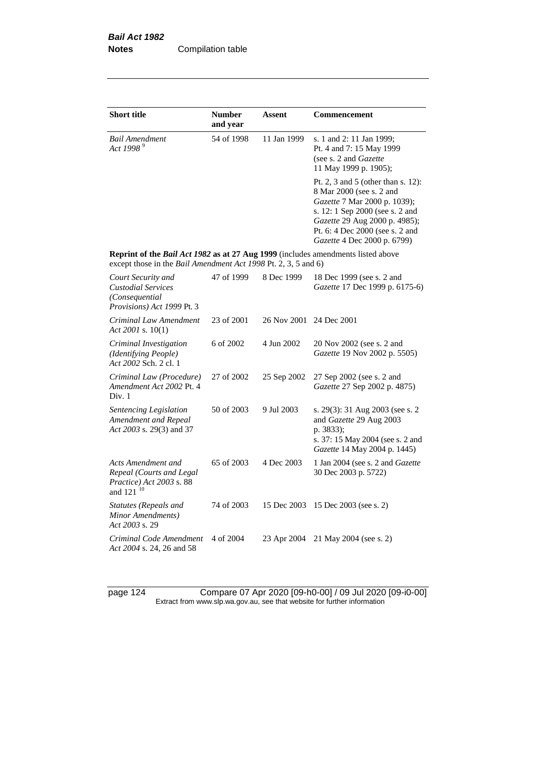| <b>Short title</b>                                                                                                                                        | <b>Number</b><br>and year | <b>Assent</b> | <b>Commencement</b>                                                                                                                                                                                                                  |
|-----------------------------------------------------------------------------------------------------------------------------------------------------------|---------------------------|---------------|--------------------------------------------------------------------------------------------------------------------------------------------------------------------------------------------------------------------------------------|
| <b>Bail Amendment</b><br>Act 1998 <sup>9</sup>                                                                                                            | 54 of 1998                | 11 Jan 1999   | s. 1 and 2: 11 Jan 1999;<br>Pt. 4 and 7: 15 May 1999<br>(see s. 2 and Gazette<br>11 May 1999 p. 1905);                                                                                                                               |
|                                                                                                                                                           |                           |               | Pt. 2, 3 and 5 (other than s. 12):<br>8 Mar 2000 (see s. 2 and<br>Gazette 7 Mar 2000 p. 1039);<br>s. 12: 1 Sep 2000 (see s. 2 and<br>Gazette 29 Aug 2000 p. 4985);<br>Pt. 6: 4 Dec 2000 (see s. 2 and<br>Gazette 4 Dec 2000 p. 6799) |
| <b>Reprint of the Bail Act 1982 as at 27 Aug 1999</b> (includes amendments listed above<br>except those in the Bail Amendment Act 1998 Pt. 2, 3, 5 and 6) |                           |               |                                                                                                                                                                                                                                      |
| Court Security and<br><b>Custodial Services</b><br>(Consequential<br>Provisions) Act 1999 Pt. 3                                                           | 47 of 1999                | 8 Dec 1999    | 18 Dec 1999 (see s. 2 and<br>Gazette 17 Dec 1999 p. 6175-6)                                                                                                                                                                          |
| Criminal Law Amendment<br>Act 2001 s. $10(1)$                                                                                                             | 23 of 2001                | 26 Nov 2001   | 24 Dec 2001                                                                                                                                                                                                                          |
| Criminal Investigation<br>(Identifying People)<br>Act 2002 Sch. 2 cl. 1                                                                                   | 6 of 2002                 | 4 Jun 2002    | 20 Nov 2002 (see s. 2 and<br>Gazette 19 Nov 2002 p. 5505)                                                                                                                                                                            |
| Criminal Law (Procedure)<br>Amendment Act 2002 Pt. 4<br>Div. 1                                                                                            | 27 of 2002                | 25 Sep 2002   | 27 Sep 2002 (see s. 2 and<br>Gazette 27 Sep 2002 p. 4875)                                                                                                                                                                            |
| Sentencing Legislation<br>Amendment and Repeal<br>Act 2003 s. 29(3) and 37                                                                                | 50 of 2003                | 9 Jul 2003    | s. 29(3): 31 Aug 2003 (see s. 2<br>and Gazette 29 Aug 2003<br>p. 3833);<br>s. 37: 15 May 2004 (see s. 2 and<br>Gazette 14 May 2004 p. 1445)                                                                                          |
| Acts Amendment and<br>Repeal (Courts and Legal<br>Practice) Act 2003 s. 88<br>and 121 <sup>10</sup>                                                       | 65 of 2003                | 4 Dec 2003    | 1 Jan 2004 (see s. 2 and Gazette<br>30 Dec 2003 p. 5722)                                                                                                                                                                             |
| Statutes (Repeals and<br>Minor Amendments)<br>Act 2003 s. 29                                                                                              | 74 of 2003                | 15 Dec 2003   | 15 Dec 2003 (see s. 2)                                                                                                                                                                                                               |
| Criminal Code Amendment<br>Act 2004 s. 24, 26 and 58                                                                                                      | 4 of 2004                 | 23 Apr 2004   | 21 May 2004 (see s. 2)                                                                                                                                                                                                               |

page 124 Compare 07 Apr 2020 [09-h0-00] / 09 Jul 2020 [09-i0-00] Extract from www.slp.wa.gov.au, see that website for further information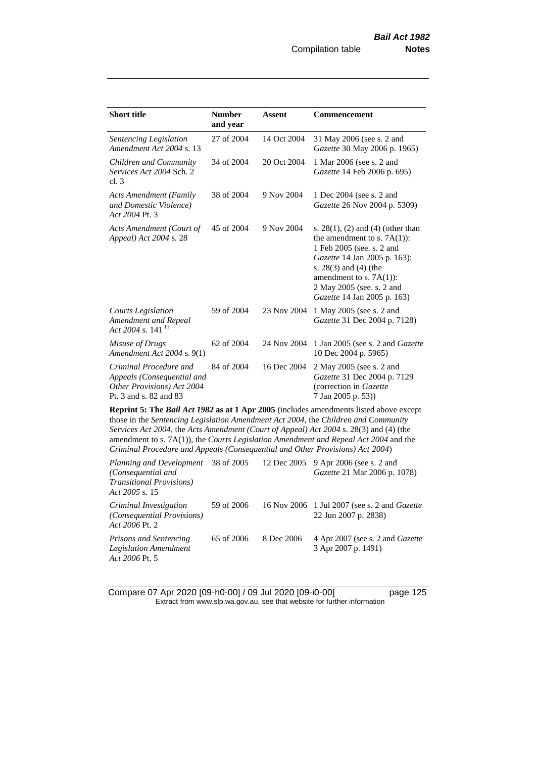| <b>Short title</b>                                                                                                                                                  | <b>Number</b><br>and year | <b>Assent</b> | Commencement                                                                                                                                                                                                                                                             |
|---------------------------------------------------------------------------------------------------------------------------------------------------------------------|---------------------------|---------------|--------------------------------------------------------------------------------------------------------------------------------------------------------------------------------------------------------------------------------------------------------------------------|
| Sentencing Legislation<br>Amendment Act 2004 s. 13                                                                                                                  | 27 of 2004                | 14 Oct 2004   | 31 May 2006 (see s. 2 and<br>Gazette 30 May 2006 p. 1965)                                                                                                                                                                                                                |
| Children and Community<br>Services Act 2004 Sch. 2<br>cl.3                                                                                                          | 34 of 2004                | 20 Oct 2004   | 1 Mar 2006 (see s. 2 and<br>Gazette 14 Feb 2006 p. 695)                                                                                                                                                                                                                  |
| <b>Acts Amendment (Family</b><br>and Domestic Violence)<br>Act 2004 Pt. 3                                                                                           | 38 of 2004                | 9 Nov 2004    | 1 Dec 2004 (see s. 2 and<br>Gazette 26 Nov 2004 p. 5309)                                                                                                                                                                                                                 |
| Acts Amendment (Court of<br>Appeal) Act 2004 s. 28                                                                                                                  | 45 of 2004                | 9 Nov 2004    | s. $28(1)$ , (2) and (4) (other than<br>the amendment to s. $7A(1)$ :<br>1 Feb 2005 (see. s. 2 and<br>Gazette 14 Jan 2005 p. 163);<br>s. $28(3)$ and $(4)$ (the<br>amendment to s. $7A(1)$ :<br>2 May 2005 (see. s. 2 and<br>Gazette 14 Jan 2005 p. 163)                 |
| <b>Courts Legislation</b><br>Amendment and Repeal<br>Act 2004 s. 141 $^{11}$                                                                                        | 59 of 2004                | 23 Nov 2004   | 1 May 2005 (see s. 2 and<br>Gazette 31 Dec 2004 p. 7128)                                                                                                                                                                                                                 |
| Misuse of Drugs<br>Amendment Act 2004 s. 9(1)                                                                                                                       | 62 of 2004                | 24 Nov 2004   | 1 Jan 2005 (see s. 2 and <i>Gazette</i><br>10 Dec 2004 p. 5965)                                                                                                                                                                                                          |
| Criminal Procedure and<br>Appeals (Consequential and<br>Other Provisions) Act 2004<br>Pt. 3 and s. 82 and 83                                                        | 84 of 2004                | 16 Dec 2004   | 2 May 2005 (see s. 2 and<br>Gazette 31 Dec 2004 p. 7129<br>(correction in Gazette<br>7 Jan 2005 p. 53))                                                                                                                                                                  |
| those in the Sentencing Legislation Amendment Act 2004, the Children and Community<br>Criminal Procedure and Appeals (Consequential and Other Provisions) Act 2004) |                           |               | Reprint 5: The Bail Act 1982 as at 1 Apr 2005 (includes amendments listed above except<br>Services Act 2004, the Acts Amendment (Court of Appeal) Act 2004 s. 28(3) and (4) (the<br>amendment to s. 7A(1)), the Courts Legislation Amendment and Repeal Act 2004 and the |
| Planning and Development<br>(Consequential and                                                                                                                      | 38 of 2005                | 12 Dec 2005   | 9 Apr 2006 (see s. 2 and<br>Gazette 21 Mar 2006 p. 1078)                                                                                                                                                                                                                 |

| (Consequential and<br><b>Transitional Provisions</b> )<br>Act 2005 s. 15      |            |            | <i>Gazette</i> 21 Mar 2006 p. 1078)                                         |
|-------------------------------------------------------------------------------|------------|------------|-----------------------------------------------------------------------------|
| Criminal Investigation<br><i>(Consequential Provisions)</i><br>Act 2006 Pt. 2 | 59 of 2006 |            | 16 Nov 2006 1 Jul 2007 (see s. 2 and <i>Gazette</i><br>22 Jun 2007 p. 2838) |
| <b>Prisons and Sentencing</b><br>Legislation Amendment<br>Act 2006 Pt. 5      | 65 of 2006 | 8 Dec 2006 | 4 Apr 2007 (see s. 2 and <i>Gazette</i><br>3 Apr 2007 p. 1491)              |

Compare 07 Apr 2020 [09-h0-00] / 09 Jul 2020 [09-i0-00] page 125 Extract from www.slp.wa.gov.au, see that website for further information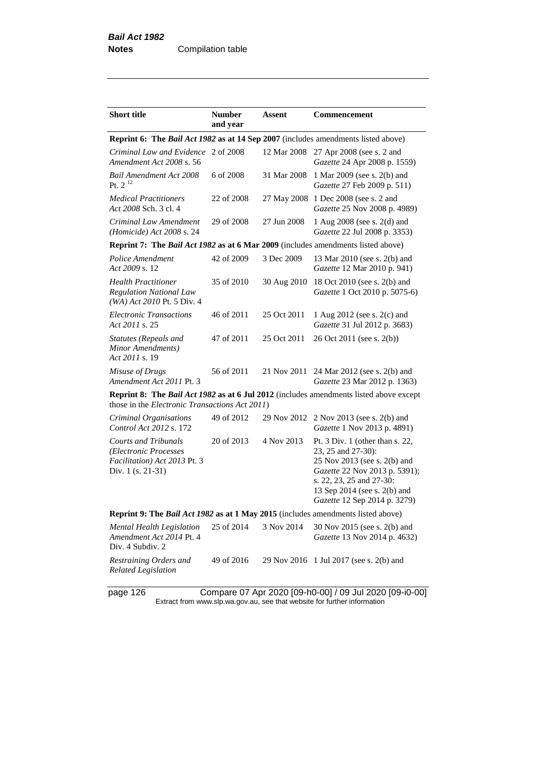| <b>Short title</b>                                                                                        | <b>Number</b><br>and year | Assent      | <b>Commencement</b>                                                                                                                                                                                                |
|-----------------------------------------------------------------------------------------------------------|---------------------------|-------------|--------------------------------------------------------------------------------------------------------------------------------------------------------------------------------------------------------------------|
| <b>Reprint 6: The Bail Act 1982 as at 14 Sep 2007</b> (includes amendments listed above)                  |                           |             |                                                                                                                                                                                                                    |
| Criminal Law and Evidence 2 of 2008<br>Amendment Act 2008 s. 56                                           |                           | 12 Mar 2008 | 27 Apr 2008 (see s. 2 and<br>Gazette 24 Apr 2008 p. 1559)                                                                                                                                                          |
| <b>Bail Amendment Act 2008</b><br>Pt. $2^{12}$                                                            | 6 of 2008                 | 31 Mar 2008 | 1 Mar 2009 (see s. 2(b) and<br>Gazette 27 Feb 2009 p. 511)                                                                                                                                                         |
| <b>Medical Practitioners</b><br>Act 2008 Sch. 3 cl. 4                                                     | 22 of 2008                | 27 May 2008 | 1 Dec 2008 (see s. 2 and<br>Gazette 25 Nov 2008 p. 4989)                                                                                                                                                           |
| Criminal Law Amendment<br>(Homicide) Act 2008 s. 24                                                       | 29 of 2008                | 27 Jun 2008 | 1 Aug 2008 (see s. 2(d) and<br>Gazette 22 Jul 2008 p. 3353)                                                                                                                                                        |
| Reprint 7: The Bail Act 1982 as at 6 Mar 2009 (includes amendments listed above)                          |                           |             |                                                                                                                                                                                                                    |
| Police Amendment<br>Act 2009 s. 12                                                                        | 42 of 2009                | 3 Dec 2009  | 13 Mar 2010 (see s. 2(b) and<br>Gazette 12 Mar 2010 p. 941)                                                                                                                                                        |
| <b>Health Practitioner</b><br><b>Regulation National Law</b><br>(WA) Act 2010 Pt. 5 Div. 4                | 35 of 2010                | 30 Aug 2010 | 18 Oct 2010 (see s. 2(b) and<br>Gazette 1 Oct 2010 p. 5075-6)                                                                                                                                                      |
| Electronic Transactions<br>Act 2011 s. 25                                                                 | 46 of 2011                | 25 Oct 2011 | 1 Aug 2012 (see s. 2(c) and<br>Gazette 31 Jul 2012 p. 3683)                                                                                                                                                        |
| <b>Statutes (Repeals and</b><br>Minor Amendments)<br>Act 2011 s. 19                                       | 47 of 2011                | 25 Oct 2011 | 26 Oct 2011 (see s. 2(b))                                                                                                                                                                                          |
| Misuse of Drugs<br>Amendment Act 2011 Pt. 3                                                               | 56 of 2011                | 21 Nov 2011 | 24 Mar 2012 (see s. 2(b) and<br>Gazette 23 Mar 2012 p. 1363)                                                                                                                                                       |
| those in the <i>Electronic Transactions Act 2011</i> )                                                    |                           |             | <b>Reprint 8: The Bail Act 1982 as at 6 Jul 2012</b> (includes amendments listed above except                                                                                                                      |
| Criminal Organisations<br>Control Act 2012 s. 172                                                         | 49 of 2012                | 29 Nov 2012 | 2 Nov 2013 (see s. 2(b) and<br>Gazette 1 Nov 2013 p. 4891)                                                                                                                                                         |
| <b>Courts and Tribunals</b><br>(Electronic Processes<br>Facilitation) Act 2013 Pt. 3<br>Div. 1 (s. 21-31) | 20 of 2013                | 4 Nov 2013  | Pt. 3 Div. 1 (other than s. 22,<br>23, 25 and 27-30):<br>25 Nov 2013 (see s. 2(b) and<br>Gazette 22 Nov 2013 p. 5391);<br>s. 22, 23, 25 and 27-30:<br>13 Sep 2014 (see s. 2(b) and<br>Gazette 12 Sep 2014 p. 3279) |
| Reprint 9: The Bail Act 1982 as at 1 May 2015 (includes amendments listed above)                          |                           |             |                                                                                                                                                                                                                    |
| Mental Health Legislation<br>Amendment Act 2014 Pt. 4<br>Div. 4 Subdiv. 2                                 | 25 of 2014                | 3 Nov 2014  | 30 Nov 2015 (see s. 2(b) and<br>Gazette 13 Nov 2014 p. 4632)                                                                                                                                                       |
| Restraining Orders and<br><b>Related Legislation</b>                                                      | 49 of 2016                |             | 29 Nov 2016 1 Jul 2017 (see s. 2(b) and                                                                                                                                                                            |

page 126 Compare 07 Apr 2020 [09-h0-00] / 09 Jul 2020 [09-i0-00] Extract from www.slp.wa.gov.au, see that website for further information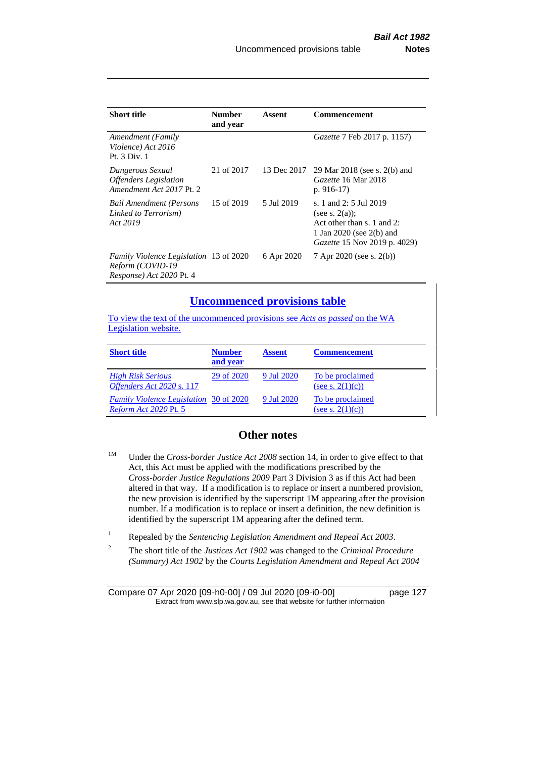| <b>Short title</b>                                      | <b>Number</b><br>and year | Assent | <b>Commencement</b>                      |
|---------------------------------------------------------|---------------------------|--------|------------------------------------------|
| Amendment (Family<br>Violence) Act 2016<br>Pt. 3 Div. 1 |                           |        | <i>Gazette</i> 7 Feb 2017 p. 1157)       |
| Dangerous Sexual                                        | 21 of 2017                |        | 13 Dec 2017 29 Mar 2018 (see s. 2(b) and |

| Dangerous Sexual<br><b>Offenders</b> Legislation<br>Amendment Act 2017 Pt. 2                  | 21 of 2017 |            | 13 Dec 2017 29 Mar 2018 (see s. 2(b) and<br>Gazette 16 Mar 2018<br>p. $916-17$                                                        |
|-----------------------------------------------------------------------------------------------|------------|------------|---------------------------------------------------------------------------------------------------------------------------------------|
| <b>Bail Amendment (Persons</b><br>Linked to Terrorism)<br>Act 2019                            | 15 of 2019 | 5 Jul 2019 | s. 1 and 2: 5 Jul 2019<br>(see s. $2(a)$ );<br>Act other than s. 1 and 2:<br>1 Jan 2020 (see 2(b) and<br>Gazette 15 Nov 2019 p. 4029) |
| <i>Family Violence Legislation</i> 13 of 2020<br>Reform (COVID-19<br>Response) Act 2020 Pt. 4 |            | 6 Apr 2020 | 7 Apr 2020 (see s. 2(b))                                                                                                              |

### **Uncommenced provisions table**

To view the text of the uncommenced provisions see *Acts as passed* on the WA Legislation website.

| <b>Short title</b>                                                            | <b>Number</b><br>and year | <b>Assent</b> | <b>Commencement</b>                     |
|-------------------------------------------------------------------------------|---------------------------|---------------|-----------------------------------------|
| <b>High Risk Serious</b><br>Offenders Act 2020 s. 117                         | 29 of 2020                | 9 Jul 2020    | To be proclaimed<br>(see s. $2(1)(c)$ ) |
| <b>Family Violence Legislation</b> 30 of 2020<br><i>Reform Act 2020 Pt. 5</i> |                           | 9 Jul 2020    | To be proclaimed<br>(see s. $2(1)(c)$ ) |

## **Other notes**

- <sup>1M</sup> Under the *Cross-border Justice Act 2008* section 14, in order to give effect to that Act, this Act must be applied with the modifications prescribed by the *Cross-border Justice Regulations 2009* Part 3 Division 3 as if this Act had been altered in that way. If a modification is to replace or insert a numbered provision, the new provision is identified by the superscript 1M appearing after the provision number. If a modification is to replace or insert a definition, the new definition is identified by the superscript 1M appearing after the defined term.
- <sup>1</sup> Repealed by the *Sentencing Legislation Amendment and Repeal Act 2003*.
- 2 The short title of the *Justices Act 1902* was changed to the *Criminal Procedure (Summary) Act 1902* by the *Courts Legislation Amendment and Repeal Act 2004*

Compare 07 Apr 2020 [09-h0-00] / 09 Jul 2020 [09-i0-00] page 127 Extract from www.slp.wa.gov.au, see that website for further information